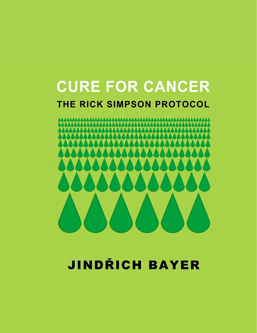



## **JINDŘICH BAYER**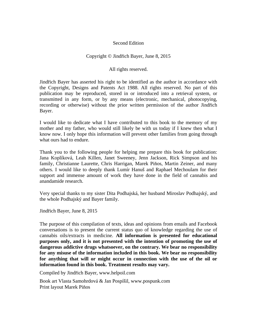#### Second Edition

#### Copyright © Jindřich Bayer, June 8, 2015

#### All rights reserved.

Jindřich Bayer has asserted his right to be identified as the author in accordance with the Copyright, Designs and Patents Act 1988. All rights reserved. No part of this publication may be reproduced, stored in or introduced into a retrieval system, or transmitted in any form, or by any means (electronic, mechanical, photocopying, recording or otherwise) without the prior written permission of the author Jindřich Bayer.

I would like to dedicate what I have contributed to this book to the memory of my mother and my father, who would still likely be with us today if I knew then what I know now. I only hope this information will prevent other families from going through what ours had to endure.

Thank you to the following people for helping me prepare this book for publication: Jana Koplíková, Leah Killen, Janet Sweeney, Jenn Jackson, Rick Simpson and his family, Christianne Laurette, Chris Harrigan, Marek Piňos, Martin Zeiner, and many others. I would like to deeply thank Lumír Hanuš and Raphael Mechoulam for their support and immense amount of work they have done in the field of cannabis and anandamide research.

Very special thanks to my sister Dita Podhajská, her husband Miroslav Podhajský, and the whole Podhajský and Bayer family.

Jindřich Bayer, June 8, 2015

The purpose of this compilation of texts, ideas and opinions from emails and Facebook conversations is to present the current status quo of knowledge regarding the use of cannabis oils/extracts in medicine. **All information is presented for educational purposes only, and it is not presented with the intention of promoting the use of dangerous addictive drugs whatsoever, on the contrary. We bear no responsibility for any misuse of the information included in this book. We bear no responsibility for anything that will or might occur in connection with the use of the oil or information found in this book. Treatment results may vary.** 

Compiled by Jindřich Bayer, www.helpoil.com

Book art Vlasta Samohrdová & Jan Pospíšil, www.pospunk.com Print layout Marek Piňos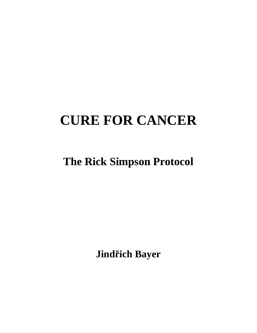# **CURE FOR CANCER**

## **The Rick Simpson Protocol**

**Jindřich Bayer**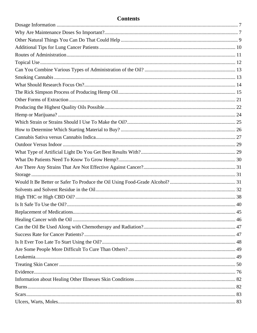#### **Contents**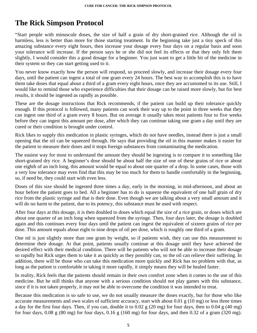### **The Rick Simpson Protocol**

"Start people with minuscule doses, the size of half a grain of dry short-grained rice. Although the oil is harmless, less is better than more for those starting treatment. In the beginning take just a tiny speck of this amazing substance every eight hours, then increase your dosage every four days on a regular basis and soon your tolerance will increase. If the person says he or she did not feel its effects or that they only felt them slightly, I would consider this a good dosage for a beginner. You just want to get a little bit of the medicine in their system so they can start getting used to it.

You never know exactly how the person will respond, so proceed slowly, and increase their dosage every four days, until the patient can ingest a total of one gram every 24 hours. The best way to accomplish this is to have them take doses that equal about a third of a gram every eight hours, once they are accustomed to its use. Still, I would like to remind those who experience difficulties that their dosage can be raised more slowly, but for best results, it should be ingested as rapidly as possible.

These are the dosage instructions that Rick recommends, if the patient can build up their tolerance quickly enough. If this protocol is followed, many patients can work their way up to the point in three weeks that they can ingest one third of a gram every 8 hours. But on average it usually takes most patients four to five weeks before they can ingest this amount per dose, after which they can continue taking one gram a day until they are cured or their condition is brought under control.

Rick likes to supply this medication in plastic syringes, which do not have needles, instead there is just a small opening that the oil can be squeezed through. He says that providing the oil in this manner makes it easier for the patient to measure their doses and it stops foreign substances from contaminating the medication.

The easiest way for most to understand the amount they should be ingesting is to compare it to something like short-grained dry rice. A beginner's dose should be about half the size of one of these grains of rice or about one eighth of an inch long, this amount would be equal to about one quarter of a drop. In some cases, those with a very low tolerance may even find that this may be too much for them to handle comfortably in the beginning, so, if need be, they could start with even less.

Doses of this size should be ingested three times a day, early in the morning, in mid-afternoon, and about an hour before the patient goes to bed. All a beginner has to do is squeeze the equivalent of one half grain of dry rice from the plastic syringe and that is their dose. Even though we are talking about a very small amount and it will do no harm to the patient, due to its potency, this substance must be used with respect.

After four days at this dosage, it is then doubled to doses which equal the size of a rice grain, or doses which are about one quarter of an inch long when squeezed from the syringe. Then, four days later, the dosage is doubled again and this continues every four days until the patient can ingest the equivalent of sixteen grains of rice per dose. This amount equals about eight to nine drops of oil per dose, which is roughly one third of a gram.

One ml is just slightly more than one gram by weight, so if patients wish, they can use this measurement to determine their dosage. At that point, patients usually continue at this dosage until they have achieved the desired effect with their medical condition. There will be patients who will not be able to increase their dosage so rapidly but Rick urges them to take it as quickly as they possibly can, so the oil can relieve their suffering. In addition, there will be those who can take this medication more quickly and Rick has no problem with that, as long as the patient is comfortable in taking it more rapidly, it simply means they will be healed faster.

In reality, Rick feels that the patients should remain in their own comfort zone when it comes to the use of this medicine. But he still thinks that anyone with a serious condition should not play games with this substance, since if it is not taken properly, it may not be able to overcome the condition it was intended to treat.

Because this medication is so safe to use, we do not usually measure the doses exactly, but for those who like accurate measurements and own scales of sufficient accuracy, start with about 0.01 g (10 mg) or less three times a day for the first four days. Then, if you can, double it to 0.02 g (20 mg) for four days, then to 0.04 g (40 mg) for four days,  $0.08 \text{ g}$  (80 mg) for four days,  $0.16 \text{ g}$  (160 mg) for four days, and then 0.32 of a gram (320 mg).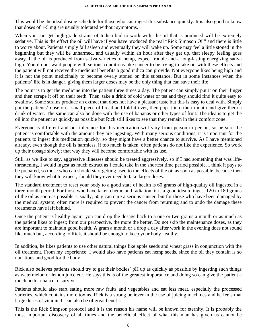This would be the ideal dosing schedule for those who can ingest this substance quickly. It is also good to know that doses of 1-5 mg are usually tolerated without symptoms.

When you can get high-grade strains of Indica bud to work with, the oil that is produced will be extremely sedative. This is the effect the oil will have if you have produced the real "Rick Simpson Oil" and there is little to worry about. Patients simply fall asleep and eventually they will wake up. Some may feel a little stoned in the beginning but they will be unharmed, and usually within an hour after they get up, that sleepy feeling goes away. If the oil is produced from sativa varieties of hemp, expect trouble and a long-lasting energizing sativa high. You do not want people with serious conditions like cancer to be trying to take oil with these effects and the patient will not receive the medicinal benefits a good indica can provide. Not everyone likes being high and it is not the point medicinally to become overly stoned on this substance. But in some instances when the patients' life is in danger, giving them larger doses may be the only thing that can save their life

The point is to get the medicine into the patient three times a day. The patient can simply put it on their finger and then scrape it off on their teeth. Then, take a drink of cold water or tea and they should find it quite easy to swallow. Some strains produce an extract that does not have a pleasant taste but this is easy to deal with. Simply put the patients' dose on a small piece of bread and fold it over, then pop it into their mouth and give them a drink of water. The same can also be done with the use of bananas or other types of fruit. The idea is to get the oil into the patient as quickly as possible but Rick still likes to see that they remain in their comfort zone.

Everyone is different and our tolerance for this medication will vary from person to person, so be sure the patient is comfortable with the amount they are ingesting. With many serious conditions, it is important for the patients to ingest this medication quickly, so they might have a better chance to survive. As I have mentioned already, even though the oil is harmless, if too much is taken, often patients do not like the experience. So work up their dosage slowly; that way they will become comfortable with its use.

Still, as we like to say, aggressive illnesses should be treated aggressively, so if I had something that was lifethreatening, I would ingest as much extract as I could take in the shortest time period possible. I think it pays to be prepared, so those who can should start getting used to the effects of the oil as soon as possible, because then they will know what to expect, should they ever need to take larger doses.

The standard treatment to reset your body to a good state of health is 60 grams of high-quality oil ingested in a three-month period. For those who have taken chemo and radiation, it is a good idea to ingest 120 to 180 grams of the oil as soon as possible. Usually, 60 g can cure a serious cancer, but for those who have been damaged by the medical system, often more is required to prevent the cancer from returning and to undo the damage these treatments have left behind.

Once the patient is healthy again, you can drop the dosage back to a one or two grams a month or as much as the patient likes to ingest; from our perspective, the more the better. Do not skip the maintenance doses, as they are important to maintain good health. A gram a month or a drop a day after work in the evening does not sound like much but, according to Rick, it should be enough to keep your body healthy.

In addition, he likes patients to use other natural things like apple seeds and wheat grass in conjunction with the oil treatment. From my experience, I would also have patients eat hemp seeds, since the oil they contain is so nutritious and good for the body.

Rick also believes patients should try to get their bodies' pH up as quickly as possible by ingesting such things as watermelon or lemon juice etc. He says this is of the greatest importance and doing so can give the patient a much better chance to survive.

Patients should also start eating more raw fruits and vegetables and eat less meat, especially the processed varieties, which contains more toxins. Rick is a strong believer in the use of juicing machines and he feels that large doses of vitamin C can also be of great benefit.

This is the Rick Simpson protocol and it is the reason his name will be known for eternity. It is probably the most important discovery of all times and the beneficial effect of what this man has given us cannot be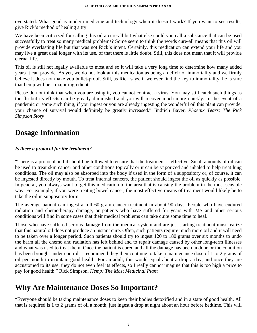overstated. What good is modern medicine and technology when it doesn't work? If you want to see results, give Rick's method of healing a try.

We have been criticized for calling this oil a cure-all but what else could you call a substance that can be used successfully to treat so many medical problems? Some seem to think the words cure-all means that this oil will provide everlasting life but that was not Rick's intent. Certainly, this medication can extend your life and you may live a great deal longer with its use, of that there is little doubt. Still, this does not mean that it will provide eternal life.

This oil is still not legally available to most and so it will take a very long time to determine how many added years it can provide. As yet, we do not look at this medication as being an elixir of immortality and we firmly believe it does not make you bullet-proof. Still, as Rick says, if we ever find the key to immortality, he is sure that hemp will be a major ingredient.

Please do not think that when you are using it, you cannot contract a virus. You may still catch such things as the flu but its effects can be greatly diminished and you will recover much more quickly. In the event of a pandemic or some such thing, if you ingest or you are already ingesting the wonderful oil this plant can provide, your chance of survival would definitely be greatly increased." Jindrich Bayer, *Phoenix Tears: The Rick Simpson Story*

### **Dosage Information**

#### *Is there a protocol for the treatment?*

"There is a protocol and it should be followed to ensure that the treatment is effective. Small amounts of oil can be used to treat skin cancer and other conditions topically or it can be vaporized and inhaled to help treat lung conditions. The oil may also be absorbed into the body if used in the form of a suppository or, of course, it can be ingested directly by mouth. To treat internal cancers, the patient should ingest the oil as quickly as possible. In general, you always want to get this medication to the area that is causing the problem in the most sensible way. For example, if you were treating bowel cancer, the most effective means of treatment would likely be to take the oil in suppository form.

The average patient can ingest a full 60-gram cancer treatment in about 90 days. People who have endured radiation and chemotherapy damage, or patients who have suffered for years with MS and other serious conditions will find in some cases that their medical problems can take quite some time to heal.

Those who have suffered serious damage from the medical system and are just starting treatment must realize that this natural oil does not produce an instant cure. Often, such patients require much more oil and it will need to be taken over a longer period. Such patients should try to ingest 120 to 180 grams over six months to undo the harm all the chemo and radiation has left behind and to repair damage caused by other long-term illnesses and what was used to treat them. Once the patient is cured and all the damage has been undone or the condition has been brought under control, I recommend they then continue to take a maintenance dose of 1 to 2 grams of oil per month to maintain good health. For an adult, this would equal about a drop a day, and once they are accustomed to its use, they do not even feel its effects, so I really cannot imagine that this is too high a price to pay for good health." Rick Simpson, *Hemp: The Most Medicinal Plant*

### **Why Are Maintenance Doses So Important?**

"Everyone should be taking maintenance doses to keep their bodies detoxified and in a state of good health. All that is required is 1 to 2 grams of oil a month, just ingest a drop at night about an hour before bedtime. This will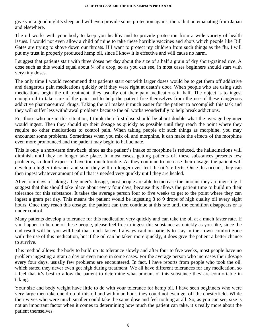give you a good night's sleep and will even provide some protection against the radiation emanating from Japan and elsewhere.

The oil works with your body to keep you healthy and to provide protection from a wide variety of health issues. I would not even allow a child of mine to take these horrible vaccines and shots which people like Bill Gates are trying to shove down our throats. If I want to protect my children from such things as the flu, I will put my trust in properly produced hemp oil, since I know it is effective and will cause no harm.

I suggest that patients start with three doses per day about the size of a half a grain of dry short-grained rice. A dose such as this would equal about 1/4 of a drop, so as you can see, in most cases beginners should start with very tiny doses.

The only time I would recommend that patients start out with larger doses would be to get them off addictive and dangerous pain medications quickly or if they were right at death's door. When people who are using such medications begin the oil treatment, they usually cut their pain medications in half. The object is to ingest enough oil to take care of the pain and to help the patient free themselves from the use of these dangerous addictive pharmaceutical drugs. Taking the oil makes it much easier for the patient to accomplish this task and they will suffer less withdrawal problems because the oil works wonderfully to help break addictions.

For those who are in this situation, I think their first dose should be about double what the average beginner would ingest. Then they should up their dosage as quickly as possible until they reach the point where they require no other medications to control pain. When taking people off such things as morphine, you may encounter some problems. Sometimes when you mix oil and morphine, it can make the effects of the morphine even more pronounced and the patient may begin to hallucinate.

This is only a short-term drawback, since as the patient's intake of morphine is reduced, the hallucinations will diminish until they no longer take place. In most cases, getting patients off these substances presents few problems, so don't expect to have too much trouble. As they continue to increase their dosage, the patient will develop a higher tolerance and soon they will no longer even feel the oil's effects. Once this occurs, they can then ingest whatever amount of oil that is needed very quickly until they are healed.

After four days of taking a beginner's dosage, most people are able to increase the amount they are ingesting. I suggest that this should take place about every four days, because this allows the patient time to build up their tolerance for this substance. It takes the average person four to five weeks to get to the point where they can ingest a gram per day. This means the patient would be ingesting 8 to 9 drops of high quality oil every eight hours. Once they reach this dosage, the patient can then continue at this rate until the condition disappears or is under control.

Many patients develop a tolerance for this medication very quickly and can take the oil at a much faster rate. If you happen to be one of these people, please feel free to ingest this substance as quickly as you like, since the end result will be you will heal that much faster. I always caution patients to stay in their own comfort zone with the use of this medication, but if the oil can be taken more quickly, it does give the patient a better chance to survive.

This method allows the body to build up its tolerance slowly and after four to five weeks, most people have no problem ingesting a gram a day or even more in some cases. For the average person who increases their dosage every four days, usually few problems are encountered. In fact, I have reports from people who took the oil, which stated they never even got high during treatment. We all have different tolerances for any medication, so I feel that it's best to allow the patient to determine what amount of this substance they are comfortable in taking.

Your size and body weight have little to do with your tolerance for hemp oil. I have seen beginners who were very large men take one drop of this oil and within an hour, they could not even get off the chesterfield. While their wives who were much smaller could take the same dose and feel nothing at all. So, as you can see, size is not an important factor when it comes to determining how much the patient can take, it's really more about the patient themselves.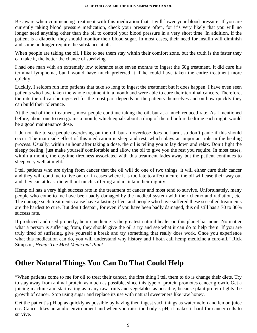Be aware when commencing treatment with this medication that it will lower your blood pressure. If you are currently taking blood pressure medication, check your pressure often, for it's very likely that you will no longer need anything other than the oil to control your blood pressure in a very short time. In addition, if the patient is a diabetic, they should monitor their blood sugar. In most cases, their need for insulin will diminish and some no longer require the substance at all.

When people are taking the oil, I like to see them stay within their comfort zone, but the truth is the faster they can take it, the better the chance of surviving.

I had one man with an extremely low tolerance take seven months to ingest the 60g treatment. It did cure his terminal lymphoma, but I would have much preferred it if he could have taken the entire treatment more quickly.

Luckily, I seldom run into patients that take so long to ingest the treatment but it does happen. I have even seen patients who have taken the whole treatment in a month and were able to cure their terminal cancers. Therefore, the rate the oil can be ingested for the most part depends on the patients themselves and on how quickly they can build their tolerance.

At the end of their treatment, most people continue taking the oil, but at a much reduced rate. As I mentioned before, about one to two grams a month, which equals about a drop of the oil before bedtime each night, would be a good maintenance dose.

I do not like to see people overdosing on the oil, but an overdose does no harm, so don't panic if this should occur. The main side effect of this medication is sleep and rest, which plays an important role in the healing process. Usually, within an hour after taking a dose, the oil is telling you to lay down and relax. Don't fight the sleepy feeling, just make yourself comfortable and allow the oil to give you the rest you require. In most cases, within a month, the daytime tiredness associated with this treatment fades away but the patient continues to sleep very well at night.

I tell patients who are dying from cancer that the oil will do one of two things: it will either cure their cancer and they will continue to live on, or, in cases where it is too late to affect a cure, the oil will ease their way out and they can at least die without much suffering and maintain their dignity.

Hemp oil has a very high success rate in the treatment of cancer and most tend to survive. Unfortunately, many people who come to me have been badly damaged by the medical system with their chemo and radiation, etc. The damage such treatments cause have a lasting effect and people who have suffered these so-called treatments are the hardest to cure. But don't despair, for even if you have been badly damaged, this oil still has a 70 to 80% success rate.

If produced and used properly, hemp medicine is the greatest natural healer on this planet bar none. No matter what a person is suffering from, they should give the oil a try and see what it can do to help them. If you are truly tired of suffering, give yourself a break and try something that really does work. Once you experience what this medication can do, you will understand why history and I both call hemp medicine a cure-all." Rick Simpson, *Hemp: The Most Medicinal Plant*

### **Other Natural Things You Can Do That Could Help**

"When patients come to me for oil to treat their cancer, the first thing I tell them to do is change their diets. Try to stay away from animal protein as much as possible, since this type of protein promotes cancer growth. Get a juicing machine and start eating as many raw fruits and vegetables as possible, because plant protein fights the growth of cancer. Stop using sugar and replace its use with natural sweeteners like raw honey.

Get the patient's pH up as quickly as possible by having then ingest such things as watermelon and lemon juice etc. Cancer likes an acidic environment and when you raise the body's pH, it makes it hard for cancer cells to survive.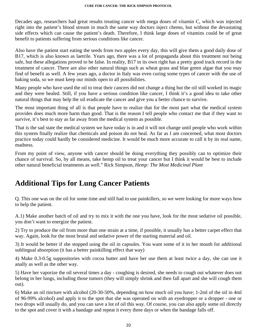Decades ago, researchers had great results treating cancer with mega doses of vitamin C, which was injected right into the patient's blood stream in much the same way doctors inject chemo, but without the devastating side effects which can cause the patient's death. Therefore, I think large doses of vitamins could be of great benefit to patients suffering from serious conditions like cancer.

Also have the patient start eating the seeds from two apples every day, this will give them a good daily dose of B17, which is also known as laetrile. Years ago, there was a lot of propaganda about this treatment not being safe, but these allegations proved to be false. In reality, B17 in its own right has a pretty good track record in the treatment of cancer. There are also other natural things such as wheat grass and blue green algae that you may find of benefit as well. A few years ago, a doctor in Italy was even curing some types of cancer with the use of baking soda, so we must keep our minds open to all possibilities.

Many people who have used the oil to treat their cancers did not change a thing but the oil still worked its magic and they were healed. Still, if you have a serious condition like cancer, I think it's a good idea to take other natural things that may help the oil eradicate the cancer and give you a better chance to survive.

The most important thing of all is that people have to realize that for the most part what the medical system provides does much more harm than good. That is the reason I tell people who contact me that if they want to survive, it's best to stay as far away from the medical system as possible.

That is the sad state the medical system we have today is in and it will not change until people who work within this system finally realize that chemicals and poison do not heal. As far as I am concerned, what most doctors practice today could hardly be considered medicine. It would be much more accurate to call it by its real name, madness.

From my point of view, anyone with cancer should be doing everything they possibly can to optimize their chance of survival. So, by all means, take hemp oil to treat your cancer but I think it would be best to include other natural beneficial treatments as well." Rick Simpson, *Hemp: The Most Medicinal Plant* 

### **Additional Tips for Lung Cancer Patients**

Q. This one was on the oil for some time and still had to use painkillers, so we were looking for more ways how to help the patient.

A.1) Make another batch of oil and try to mix it with the one you have, look for the most sedative oil possible, you don't want to energize the patient.

2) Try to produce the oil from more than one strain at a time, if possible, it usually has a better carpet effect that way. Again, look for the most brutal and sedative power of the starting material and oil.

3) It would be better if she stopped using the oil in capsules. You want some of it in her mouth for additional sublingual absorption (it has a better painkilling effect that way)

4) Make 0.3-0.5g suppositories with cocoa butter and have her use them at least twice a day, she can use it anally as well as the other way.

5) Have her vaporize the oil several times a day - coughing is desired, she needs to cough out whatever does not belong in her lungs, including those tumors (they will simply shrink and then fall apart and she will cough them out).

6) Make an oil tincture with alcohol (20-30-50%, depending on how much oil you have; 1-2ml of the oil in 4ml of 96-99% alcohol) and apply it to the spot that she was operated on with an eyedropper or a dropper - one or two drops will usually do, and you can save a lot of oil this way. Of course, you can also apply some oil directly to the spot and cover it with a bandage and repeat it every three days or when the bandage falls off.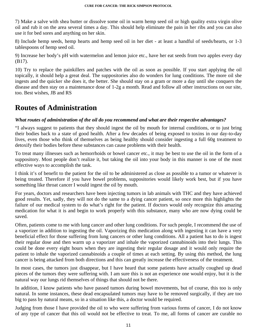7) Make a salve with shea butter or dissolve some oil in warm hemp seed oil or high quality extra virgin olive oil and rub it on the area several times a day. This should help eliminate the pain in her ribs and you can also use it for bed sores and anything on her skin.

8) Include hemp seeds, hemp hearts and hemp seed oil in her diet - at least a handful of seeds/hearts, or 1-3 tablespoons of hemp seed oil.

9) Increase her body's pH with watermelon and lemon juice etc., have her eat seeds from two apples every day (B17).

10) Try to replace the painkillers and patches with the oil as soon as possible. If you start applying the oil topically, it should help a great deal. The suppositories also do wonders for lung conditions. The more oil she ingests and the quicker she does it, the better. She should stay on a gram or more a day until she conquers the disease and then stay on a maintenance dose of 1-2g a month. Read and follow all other instructions on our site, too. Best wishes, JB and RS

### **Routes of Administration**

#### *What routes of administration of the oil do you recommend and what are their respective advantages?*

"I always suggest to patients that they should ingest the oil by mouth for internal conditions, or to just bring their bodies back to a state of good health. After a few decades of being exposed to toxins in our day-to-day lives, even those who think of themselves as being healthy should consider ingesting a full 60g treatment to detoxify their bodies before these substances can cause problems with their health.

To treat many illnesses such as hemorrhoids or bowel cancer etc., it may be best to use the oil in the form of a suppository. Most people don't realize it, but taking the oil into your body in this manner is one of the most effective ways to accomplish the task.

I think it's of benefit to the patient for the oil to be administered as close as possible to a tumor or whatever is being treated. Therefore if you have bowel problems, suppositories would likely work best, but if you have something like throat cancer I would ingest the oil by mouth.

For years, doctors and researchers have been injecting tumors in lab animals with THC and they have achieved good results. Yet, sadly, they will not do the same to a dying cancer patient, so once more this highlights the failure of our medical system to do what's right for the patient. If doctors would only recognize this amazing medication for what it is and begin to work properly with this substance, many who are now dying could be saved.

Often, patients come to me with lung cancer and other lung conditions. For such people, I recommend the use of a vaporizer in addition to ingesting the oil. Vaporizing this medication along with ingesting it can have a very beneficial effect for those suffering from lung cancers or other lung conditions. All a patient has to do is ingest their regular dose and then warm up a vaporizer and inhale the vaporized cannabinoids into their lungs. This could be done every eight hours when they are ingesting their regular dosage and it would only require the patient to inhale the vaporized cannabinoids a couple of times at each setting. By using this method, the lung cancer is being attacked from both directions and this can greatly increase the effectiveness of the treatment.

In most cases, the tumors just disappear, but I have heard that some patients have actually coughed up dead pieces of the tumors they were suffering with. I am sure this is not an experience one would enjoy, but it is the natural way our lungs rid themselves of things that should not be there.

In addition, I know patients who have passed tumors during bowel movements, but of course, this too is only natural. In some instances, these dead encapsulated tumors may have to be removed surgically, if they are too big to pass by natural means, so in a situation like this, a doctor would be required.

Judging from those I have provided the oil to who were suffering from various forms of cancer, I do not know of any type of cancer that this oil would not be effective to treat. To me, all forms of cancer are curable no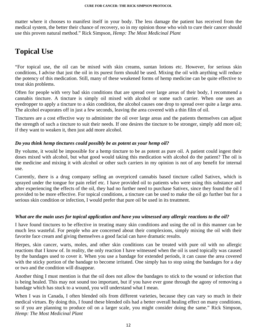matter where it chooses to manifest itself in your body. The less damage the patient has received from the medical system, the better their chance of recovery, so in my opinion those who wish to cure their cancer should use this proven natural method." Rick Simpson, *Hemp: The Most Medicinal Plant*

### **Topical Use**

"For topical use, the oil can be mixed with skin creams, suntan lotions etc. However, for serious skin conditions, I advise that just the oil in its purest form should be used. Mixing the oil with anything will reduce the potency of this medication. Still, many of these weakened forms of hemp medicine can be quite effective to treat skin problems.

Often for people with very bad skin conditions that are spread over large areas of their body, I recommend a cannabis tincture. A tincture is simply oil mixed with alcohol or some such carrier. When one uses an eyedropper to apply a tincture to a skin condition, the alcohol causes one drop to spread over quite a large area. The alcohol evaporates off in just a few seconds, leaving the area covered with a thin film of oil.

Tinctures are a cost effective way to administer the oil over large areas and the patients themselves can adjust the strength of such a tincture to suit their needs. If one desires the tincture to be stronger, simply add more oil; if they want to weaken it, then just add more alcohol.

#### *Do you think hemp tinctures could possibly be as potent as your hemp oil?*

By volume, it would be impossible for a hemp tincture to be as potent as pure oil. A patient could ingest their doses mixed with alcohol, but what good would taking this medication with alcohol do the patient? The oil is the medicine and mixing it with alcohol or other such carriers in my opinion is not of any benefit for internal use.

Currently, there is a drug company selling an overpriced cannabis based tincture called Sativex, which is sprayed under the tongue for pain relief etc. I have provided oil to patients who were using this substance and after experiencing the effects of the oil, they had no further need to purchase Sativex, since they found the oil I provided to be more effective. For topical conditions, a tincture can be used to make the oil go further but for a serious skin condition or infection, I would prefer that pure oil be used in its treatment.

#### *What are the main uses for topical application and have you witnessed any allergic reactions to the oil?*

I have found tinctures to be effective in treating many skin conditions and using the oil in this manner can be much less wasteful. For people who are concerned about their complexions, simply mixing the oil with their favorite face cream and giving themselves a good facial can have dramatic results.

Herpes, skin cancer, warts, moles, and other skin conditions can be treated with pure oil with no allergic reactions that I know of. In reality, the only reaction I have witnessed when the oil is used topically was caused by the bandages used to cover it. When you use a bandage for extended periods, it can cause the area covered with the sticky portion of the bandage to become irritated. One simply has to stop using the bandages for a day or two and the condition will disappear.

Another thing I must mention is that the oil does not allow the bandages to stick to the wound or infection that is being healed. This may not sound too important, but if you have ever gone through the agony of removing a bandage which has stuck to a wound, you will understand what I mean.

When I was in Canada, I often blended oils from different varieties, because they can vary so much in their medical virtues. By doing this, I found these blended oils had a better overall healing effect on many conditions, so if you are planning to produce oil on a larger scale, you might consider doing the same." Rick Simpson, *Hemp: The Most Medicinal Plant*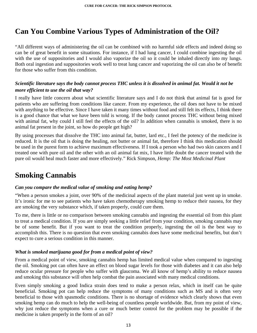### **Can You Combine Various Types of Administration of the Oil?**

"All different ways of administering the oil can be combined with no harmful side effects and indeed doing so can be of great benefit in some situations. For instance, if I had lung cancer, I could combine ingesting the oil with the use of suppositories and I would also vaporize the oil so it could be inhaled directly into my lungs. Both oral ingestion and suppositories work well to treat lung cancer and vaporizing the oil can also be of benefit for those who suffer from this condition.

#### *Scientific literature says the body cannot process THC unless it is dissolved in animal fat. Would it not be more efficient to use the oil that way?*

I really have little concern about what scientific literature says and I do not think that animal fat is good for patients who are suffering from conditions like cancer. From my experience, the oil does not have to be mixed with anything to be effective. Since I have taken it many times without food and still felt its effects, I think there is a good chance that what we have been told is wrong. If the body cannot process THC without being mixed with animal fat, why could I still feel the effects of the oil? In addition when cannabis is smoked, there is no animal fat present in the joint, so how do people get high?

By using processes that dissolve the THC into animal fat, butter, lard etc., I feel the potency of the medicine is reduced. It is the oil that is doing the healing, not butter or animal fat, therefore I think this medication should be used in the purest form to achieve maximum effectiveness. If I took a person who had two skin cancers and I treated one with pure oil and the other with an oil animal fat mix, I have little doubt the cancer treated with the pure oil would heal much faster and more effectively." Rick Simpson, *Hemp: The Most Medicinal Plant*

### **Smoking Cannabis**

#### *Can you compare the medical value of smoking and eating hemp?*

"When a person smokes a joint, over 90% of the medicinal aspects of the plant material just went up in smoke. It's ironic for me to see patients who have taken chemotherapy smoking hemp to reduce their nausea, for they are smoking the very substance which, if taken properly, could cure them.

To me, there is little or no comparison between smoking cannabis and ingesting the essential oil from this plant to treat a medical condition. If you are simply seeking a little relief from your condition, smoking cannabis may be of some benefit. But if you want to treat the condition properly, ingesting the oil is the best way to accomplish this. There is no question that even smoking cannabis does have some medicinal benefits, but don't expect to cure a serious condition in this manner.

#### *What is smoked marijuana good for from a medical point of view?*

From a medical point of view, smoking cannabis hemp has limited medical value when compared to ingesting the oil. Smoking pot can often have an effect on blood sugar levels for those with diabetes and it can also help reduce ocular pressure for people who suffer with glaucoma. We all know of hemp's ability to reduce nausea and smoking this substance will often help combat the pain associated with many medical conditions.

Even simply smoking a good Indica strain does tend to make a person relax, which in itself can be quite beneficial. Smoking pot can help reduce the symptoms of many conditions such as MS and is often very beneficial to those with spasmodic conditions. There is no shortage of evidence which clearly shows that even smoking hemp can do much to help the well-being of countless people worldwide. But, from my point of view, why just reduce the symptoms when a cure or much better control for the problem may be possible if the medicine is taken properly in the form of an oil?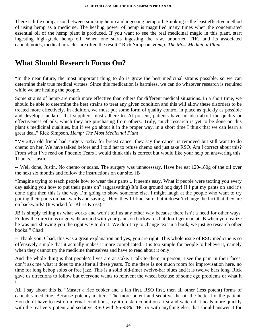There is little comparison between smoking hemp and ingesting hemp oil. Smoking is the least effective method of using hemp as a medicine. The healing power of hemp is magnified many times when the concentrated essential oil of the hemp plant is produced. If you want to see the real medicinal magic in this plant, start ingesting high-grade hemp oil. When one starts ingesting the raw, unburned THC and its associated cannabinoids, medical miracles are often the result." Rick Simpson, *Hemp: The Most Medicinal Plant*

### **What Should Research Focus On?**

"In the near future, the most important thing to do is grow the best medicinal strains possible, so we can determine their true medical virtues. Since this medication is harmless, we can do whatever research is required while we are healing the people.

Some strains of hemp are much more effective than others for different medical situations. In a short time, we should be able to determine the best strains to treat any given condition and this will allow these disorders to be treated more effectively. In addition, we must put some form of quality control in place as quickly as possible and develop standards that suppliers must adhere to. At present, patients have no idea about the quality or effectiveness of oils, which they are purchasing from others. Truly, much research is yet to be done on this plant's medicinal qualities, but if we go about it in the proper way, in a short time I think that we can learn a great deal." Rick Simpson, *Hemp: The Most Medicinal Plant*

"My 28yr old friend had surgery today for breast cancer they say the cancer is removed but still want to do chemo on her. We have talked before and I told her to refuse chemo and just take RSO. Am I correct about this? From what I've read on Phoenix Tears I would think this is correct but would like your help on answering this. Thanks." Justin

-- Well done, Justin. No chemo or scans. The surgery was unnecessary. Have her eat 120-180g of the oil over the next six months and follow the instructions on our site. JB

"Imagine trying to teach people how to wear their pants... It seems easy. What if people were texting you every day asking you how to put their pants on? (aggravating) It's like ground hog day! If I put my pants on and it's done right then this is the way I'm going to show someone else. I might laugh at the people who want to try putting their pants on backwards and saying, "Hey, they fit fine, sure, but it doesn't change the fact that they are on backwards! (It worked for Khris Kross)."

JB is simply telling us what works and won't tell us any other way because there isn't a need for other ways. Follow the directions or go walk around with your pants on backwards but don't get mad at JB when you realize he was just showing you the right way to do it! We don't try to change text in a book, we just go research other books!" Chad

-- Thank you, Chad, this was a great explanation and yes, you are right. This whole issue of RSO medicine is so offensively simple that it actually makes it more complicated. It is too simple for people to believe it, namely when they cannot try the medicine themselves and have to read about it only.

And the whole thing is that people's lives are at stake. I talk to them in person, I see the pain in their faces, don't ask me what it does to me after all these years. To me there is not much room for improvisation here, no time for long bebop solos or free jazz. This is a solid old-timer twelve-bar blues and it is twelve bars long. Rick gave us directions to follow but everyone wants to reinvent the wheel because of some ego problems or what it is.

All I say about this is, "Master a rice cooker and a fan first. RSO first, then all other (less potent) forms of cannabis medicine. Because potency matters. The more potent and sedative the oil the better for the patient. You don't have to test on internal conditions, try it on skin conditions first and watch if it heals more quickly with the real very potent and sedative RSO with 95-98% THC or with anything else, that should answer it for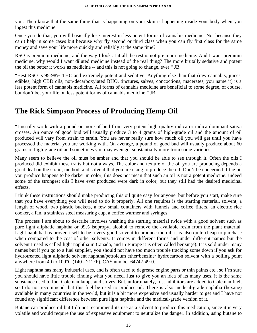you. Then know that the same thing that is happening on your skin is happening inside your body when you ingest this medicine.

Once you do that, you will basically lose interest in less potent forms of cannabis medicine. Not because they can't help in some cases but because why fly second or third class when you can fly first class for the same money and save your life more quickly and reliably at the same time?

RSO is premium medicine, and the way I look at it all the rest is not premium medicine. And I want premium medicine, why would I want diluted medicine instead of the real thing? The more brutally sedative and potent the oil the better it works as medicine -- and this is not going to change, ever." JB

"Best RSO is 95-98% THC and extremely potent and sedative. Anything else than that (raw cannabis, juices, edibles, high CBD oils, non-decarboxylated BHO, tinctures, salves, concoctions, macerates, you name it) is a less potent form of cannabis medicine. All forms of cannabis medicine are beneficial to some degree, of course, but don't bet your life on less potent forms of cannabis medicine." JB

### **The Rick Simpson Process of Producing Hemp Oil**

"I usually work with a pound or more of bud from very potent high quality indica or indica dominant sativa crosses. An ounce of good bud will usually produce 3 to 4 grams of high-grade oil and the amount of oil produced will vary from strain to strain. You are never really sure how much oil you will get until you have processed the material you are working with. On average, a pound of good bud will usually produce about 60 grams of high-grade oil and sometimes you may even get substantially more from some varieties.

Many seem to believe the oil must be amber and that you should be able to see through it. Often the oils I produced did exhibit these traits but not always. The color and texture of the oil you are producing depends a great deal on the strain, method, and solvent that you are using to produce the oil. Don't be concerned if the oil you produce happens to be darker in color, this does not mean that such an oil is not a potent medicine. Indeed some of the strongest oils I have ever produced were dark in color, but they still had the desired medicinal effects.

I think these instructions should make producing this oil quite easy for anyone, but before you start, make sure that you have everything you will need to do it properly. All one requires is the starting material, solvent, a length of wood, two plastic buckets, a few small containers with funnels and coffee filters, an electric rice cooker, a fan, a stainless steel measuring cup, a coffee warmer and syringes.

The process I am about to describe involves washing the starting material twice with a good solvent such as pure light aliphatic naphtha or 99% isopropyl alcohol to remove the available resin from the plant material. Light naphtha has proven itself to be a very good solvent to produce the oil, it is also quite cheap to purchase when compared to the cost of other solvents. It comes in different forms and under different names but the solvent I used is called light naphtha in Canada, and in Europe it is often called benzin(e). It is sold under many names but if you go to a fuel supplier, you should not have too much trouble tracking some down if you ask for hydrotreated light aliphatic solvent naphtha/petroleum ether/benzine/ hydrocarbon solvent with a boiling point anywhere from 40 to 100°C (140 - 212°F), CAS number 64742-49-0.

Light naphtha has many industrial uses, and is often used to degrease engine parts or thin paints etc., so I'm sure you should have little trouble finding what you need. Just to give you an idea of its many uses, it is the same substance used to fuel Coleman lamps and stoves. But, unfortunately, rust inhibitors are added to Coleman fuel, so I do not recommend that this fuel be used to produce oil. There is also medical-grade naphtha (hexane) available in many countries in the world, but it is a bit more expensive and usually harder to get and I have not found any significant difference between pure light naphtha and the medical-grade version of it.

Butane can produce oil but I do not recommend its use as a solvent to produce this medication, since it is very volatile and would require the use of expensive equipment to neutralize the danger. In addition, using butane to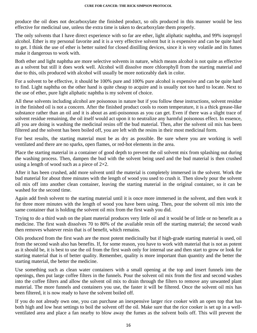produce the oil does not decarboxylate the finished product, so oils produced in this manner would be less effective for medicinal use, unless the extra time is taken to decarboxylate them properly.

The only solvents that I have direct experience with so far are ether, light aliphatic naphtha, and 99% isopropyl alcohol. Ether is my personal favorite and it is a very effective solvent but it is expensive and can be quite hard to get. I think the use of ether is better suited for closed distilling devices, since it is very volatile and its fumes make it dangerous to work with.

Both ether and light naphtha are more selective solvents in nature, which means alcohol is not quite as effective as a solvent but still it does work well. Alcohol will dissolve more chlorophyll from the starting material and due to this, oils produced with alcohol will usually be more noticeably dark in color.

For a solvent to be effective, it should be 100% pure and 100% pure alcohol is expensive and can be quite hard to find. Light naphtha on the other hand is quite cheap to acquire and is usually not too hard to locate. Next to the use of ether, pure light aliphatic naphtha is my solvent of choice.

All these solvents including alcohol are poisonous in nature but if you follow these instructions, solvent residue in the finished oil is not a concern. After the finished product cools to room temperature, it is a thick grease-like substance rather than an oil and it is about as anti-poisonous as you can get. Even if there was a slight trace of solvent residue remaining, the oil itself would act upon it to neutralize any harmful poisonous effect. In essence, all you are doing is washing the medicinal resins off the bud material. Then, after the solvent oil mix has been filtered and the solvent has been boiled off, you are left with the resins in their most medicinal form.

For best results, the starting material must be as dry as possible. Be sure where you are working is well ventilated and there are no sparks, open flames, or red-hot elements in the area.

Place the starting material in a container of good depth to prevent the oil solvent mix from splashing out during the washing process. Then, dampen the bud with the solvent being used and the bud material is then crushed using a length of wood such as a piece of  $2\times 2$ .

After it has been crushed, add more solvent until the material is completely immersed in the solvent. Work the bud material for about three minutes with the length of wood you used to crush it. Then slowly pour the solvent oil mix off into another clean container, leaving the starting material in the original container, so it can be washed for the second time.

Again add fresh solvent to the starting material until it is once more immersed in the solvent, and then work it for three more minutes with the length of wood you have been using. Then, pour the solvent oil mix into the same container that is holding the solvent oil mix from the first wash you did.

Trying to do a third wash on the plant material produces very little oil and it would be of little or no benefit as a medicine. The first wash dissolves 70 to 80% of the available resin off the starting material; the second wash then removes whatever resin that is of benefit, which remains.

Oils produced from the first wash are the most potent medicinally but if high-grade starting material is used, oil from the second wash also has benefits. If, for some reason, you have to work with material that is not as potent as it should be, it is best to use the oil from the first wash only for internal use and then start to grow or look for starting material that is of better quality. Remember, quality is more important than quantity and the better the starting material, the better the medicine.

Use something such as clean water containers with a small opening at the top and insert funnels into the openings, then put large coffee filters in the funnels. Pour the solvent oil mix from the first and second washes into the coffee filters and allow the solvent oil mix to drain through the filters to remove any unwanted plant material. The more funnels and containers you use, the faster it will be filtered. Once the solvent oil mix has been filtered, it is now ready to have the solvent boiled off.

If you do not already own one, you can purchase an inexpensive larger rice cooker with an open top that has both high and low heat settings to boil the solvent off the oil. Make sure that the rice cooker is set up in a wellventilated area and place a fan nearby to blow away the fumes as the solvent boils off. This will prevent the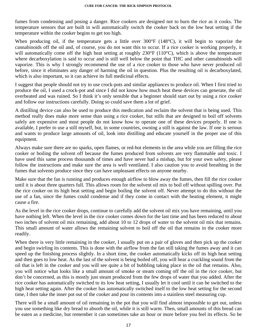fumes from condensing and posing a danger. Rice cookers are designed not to burn the rice as it cooks. The temperature sensors that are built in will automatically switch the cooker back on the low heat setting if the temperature within the cooker begins to get too high.

When producing oil, if the temperature gets a little over 300°F (148°C), it will begin to vaporize the cannabinoids off the oil and, of course, you do not want this to occur. If a rice cooker is working properly, it will automatically come off the high heat setting at roughly 230°F (110°C), which is above the temperature where decarboxylation is said to occur and is still well below the point that THC and other cannabinoids will vaporize. This is why I strongly recommend the use of a rice cooker to those who have never produced oil before, since it eliminates any danger of harming the oil in question. Plus the resulting oil is decarboxylated, which is also important, so it can achieve its full medicinal effects.

I suggest that people should not try to use crock-pots and similar appliances to produce oil. When I first tried to produce the oil, I used a crock-pot and since I did not know how much heat these devices can generate, the oil overheated and was ruined. So I think it's only sensible that a beginner should start out by using a rice cooker and follow our instructions carefully. Doing so could save them a lot of grief.

A distilling device can also be used to produce this medication and reclaim the solvent that is being used. This method really does make more sense than using a rice cooker, but stills that are designed to boil off solvents safely are expensive and most people do not know how to operate one of these devices properly. If one is available, I prefer to use a still myself, but, in some countries, owning a still is against the law. If one is serious and wants to produce large amounts of oil, look into distilling and educate yourself in the proper use of this equipment.

Always make sure there are no sparks, open flames, or red-hot elements in the area while you are filling the rice cooker or boiling the solvent off because the fumes produced from solvents are very flammable and toxic. I have used this same process thousands of times and have never had a mishap, but for your own safety, please follow the instructions and make sure the area is well ventilated. I also caution you to avoid breathing in the fumes that solvents produce since they can have unpleasant effects on anyone nearby.

Make sure that the fan is running and produces enough airflow to blow away the fumes, then fill the rice cooker until it is about three quarters full. This allows room for the solvent oil mix to boil off without spilling over. Put the rice cooker on its high heat setting and begin boiling the solvent off. Never attempt to do this without the use of a fan, since the fumes could condense and if they come in contact with the heating element, it might cause a fire.

As the level in the rice cooker drops, continue to carefully add the solvent oil mix you have remaining, until you have nothing left. When the level in the rice cooker comes down for the last time and has been reduced to about two inches of solvent oil mix remaining, add about 10 to 12 drops of water to the solvent oil mix that remains. This small amount of water allows the remaining solvent to boil off the oil that remains in the cooker more readily.

When there is very little remaining in the cooker, I usually put on a pair of gloves and then pick up the cooker and begin swirling its contents. This is done with the airflow from the fan still taking the fumes away and it can speed up the finishing process slightly. In a short time, the cooker automatically kicks off its high heat setting and then goes to low heat. As the last of the solvent is being boiled off, you will hear a crackling sound from the oil that is left in the cooker and you will see quite a bit of bubbling taking place in the oil that remains. Also, you will notice what looks like a small amount of smoke or steam coming off the oil in the rice cooker, but don't be concerned, as this is mostly just steam produced from the few drops of water that you added. After the rice cooker has automatically switched to its low heat setting, I usually let it cool until it can be switched to the high heat setting again. After the cooker has automatically switched itself to the low heat setting for the second time, I then take the inner pot out of the cooker and pour its contents into a stainless steel measuring cup.

There will be a small amount of oil remaining in the pot that you will find almost impossible to get out, unless you use something like dry bread to absorb the oil, while it is still warm. Then, small amounts of this bread can be eaten as a medicine, but remember it can sometimes take an hour or more before you feel its effects. So be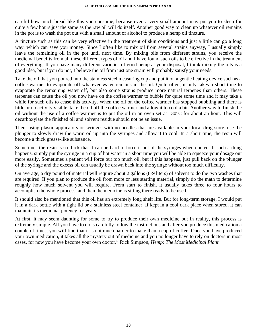careful how much bread like this you consume, because even a very small amount may put you to sleep for quite a few hours just the same as the raw oil will do itself. Another good way to clean up whatever oil remains in the pot is to wash the pot out with a small amount of alcohol to produce a hemp oil tincture.

A tincture such as this can be very effective in the treatment of skin conditions and just a little can go a long way, which can save you money. Since I often like to mix oil from several strains anyway, I usually simply leave the remaining oil in the pot until next time. By mixing oils from different strains, you receive the medicinal benefits from all these different types of oil and I have found such oils to be effective in the treatment of everything. If you have many different varieties of good hemp at your disposal, I think mixing the oils is a good idea, but if you do not, I believe the oil from just one strain will probably satisfy your needs.

Take the oil that you poured into the stainless steel measuring cup and put it on a gentle heating device such as a coffee warmer to evaporate off whatever water remains in the oil. Quite often, it only takes a short time to evaporate the remaining water off, but also some strains produce more natural terpenes than others. These terpenes can cause the oil you now have on the coffee warmer to bubble for quite some time and it may take a while for such oils to cease this activity. When the oil on the coffee warmer has stopped bubbling and there is little or no activity visible, take the oil off the coffee warmer and allow it to cool a bit. Another way to finish the oil without the use of a coffee warmer is to put the oil in an oven set at 130°C for about an hour. This will decarboxylate the finished oil and solvent residue should not be an issue.

Then, using plastic applicators or syringes with no needles that are available in your local drug store, use the plunger to slowly draw the warm oil up into the syringes and allow it to cool. In a short time, the resin will become a thick grease-like substance.

Sometimes the resin is so thick that it can be hard to force it out of the syringes when cooled. If such a thing happens, simply put the syringe in a cup of hot water in a short time you will be able to squeeze your dosage out more easily. Sometimes a patient will force out too much oil, but if this happens, just pull back on the plunger of the syringe and the excess oil can usually be drawn back into the syringe without too much difficulty.

On average, a dry pound of material will require about 2 gallons (8-9 liters) of solvent to do the two washes that are required. If you plan to produce the oil from more or less starting material, simply do the math to determine roughly how much solvent you will require. From start to finish, it usually takes three to four hours to accomplish the whole process, and then the medicine is sitting there ready to be used.

It should also be mentioned that this oil has an extremely long shelf life. But for long-term storage, I would put it in a dark bottle with a tight lid or a stainless steel container. If kept in a cool dark place when stored, it can maintain its medicinal potency for years.

At first, it may seem daunting for some to try to produce their own medicine but in reality, this process is extremely simple. All you have to do is carefully follow the instructions and after you produce this medication a couple of times, you will find that it is not much harder to make than a cup of coffee. Once you have produced your own medication, it takes all the mystery out of medicine and you no longer have to rely on doctors in most cases, for now you have become your own doctor." Rick Simpson, *Hemp: The Most Medicinal Plant*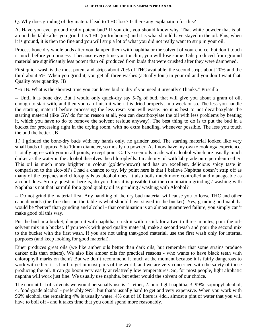Q. Why does grinding of dry material lead to THC loss? Is there any explanation for this?

A. Have you ever ground really potent bud? If you did, you should know why. That white powder that is all around the table after you grind it is THC (or trichomes) and it is what should have stayed in the oil. Plus, when it is ground, it is then too fine and you will strip a lot of what you did not really want to strip in your oil.

Process bone dry whole buds after you dampen them with naphtha or the solvent of your choice, but don't touch it much before you process it because every time you touch it, you will lose some. Oils produced from ground material are significantly less potent than oil produced from buds that were crushed after they were dampened.

First quick wash is the most potent and strips about 70% of THC available, the second strips about 20% and the third about 5%. When you grind it, you get all three washes (actually four) in your oil and you don't want that. Quality over quantity. JB

"Hi JB. What is the shortest time you can leave bud to dry if you need it urgently? Thanks." Priscilla

-- Until it is bone dry. But I would only quick-dry say 5-7g of bud, that will give you about a gram of oil, enough to start with, and then you can finish it when it is dried properly, in a week or so. The less you handle the starting material before processing the less resin you will waste. So it is best to not decarboxylate the starting material (like GW do for no reason at all, you can decarboxylate the oil with less problems by heating it, which you have to do to remove the solvent residue anyway). The best thing to do is to put the bud in a bucket for processing right in the drying room, with no extra handling, whenever possible. The less you touch the bud the better. JB

1.) I grinded the bone-dry buds with my hands only, no grinder used. The starting material looked like very small buds of approx. 5 to 10mm diameter, so mostly no powder. As I now have my own »cooking« experience, I totally agree with you in all points, except point C. I've seen oils made with alcohol which are usually much darker as the water in the alcohol dissolves the chlorophylls. I made my oil with lab grade pure petroleum ether. This oil is much more brighter in colour (golden-brown) and has an excellent, delicious spicy taste in comparison to the alco-oil's I had a chance to try. My point here is that I believe Naphtha doesn't strip off as many of the terpenes and chlorophylls as alcohol does. It also boils much more controlled and manageable as alcohol does. So my question here is, do you think it is possible that the combination grinding / washing with Naphtha is not that harmful for a good quality oil as grinding / washing with Alcohol?

-- Do not grind the material first. Any handling of the dry bud material will cause you to loose THC and other cannabinoids (the fine dust on the table is what should have stayed in the bucket). Yes, grinding and naphtha would be "better" than grinding and alcohol - that combination is an almost guaranteed failure, you simply can't make good oil this way.

Put the bud in a bucket, dampen it with naphtha, crush it with a stick for a two to three minutes, pour the oilsolvent mix in a bucket. If you work with good quality material, make a second wash and pour the second mix to the bucket with the first wash. If you are not using that-good material, use the first wash only for internal purposes (and keep looking for good material).

Ether produces great oils (we like amber oils better than dark oils, but remember that some strains produce darker oils than others). We also like amber oils for practical reasons - who wants to have black teeth with chlorophyll marks on them? But we don't recommend it much at the moment because it is fairly dangerous to work with ether, it is hard to get in most parts of the world, and we are very concerned with the safety of those producing the oil. It can go boom very easily at relatively low temperatures. So, for most people, light aliphatic naphtha will work just fine. We usually use naphtha, but ether would the solvent of our choice.

The current list of solvents we would personally use is: 1. ether, 2. pure light naphtha, 3. 99% isopropyl alcohol, 4. food-grade alcohol - preferably 99%, but that's usually hard to get and very expensive. When you work with 96% alcohol, the remaining 4% is usually water. 4% out of 10 liters is 4dcl, almost a pint of water that you will have to boil off - and it takes time that you could spend more reasonably.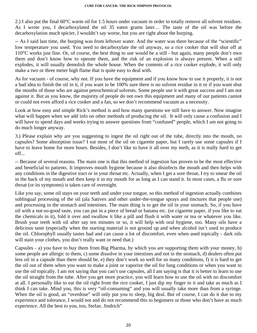2.) I also put the final 60°C warm oil for 1.5 hours under vacuum in order to totally remove all solvent residues. As I wrote you, I decarboxylated the oil 35 eaten grams later… The taste of the oil was before the decarboxylation much spicier, I wouldn't say worse, but you are right about the burping.

-- As I said last time, the burping was from leftover water. And the water was there because of the "scientific" low temperature you used. You need to decarboxylate the oil anyway, so a rice cooker that will shut off at 110°C works just fine. Or, of course, the best thing to use would be a still - but again, many people don't own them and don't know how to operate them, and the risk of an explosion is always present. When a still explodes, it will usually demolish the whole house. When the contents of a rice cooker explode, it will only make a two or three meter high flame that is quite easy to deal with.

As for vacuum - of course, why not. If you have the equipment and if you know how to use it properly, it is not a bad idea to finish the oil in it, if you want to be 100% sure there is no solvent residue in it or if you want shut the mouths of those who are against petrochemical solvents. Some people use it with great success and I am not against it. But as you know, the majority of people do not own this equipment and many of our patients cannot or could not even afford a rice cooker and a fan, so we don't recommend vacuum as a necessity.

Look at how easy and simple Rick's method is and how many questions we still have to answer. Now imagine what will happen when we add info on other methods of producing the oil. It will only cause a confusion and I will have to spend days and weeks trying to answer questions from "confused" people, which I am not going to do much longer anyway.

3.) Please explain why are you suggesting to ingest the oil right out of the tube, directly into the mouth, no capsules? Some absorption issue? I eat most of the oil on cigarette paper, but I rarely use some capsules if I have to leave home for more hours. Besides, I don't like to have it all over my teeth, as it is really hard to get off...

-- Because of several reasons. The main one is that this method of ingestion has proven to be the most effective and beneficial to patients. It improves mouth hygiene because it also disinfects the mouth and then helps with any conditions in the digestive tract or in your throat etc. Actually, when I get a sore throat, I try to smear the oil in the back of my mouth and then keep it in my mouth for as long as I can stand it. In most cases, a flu or sore throat (or its symptoms) is taken care of overnight.

Like you say, some oil stays on your teeth and under your tongue, so this method of ingestion actually combines sublingual processing of the oil (ala Sativex and other under-the-tongue sprays and tinctures that people use) and processing in the stomach and intestines. The main thing is to get the oil in your stomach. So, if you have oil with a not-so-good taste, you can put in a piece of bread or banana etc. (or cigarette paper, if you like to eat the chemicals in it), fold it over and swallow it like a pill and flush it with water or tea or whatever you like. Brush your teeth with oil after say ten minutes or so, it will help with oral hygiene, too. Many oils have a delicious taste (especially when the starting material is not ground up and when alcohol isn't used to produce the oil. Chlorophyll usually tastes bad and can cause a lot of discomfort, even when used topically - dark oils will stain your clothes, you don't really want or need that.)

Capsules - a) you have to buy them from Big Pharma, by which you are supporting them with your money, b) some people are allergic to them, c) some dissolve in your intestines and not in the stomach, d) dealers often put less oil in a capsule than there should be, e) they don't work so well for so many conditions, f) it is hard to get the oil out of them when you want to make a joint or vaporize the oil for lung conditions or when you want to use the oil topically. I am not saying that you can't use capsules, all I am saying is that it is better to learn to use the oil straight from the tube. After you get more practice, you will learn how to use the oil with no discomfort at all. I personally like to eat the oil right from the rice cooker, I just dip my finger in it and take as much as I think I can take. Mind you, this is very "oil-consuming" and you will usually take more than from a syringe. When the oil is good, an "overdose" will only put you to sleep, big deal. But of course, I can do it due to my experience and tolerance, I would not and do not recommend this to beginners or those who don't have as much experience. All the best to you, too, Stefan. Jindrich"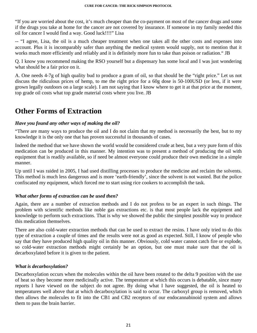"If you are worried about the cost, it's much cheaper than the co-payment on most of the cancer drugs and some if the drugs you take at home for the cancer are not covered by insurance. If someone in my family needed this oil for cancer I would find a way. Good luck!!!!" Lisa

-- "I agree, Lisa, the oil is a much cheaper treatment when one takes all the other costs and expenses into account. Plus it is incomparably safer than anything the medical system would supply, not to mention that it works much more efficiently and reliably and it is definitely more fun to take than poison or radiation." JB

Q. I know you recommend making the RSO yourself but a dispensary has some local and I was just wondering what should be a fair price on it.

A. One needs 4-7g of high quality bud to produce a gram of oil, so that should be the "right price." Let us not discuss the ridiculous prices of hemp, to me the right price for a 60g dose is 50-100USD (or less, if it were grown legally outdoors on a large scale). I am not saying that I know where to get it at that price at the moment, top grade oil costs what top grade material costs where you live. JB

### **Other Forms of Extraction**

#### *Have you found any other ways of making the oil?*

"There are many ways to produce the oil and I do not claim that my method is necessarily the best, but to my knowledge it is the only one that has proven successful in thousands of cases.

Indeed the method that we have shown the world would be considered crude at best, but a very pure form of this medication can be produced in this manner. My intention was to present a method of producing the oil with equipment that is readily available, so if need be almost everyone could produce their own medicine in a simple manner.

Up until I was raided in 2005, I had used distilling processes to produce the medicine and reclaim the solvents. This method is much less dangerous and is more 'earth-friendly', since the solvent is not wasted. But the police confiscated my equipment, which forced me to start using rice cookers to accomplish the task.

#### *What other forms of extraction can be used then?*

Again, there are a number of extraction methods and I do not profess to be an expert in such things. The problem with scientific methods like noble gas extractions etc. is that most people lack the equipment and knowledge to perform such extractions. That is why we showed the public the simplest possible way to produce this medication themselves.

There are also cold-water extraction methods that can be used to extract the resins. I have only tried to do this type of extraction a couple of times and the results were not as good as expected. Still, I know of people who say that they have produced high quality oil in this manner. Obviously, cold water cannot catch fire or explode, so cold-water extraction methods might certainly be an option, but one must make sure that the oil is decarboxylated before it is given to the patient.

#### *What is decarboxylation?*

Decarboxylation occurs when the molecules within the oil have been rotated to the delta 9 position with the use of heat so they become more medicinally active. The temperature at which this occurs is debatable, since many reports I have viewed on the subject do not agree. By doing what I have suggested, the oil is heated to temperatures well above that at which decarboxylation is said to occur. The carboxyl group is removed, which then allows the molecules to fit into the CB1 and CB2 receptors of our endocannabinoid system and allows them to pass the brain barrier.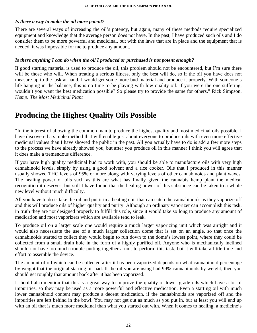#### *Is there a way to make the oil more potent?*

There are several ways of increasing the oil's potency, but again, many of these methods require specialized equipment and knowledge that the average person does not have. In the past, I have produced such oils and I do consider them to be more powerful and medicinal, but with the laws that are in place and the equipment that is needed, it was impossible for me to produce any amount.

#### *Is there anything I can do when the oil I produced or purchased is not potent enough?*

If good starting material is used to produce the oil, this problem should not be encountered, but I'm sure there will be those who will. When treating a serious illness, only the best will do, so if the oil you have does not measure up to the task at hand, I would get some more bud material and produce it properly. With someone's life hanging in the balance, this is no time to be playing with low quality oil. If you were the one suffering, wouldn't you want the best medication possible? So please try to provide the same for others." Rick Simpson, *Hemp: The Most Medicinal Plant*

### **Producing the Highest Quality Oils Possible**

"In the interest of allowing the common man to produce the highest quality and most medicinal oils possible, I have discovered a simple method that will enable just about everyone to produce oils with even more effective medicinal values than I have showed the public in the past. All you actually have to do is add a few more steps to the process we have already showed you, but after you produce oil in this manner I think you will agree that it does make a tremendous difference.

If you have high quality medicinal bud to work with, you should be able to manufacture oils with very high cannabinoid levels, simply by using a good solvent and a rice cooker. Oils that I produced in this manner usually showed THC levels of 95% or more along with varying levels of other cannabinoids and plant waxes. The healing power of oils such as this are what has finally given the cannabis hemp plant the medical recognition it deserves, but still I have found that the healing power of this substance can be taken to a whole new level without much difficulty.

All you have to do is take the oil and put it in a heating unit that can catch the cannabinoids as they vaporize off and this will produce oils of higher quality and purity. Although an ordinary vaporizer can accomplish this task, in truth they are not designed properly to fulfill this role, since it would take so long to produce any amount of medication and most vaporizers which are available tend to leak.

To produce oil on a larger scale one would require a much larger vaporizing unit which was airtight and it would also necessitate the use of a much larger collection dome that is set on an angle, so that once the cannabinoids started to collect they would begin to run down to the dome's lowest point, where they could be collected from a small drain hole in the form of a highly purified oil. Anyone who is mechanically inclined should not have too much trouble putting together a unit to perform this task, but it will take a little time and effort to assemble the device.

The amount of oil which can be collected after it has been vaporized depends on what cannabinoid percentage by weight that the original starting oil had. If the oil you are using had 99% cannabinoids by weight, then you should get roughly that amount back after it has been vaporized.

I should also mention that this is a great way to improve the quality of lower grade oils which have a lot of impurities, so they may be used as a more powerful and effective medication. Even a starting oil with much lower cannabinoid content may produce a decent medication, if the cannabinoids are vaporized off and the impurities are left behind in the bowl. You may not get out as much as you put in, but at least you will end up with an oil that is much more medicinal than what you started out with. When it comes to healing, a medicine's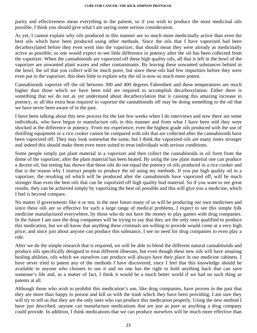purity and effectiveness mean everything to the patient, so if you wish to produce the most medicinal oils possible, I think you should give what I am saying some serious consideration.

As yet, I cannot explain why oils produced in this manner are so much more medicinally active than even the best oils which have been produced using other methods. Since the oils that I have vaporized had been decarboxylated before they even went into the vaporizer, that should mean they were already as medicinally active as possible, so one would expect to see little difference in potency after the oil has been collected from the vaporizer. When the cannabinoids are vaporized off these high quality oils, all that is left in the bowl of the vaporizer are unwanted plant waxes and other contaminants. By leaving these unwanted substances behind in the bowl, the oil that you collect will be much purer, but since these oils had few impurities before they were even put in the vaporizer, this does little to explain why the oil is now so much more potent.

Cannabinoids vaporize off the oil between 300 and 400 degrees Fahrenheit and these temperatures are much higher than those which we have been told are required to accomplish decarboxylation. Either there is something that we do not as yet understand about decarboxylation that is causing this amazing increase in potency, or all this extra heat required to vaporize the cannabinoids off may be doing something to the oil that we have never been aware of in the past.

I have been talking about this new process for the last few weeks when I do interviews and now there are some individuals, who have begun to manufacture oils in this manner and from what I have been told they were shocked at the difference in potency. From my experience, even the highest grade oils produced with the use of distilling equipment or a rice cooker cannot be compared with oils that are collected after the cannabinoids have been vaporized off. They may look somewhat the same, but I think the vaporized oils are many times stronger and indeed this should make them even more suited to treat individuals with serious conditions.

Some people simply put plant material in a vaporizer and then collect the cannabinoids in oil form from the dome of the vaporizer, after the plant material has been heated. By using the raw plant material one can produce a decent oil, but testing has shown that these oils do not equal the potency of oils produced in a rice cooker and that is the reason why I instruct people to produce the oil using my methods. If you put high quality oil in a vaporizer, the resulting oil which will be produced after the cannabinoids have vaporized off, will be much stronger than even the best oils that can be vaporized off high quality bud material. So if you want to see great results, they can be achieved simply by vaporizing the best oil possible and this will give you a medicine, which I feel is beyond compare.

No matter if governments like it or not, in the near future many of us will be producing our own medicines and since these oils are so effective for such a large range of medical problems, I expect to see this simple folk medicine manufactured everywhere, by those who do not have the money to play games with drug companies. In the future I am sure the drug companies will be trying to say that they are the only ones qualified to produce this medication, but we all know that anything these criminals are willing to provide would come at a very high price; and since just about anyone can produce this substance, I see no need for drug companies to even play a role.

After we do the simple research that is required, we will be able to blend the different natural cannabinoids and produce oils specifically designed to treat different illnesses, but even though these new oils will have amazing healing abilities, oils which we ourselves can produce will always have their place in our medicine cabinets. I have never tried to patent any of the methods I have discovered, since I feel that this knowledge should be available to anyone who chooses to use it and no one has the right to hold anything back that can save someone's life and, as a matter of fact, I think it would be a much better world if we had no such thing as patents at all.

Although those who wish to prohibit this medication's use, like drug companies, have proven in the past that they are more than happy to poison and kill us with the trash which they have been providing, I am sure they will try to tell us that they are the only ones who can produce this medication properly. Using the new method I have just described, anyone can manufacture medications that are just as pure as anything a drug company could provide. In addition, I think medications that we can produce ourselves will be much more effective than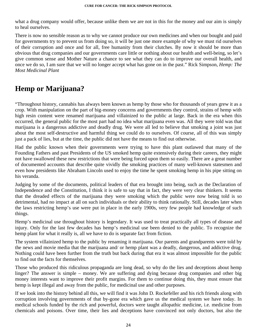what a drug company would offer, because unlike them we are not in this for the money and our aim is simply to heal ourselves.

There is now no sensible reason as to why we cannot produce our own medicines and when our bought and paid for governments try to prevent us from doing so, it will be just one more example of why we must rid ourselves of their corruption and once and for all, free humanity from their clutches. By now it should be more than obvious that drug companies and our governments care little or nothing about our health and well-being, so let's give common sense and Mother Nature a chance to see what they can do to improve our overall health, and once we do so, I am sure that we will no longer accept what has gone on in the past." Rick Simpson, *Hemp: The Most Medicinal Plant*

### **Hemp or Marijuana?**

"Throughout history, cannabis has always been known as hemp by those who for thousands of years grew it as a crop. With manipulation on the part of big-money concerns and governments they control, strains of hemp with high resin content were renamed marijuana and villainized to the public at large. Back in the era when this occurred, the general public for the most part had no idea what marijuana even was. All they were told was that marijuana is a dangerous addictive and deadly drug. We were all led to believe that smoking a joint was just about the most self-destructive and harmful thing we could do to ourselves. Of course, all of this was simply just a pack of lies, but at the time, the public did not have the means to find out otherwise.

Had the public known when their governments were trying to have this plant outlawed that many of the Founding Fathers and past Presidents of the US smoked hemp quite extensively during their careers, they might not have swallowed these new restrictions that were being forced upon them so easily. There are a great number of documented accounts that describe quite vividly the smoking practices of many well-known statesmen and even how presidents like Abraham Lincoln used to enjoy the time he spent smoking hemp in his pipe sitting on his veranda.

Judging by some of the documents, political leaders of that era brought into being, such as the Declaration of Independence and the Constitution, I think it is safe to say that in fact, they were very clear thinkers. It seems that the dreaded effects of the marijuana they were smoking which the public were now being told is so detrimental, had no impact at all on such individuals or their ability to think rationally. Still, decades later when the laws restricting hemp's use were put in place in the early 1900s, very few people had knowledge of such things.

Hemp's medicinal use throughout history is legendary. It was used to treat practically all types of disease and injury. Only for the last few decades has hemp's medicinal use been denied to the public. To recognize the hemp plant for what it really is, all we have to do is separate fact from fiction.

The system villainized hemp to the public by renaming it marijuana. Our parents and grandparents were told by the news and movie media that the marijuana and/ or hemp plant was a deadly, dangerous, and addictive drug. Nothing could have been further from the truth but back during that era it was almost impossible for the public to find out the facts for themselves.

Those who produced this ridiculous propaganda are long dead, so why do the lies and deceptions about hemp linger? The answer is simple – money. We are suffering and dying because drug companies and other big money interests want to improve their profit margins. For them to continue doing this, they must ensure that hemp is kept illegal and away from the public, for medicinal use and other purposes.

If we look into the history behind all this, we will find it was John D. Rockefeller and his rich friends along with corruption involving governments of that by-gone era which gave us the medical system we have today. In medical schools funded by the rich and powerful, doctors were taught allopathic medicine, i.e. medicine from chemicals and poisons. Over time, their lies and deceptions have convinced not only doctors, but also the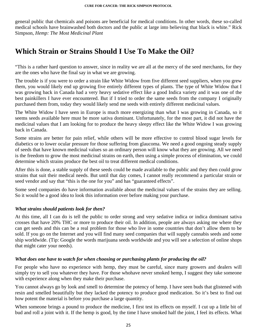general public that chemicals and poisons are beneficial for medical conditions. In other words, these so-called medical schools have brainwashed both doctors and the public at large into believing that black is white." Rick Simpson, *Hemp: The Most Medicinal Plant*

### **Which Strain or Strains Should I Use To Make the Oil?**

"This is a rather hard question to answer, since in reality we are all at the mercy of the seed merchants, for they are the ones who have the final say in what we are growing.

The trouble is if you were to order a strain like White Widow from five different seed suppliers, when you grew them, you would likely end up growing five entirely different types of plants. The type of White Widow that I was growing back in Canada had a very heavy sedative effect like a good Indica variety and it was one of the best painkillers I have ever encountered. But if I tried to order the same seeds from the company I originally purchased them from, today they would likely send me seeds with entirely different medicinal values.

The White Widow I have seen in Europe is much more energizing than what I was growing in Canada, so it seems seeds available here must be more sativa dominant. Unfortunately, for the most part, it did not have the medicinal values that I am looking for to produce the heavy sleepy effect like the White Widow I was growing back in Canada.

Some strains are better for pain relief, while others will be more effective to control blood sugar levels for diabetics or to lower ocular pressure for those suffering from glaucoma. We need a good ongoing steady supply of seeds that have known medicinal values so an ordinary person will know what they are growing. All we need is the freedom to grow the most medicinal strains on earth, then using a simple process of elimination, we could determine which strains produce the best oil to treat different medical conditions.

After this is done, a stable supply of these seeds could be made available to the public and they then could grow strains that suit their medical needs. But until that day comes, I cannot really recommend a particular strain or seed vendor and say that "this is the one for you" and has "guaranteed effects".

Some seed companies do have information available about the medicinal values of the strains they are selling. So it would be a good idea to look this information over before making your purchase.

#### *What strains should patients look for then?*

At this time, all I can do is tell the public to order strong and very sedative indica or indica dominant sativa crosses that have 20% THC or more to produce their oil. In addition, people are always asking me where they can get seeds and this can be a real problem for those who live in some countries that don't allow them to be sold. If you go on the Internet and you will find many seed companies that will supply cannabis seeds and some ship worldwide. (Tip: Google the words marijuana seeds worldwide and you will see a selection of online shops that might cater your needs).

#### *What does one have to watch for when choosing or purchasing plants for producing the oil?*

For people who have no experience with hemp, they must be careful, since many growers and dealers will simply try to sell you whatever they have. For those whohave never smoked hemp, I suggest they take someone with experience along when they make their purchase.

You cannot always go by look and smell to determine the potency of hemp. I have seen buds that glistened with resin and smelled beautifully but they lacked the potency to produce good medication. So it's best to find out how potent the material is before you purchase a large quantity.

When someone brings a pound to produce the medicine, I first test its effects on myself. I cut up a little bit of bud and roll a joint with it. If the hemp is good, by the time I have smoked half the joint, I feel its effects. What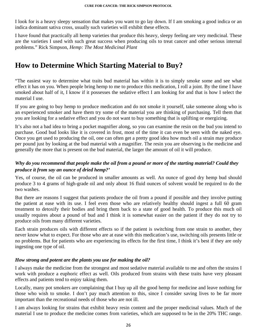I look for is a heavy sleepy sensation that makes you want to go lay down. If I am smoking a good indica or an indica dominant sativa cross, usually such varieties will exhibit these effects.

I have found that practically all hemp varieties that produce this heavy, sleepy feeling are very medicinal. These are the varieties I used with such great success when producing oils to treat cancer and other serious internal problems." Rick Simpson, *Hemp: The Most Medicinal Plant*

### **How to Determine Which Starting Material to Buy?**

"The easiest way to determine what traits bud material has within it is to simply smoke some and see what effect it has on you. When people bring hemp to me to produce this medication, I roll a joint. By the time I have smoked about half of it, I know if it possesses the sedative effect I am looking for and that is how I select the material I use.

If you are going to buy hemp to produce medication and do not smoke it yourself, take someone along who is an experienced smoker and have them try some of the material you are thinking of purchasing. Tell them that you are looking for a sedative effect and you do not want to buy something that is uplifting or energizing.

It's also not a bad idea to bring a pocket magnifier along, so you can examine the resin on the bud you intend to purchase. Good bud looks like it is covered in frost, most of the time it can even be seen with the naked eye. Once you get used to producing the oil, one can often get a pretty good idea how much oil a strain may produce per pound just by looking at the bud material with a magnifier. The resin you are observing is the medicine and generally the more that is present on the bud material, the larger the amount of oil it will produce.

#### *Why do you recommend that people make the oil from a pound or more of the starting material? Could they produce it from say an ounce of dried hemp?'*

Yes, of course, the oil can be produced in smaller amounts as well. An ounce of good dry hemp bud should produce 3 to 4 grams of high-grade oil and only about 16 fluid ounces of solvent would be required to do the two washes.

But there are reasons I suggest that patients produce the oil from a pound if possible and they involve putting the patient at ease with its use. I feel even those who are relatively healthy should ingest a full 60 gram treatment to detoxify their bodies and bring them back to a state of good health. To produce this much oil usually requires about a pound of bud and I think it is somewhat easier on the patient if they do not try to produce oils from many different varieties.

Each strain produces oils with different effects so if the patient is switching from one strain to another, they never know what to expect. For those who are at ease with this medication's use, switching oils presents little or no problems. But for patients who are experiencing its effects for the first time, I think it's best if they are only ingesting one type of oil.

#### *How strong and potent are the plants you use for making the oil?*

I always make the medicine from the strongest and most sedative material available to me and often the strains I work with produce a euphoric effect as well. Oils produced from strains with these traits have very pleasant effects and patients tend to enjoy taking them.

Locally, many pot smokers are complaining that I buy up all the good hemp for medicine and leave nothing for those who wish to smoke. I don't pay much attention to this, since I consider saving lives to be far more important than the recreational needs of those who are not ill.

I am always looking for strains that exhibit heavy resin content and the proper medicinal values. Much of the material I use to produce the medicine comes from varieties, which are supposed to be in the 20% THC range.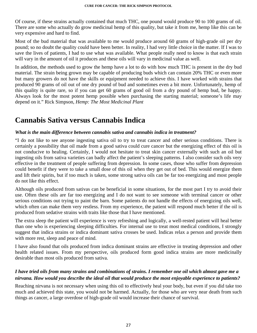Of course, if these strains actually contained that much THC, one pound would produce 90 to 100 grams of oil. There are some who actually do grow medicinal hemp of this quality, but take it from me, hemp like this can be very expensive and hard to find.

Most of the bud material that was available to me would produce around 60 grams of high-grade oil per dry pound; so no doubt the quality could have been better. In reality, I had very little choice in the matter. If I was to save the lives of patients, I had to use what was available. What people really need to know is that each strain will vary in the amount of oil it produces and these oils will vary in medicinal value as well.

In addition, the methods used to grow the hemp have a lot to do with how much THC is present in the dry bud material. The strain being grown may be capable of producing buds which can contain 20% THC or even more but many growers do not have the skills or equipment needed to achieve this. I have worked with strains that produced 90 grams of oil out of one dry pound of bud and sometimes even a bit more. Unfortunately, hemp of this quality is quite rare, so if you can get 60 grams of good oil from a dry pound of hemp bud, be happy. Always look for the most potent hemp possible when purchasing the starting material; someone's life may depend on it." Rick Simpson, *Hemp: The Most Medicinal Plant*

### **Cannabis Sativa versus Cannabis Indica**

#### *What is the main difference between cannabis sativa and cannabis indica in treatment?*

"I do not like to see anyone ingesting sativa oil to try to treat cancer and other serious conditions. There is certainly a possibility that oil made from a good sativa could cure cancer but the energizing effect of this oil is not conducive to healing. Certainly, I would not hesitate to treat skin cancer externally with such an oil but ingesting oils from sativa varieties can badly affect the patient's sleeping patterns. I also consider such oils very effective in the treatment of people suffering from depression. In some cases, those who suffer from depression could benefit if they were to take a small dose of this oil when they get out of bed. This would energize them and lift their spirits, but if too much is taken, some strong sativa oils can be far too energizing and most people do not like this effect.

Although oils produced from sativas can be beneficial in some situations, for the most part I try to avoid their use. Often these oils are far too energizing and I do not want to see someone with terminal cancer or other serious conditions out trying to paint the barn. Some patients do not handle the effects of energizing oils well, which often can make them very restless. From my experience, the patient will respond much better if the oil is produced from sedative strains with traits like those that I have mentioned.

The extra sleep the patient will experience is very refreshing and logically, a well-rested patient will heal better than one who is experiencing sleeping difficulties. For internal use to treat most medical conditions, I strongly suggest that indica strains or indica dominant sativa crosses be used. Indicas relax a person and provide them with more rest, sleep and peace of mind.

I have also found that oils produced from indica dominant strains are effective in treating depression and other health related issues. From my perspective, oils produced form good indica strains are more medicinally desirable than most oils produced from sativa.

#### *I have tried oils from many strains and combinations of strains. I remember one oil which almost gave me a nirvana. How would you describe the ideal oil that would produce the most enjoyable experience to patients?*

Reaching nirvana is not necessary when using this oil to effectively heal your body, but even if you did take too much and achieved this state, you would not be harmed. Actually, for those who are very near death from such things as cancer, a large overdose of high-grade oil would increase their chance of survival.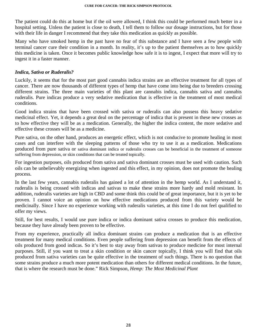The patient could do this at home but if the oil were allowed, I think this could be performed much better in a hospital setting. Unless the patient is close to death, I tell them to follow our dosage instructions, but for those with their life in danger I recommend that they take this medication as quickly as possible.

Many who have smoked hemp in the past have no fear of this substance and I have seen a few people with terminal cancer cure their condition in a month. In reality, it's up to the patient themselves as to how quickly this medicine is taken. Once it becomes public knowledge how safe it is to ingest, I expect that more will try to ingest it in a faster manner.

#### *Indica, Sativa or Ruderalis?*

Luckily, it seems that for the most part good cannabis indica strains are an effective treatment for all types of cancer. There are now thousands of different types of hemp that have come into being due to breeders crossing different strains. The three main varieties of this plant are cannabis indica, cannabis sativa and cannabis ruderalis. Pure indicas produce a very sedative medication that is effective in the treatment of most medical conditions.

Good indica strains that have been crossed with sativa or ruderalis can also possess this heavy sedative medicinal effect. Yet, it depends a great deal on the percentage of indica that is present in these new crosses as to how effective they will be as a medication. Generally, the higher the indica content, the more sedative and effective these crosses will be as a medicine.

Pure sativa, on the other hand, produces an energetic effect, which is not conducive to promote healing in most cases and can interfere with the sleeping patterns of those who try to use it as a medication. Medications produced from pure sativa or sativa dominant indica or ruderalis crosses can be beneficial in the treatment of someone suffering from depression, or skin conditions that can be treated topically.

For ingestion purposes, oils produced from sativa and sativa dominant crosses must be used with caution. Such oils can be unbelievably energizing when ingested and this effect, in my opinion, does not promote the healing process.

In the last few years, cannabis ruderalis has gained a lot of attention in the hemp world. As I understand it, ruderalis is being crossed with indicas and sativas to make these strains more hardy and mold resistant. In addition, ruderalis varieties are high in CBD and some think this could be of great importance, but it is yet to be proven. I cannot voice an opinion on how effective medications produced from this variety would be medicinally. Since I have no experience working with ruderalis varieties, at this time I do not feel qualified to offer my views.

Still, for best results, I would use pure indica or indica dominant sativa crosses to produce this medication, because they have already been proven to be effective.

From my experience, practically all indica dominant strains can produce a medication that is an effective treatment for many medical conditions. Even people suffering from depression can benefit from the effects of oils produced from good indicas. So it's best to stay away from sativas to produce medicine for most internal purposes. Still, if you want to treat a skin condition or skin cancer topically, I think you will find that oils produced from sativa varieties can be quite effective in the treatment of such things. There is no question that some strains produce a much more potent medication than others for different medical conditions. In the future, that is where the research must be done." Rick Simpson, *Hemp: The Most Medicinal Plant*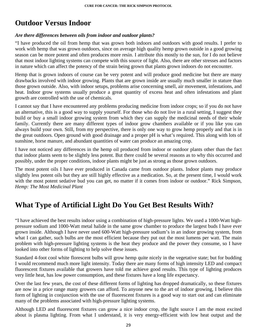### **Outdoor Versus Indoor**

#### *Are there differences between oils from indoor and outdoor plants?*

"I have produced the oil from hemp that was grown both indoors and outdoors with good results. I prefer to work with hemp that was grown outdoors, since on average high quality hemp grown outside in a good growing season can be more potent and often produces more resin. I attribute this mostly to the sun, for I do not believe that most indoor lighting systems can compete with this source of light. Also, there are other stresses and factors in nature which can affect the potency of the strain being grown that plants grown indoors do not encounter.

Hemp that is grown indoors of course can be very potent and will produce good medicine but there are many drawbacks involved with indoor growing. Plants that are grown inside are usually much smaller in stature than those grown outside. Also, with indoor setups, problems arise concerning smell, air movement, infestations, and heat. Indoor grow systems usually produce a great quantity of excess heat and often infestations and plant growth are controlled with the use of chemicals.

I cannot say that I have encountered any problems producing medicine from indoor crops; so if you do not have an alternative, this is a good way to supply yourself. For those who do not live in a rural setting, I suggest they build or buy a small indoor growing system from which they can supply the medicinal needs of their whole family. Currently there are many different types of indoor grow chambers available or if you like you can always build your own. Still, from my perspective, there is only one way to grow hemp properly and that is in the great outdoors. Open ground with good drainage and a proper pH is what's required. This along with lots of sunshine, horse manure, and abundant quantities of water can produce an amazing crop.

I have not noticed any differences in the hemp oil produced from indoor or outdoor plants other than the fact that indoor plants seem to be slightly less potent. But there could be several reasons as to why this occurred and possibly, under the proper conditions, indoor plants might be just as strong as those grown outdoors.

The most potent oils I have ever produced in Canada came from outdoor plants. Indoor plants may produce slightly less potent oils but they are still highly effective as a medication. So, at the present time, I would work with the most potent sedative bud you can get, no matter if it comes from indoor or outdoor." Rick Simpson, *Hemp: The Most Medicinal Plant*

### **What Type of Artificial Light Do You Get Best Results With?**

"I have achieved the best results indoor using a combination of high-pressure lights. We used a 1000-Watt highpressure sodium and 1000-Watt metal halide in the same grow chamber to produce the largest buds I have ever grown inside. Although I have never used 600-Watt high-pressure sodium's in an indoor growing system, from what I can gather, such bulbs are the most efficient because they put out the most lumens per watt. The main problem with high-pressure lighting systems is the heat they produce and the power they consume, so I have looked into other forms of lighting to help solve these issues.

Standard 4-foot cool white florescent bulbs will grow hemp quite nicely in the vegetative state; but for budding I would recommend much more light intensity. Today there are many forms of high intensity LED and compact fluorescent fixtures available that growers have told me achieve good results. This type of lighting produces very little heat, has low power consumption, and these fixtures have a long life expectancy.

Over the last few years, the cost of these different forms of lighting has dropped dramatically, so these fixtures are now in a price range many growers can afford. To anyone new to the art of indoor growing, I believe this form of lighting in conjunction with the use of fluorescent fixtures is a good way to start out and can eliminate many of the problems associated with high-pressure lighting systems.

Although LED and fluorescent fixtures can grow a nice indoor crop, the light source I am the most excited about is plasma lighting. From what I understand, it is very energy-efficient with low heat output and the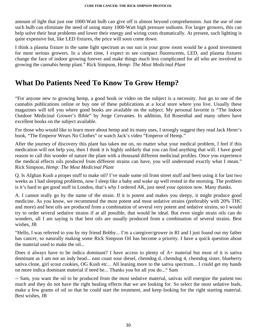amount of light that just one 1000-Watt bulb can give off is almost beyond comprehension. Just the use of one such bulb can eliminate the need of using many 1000-Watt high pressure sodiums. For larger growers, this can help solve their heat problems and lower their energy and wiring costs dramatically. At present, such lighting is quite expensive but, like LED fixtures, the price will soon come down.

I think a plasma fixture in the same light spectrum as our sun in your grow room would be a good investment for most serious growers. In a short time, I expect to see compact fluorescents, LED, and plasma fixtures change the face of indoor growing forever and make things much less complicated for all who are involved in growing the cannabis hemp plant." Rick Simpson, *Hemp: The Most Medicinal Plant* 

### **What Do Patients Need To Know To Grow Hemp?**

"For anyone new to growing hemp, a good book or video on the subject is a necessity. Just go to one of the cannabis publications online or buy one of these publications at a local store where you live. Usually these magazines will tell you where good books are available on the subject. My personal favorite is "The Indoor Outdoor Medicinal Grower's Bible" by Jorge Cervantes. In addition, Ed Rosenthal and many others have excellent books on the subject available.

For those who would like to learn more about hemp and its many uses, I strongly suggest they read Jack Herer's book, "The Emperor Wears No Clothes" or watch Jack's video "Emperor of Hemp."

After the journey of discovery this plant has taken me on, no matter what your medical problem, I feel if this medication will not help you, then I think it is highly unlikely that you can find anything that will. I have good reason to call this wonder of nature the plant with a thousand different medicinal profiles. Once you experience the medical effects oils produced from different strains can have, you will understand exactly what I mean." Rick Simpson, *Hemp: The Most Medicinal Plant*

Q. Is Afghan Kush a proper stuff to make oil? I've made some oil from street stuff and been using it for last two weeks as I had sleeping problems, now I sleep like a baby and wake up well rested in the morning. The problem is it's hard to get good stuff in London, that's why I ordered AK, just need your opinion now. Many thanks.

A. I cannot really go by the name of the strain. If it is potent and makes you sleepy, it might produce good medicine. As you know, we recommend the most potent and most sedative strains (preferably with 20% THC and more) and best oils are produced from a combination of several very potent and sedative strains, so I would try to order several sedative strains if at all possible, that would be ideal. But even single strain oils can do wonders, all I am saying is that best oils are usually produced from a combination of several strains. Best wishes, JB

"Hello, I was referred to you by my friend Bobby... I'm a caregiver/grower in RI and I just found out my father has cancer, so naturally making some Rick Simpson Oil has become a priority. I have a quick question about the material used to make the oil...

Does it always have to be indica dominant? I have access to plenty of A+ material but most of it is sativa dominant as I am not an indy head... east coast sour diesel, chemdog d, chemdog 4, chemdog sister, blueberry sativa clone, girl scout cookies, OG Kush etc... All leaning more to the sativa spectrum... I could get my hands on more indica dominant material if need be... Thanks you for all you do..." Sam

-- Sam, you want the oil to be produced from the most sedative material, sativas will energize the patient too much and they do not have the right healing effects that we are looking for. So select the most sedative buds, make a few grams of oil so that he could start the treatment, and keep looking for the right starting material. Best wishes, JB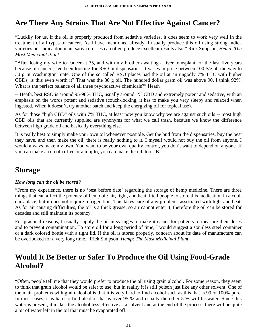### **Are There Any Strains That Are Not Effective Against Cancer?**

"Luckily for us, if the oil is properly produced from sedative varieties, it does seem to work very well in the treatment of all types of cancer. As I have mentioned already, I usually produce this oil using strong indica varieties but indica dominant sativa crosses can often produce excellent results also." Rick Simpson, *Hemp: The Most Medicinal Plant*

"After losing my wife to cancer at 35, and with my brother awaiting a liver transplant for the last five years because of cancer, I've been looking for RSO in dispensaries. It varies in price between 100 \$/g all the way to 30 g in Washington State. One of the so called RSO places had the oil at an ungodly 7% THC with higher CBDs, is this even worth it? That was the 30 g oil. The hundred dollar gram oil was above 90, I think 92%. What is the perfect balance of all three psychoactive chemicals?" Heath

-- Heath, best RSO is around 95-98% THC, usually around 1% CBD and extremely potent and sedative, with an emphasis on the words potent and sedative (couch-locking, it has to make you very sleepy and relaxed when ingested. When it doesn't, try another batch and keep the energizing oil for topical use).

As for those "high CBD" oils with 7% THC, at least now you know why we are against such oils -- most high CBD oils that are currently supplied are synonyms for what we call trash, because we know the difference between high grade oil and basically everything else.

It is really best to simply make your own oil whenever possible. Get the bud from the dispensaries, buy the best they have, and then make the oil, there is really nothing to it. I myself would not buy the oil from anyone, I would always make my own. You want to be your own quality control, you don't want to depend on anyone. If you can make a cup of coffee or a mojito, you can make the oil, too. JB

### **Storage**

#### *How long can the oil be stored?*

"From my experience, there is no 'best before date' regarding the storage of hemp medicine. There are three things that can affect the potency of hemp oil: air, light, and heat. I tell people to store this medication in a cool, dark place, but it does not require refrigeration. This takes care of any problems associated with light and heat. As for air causing difficulties, the oil is a thick grease, so air cannot enter it, therefore the oil can be stored for decades and still maintain its potency.

For practical reasons, I usually supply the oil in syringes to make it easier for patients to measure their doses and to prevent contamination. To store oil for a long period of time, I would suggest a stainless steel container or a dark colored bottle with a tight lid. If the oil is stored properly, concern about its date of manufacture can be overlooked for a very long time." Rick Simpson, *Hemp: The Most Medicinal Plant*

### **Would It Be Better or Safer To Produce the Oil Using Food-Grade Alcohol?**

"Often, people tell me that they would prefer to produce the oil using grain alcohol. For some reason, they seem to think that grain alcohol would be safer to use, but in reality it is still poison just like any other solvent. One of the main problems with grain alcohol is that it is very hard to find alcohol such as this that is 99 or 100% pure. In most cases, it is hard to find alcohol that is over 95 % and usually the other 5 % will be water. Since this water is present, it makes the alcohol less effective as a solvent and at the end of the process, there will be quite a bit of water left in the oil that must be evaporated off.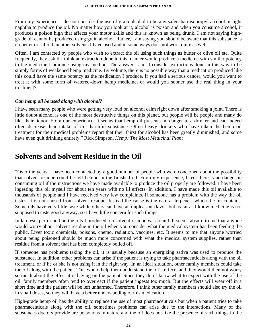From my experience, I do not consider the use of grain alcohol to be any safer than isopropyl alcohol or light naphtha to produce the oil. No matter how you look at it, alcohol is poison and when you consume alcohol, it produces a poison high that affects your motor skills and this is known as being drunk. I am not saying highgrade oil cannot be produced using grain alcohol. Rather, I am saying you should be aware that this substance is no better or safer than other solvents I have used and in some ways does not work quite as well.

Often, I am contacted by people who wish to extract the oil using such things as butter or olive oil etc. Quite frequently, they ask if I think an extraction done in this manner would produce a medicine with similar potency to the medicine I produce using my method. The answer is no. I consider extractions done in this way to be simply forms of weakened hemp medicine. By volume, there is no possible way that a medication produced like this could have the same potency as the medication I produce. If you had a serious cancer, would you want to treat it with some form of watered-down hemp medicine, or would you sooner use the real thing in your treatment?

#### *Can hemp oil be used along with alcohol?*

I have seen many people who were getting very loud on alcohol calm right down after smoking a joint. There is little doubt alcohol is one of the most destructive things on this planet, but people will be people and many do like their liquor. From our experience, it seems that hemp oil presents no danger to a drinker and can indeed often decrease their intake of this harmful substance. Often heavy drinkers who have taken the hemp oil treatment for their medical problems report that their thirst for alcohol has been greatly diminished, and some have even quit drinking entirely." Rick Simpson, *Hemp: The Most Medicinal Plant*

### **Solvents and Solvent Residue in the Oil**

"Over the years, I have been contacted by a good number of people who were concerned about the possibility that solvent residue could be left behind in the finished oil. From my experience, I feel there is no danger in consuming oil if the instructions we have made available to produce the oil properly are followed. I have been ingesting this oil myself for about ten years with no ill effects. In addition, I have made this oil available to thousands of people and I have received very few complaints. If someone has a problem with the way the oil tastes, it is not caused from solvent residue. Instead the cause is the natural terpenes, which the oil contains. Some oils have very little taste while others can have an unpleasant flavor, but as far as I know medicine is not supposed to taste good anyway, so I have little concern for such things.

In lab tests performed on the oils I produced, no solvent residue was found. It seems absurd to me that anyone would worry about solvent residue in the oil when you consider what the medical system has been feeding the public. Liver toxic chemicals, poisons, chemo, radiation, vaccines, etc. It seems to me that anyone worried about being poisoned should be much more concerned with what the medical system supplies, rather than residue from a solvent that has been completely boiled off.

If someone has problems taking the oil, it is usually because an energizing sativa was used to produce the substance. In addition, other problems can arise if the patient is trying to take pharmaceuticals along with the oil treatment, or if he or she is not using it in the right way. In an ideal situation, other family members could take the oil along with the patient. This would help them understand the oil's effects and they would then not worry so much about the effect it is having on the patient. Since they don't know what to expect with the use of the oil, family members often tend to overreact if the patient ingests too much. But the effects will wear off in a short time and the patient will be left unharmed. Therefore, I think other family members should also try the oil in small doses, so they will have a better understanding of this medication.

High-grade hemp oil has the ability to replace the use of most pharmaceuticals but when a patient tries to take pharmaceuticals along with the oil, sometimes problems can arise due to the interactions. Many of the substances doctors provide are poisonous in nature and the oil does not like the presence of such things in the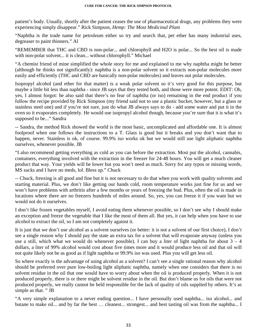patient's body. Usually, shortly after the patient ceases the use of pharmaceutical drugs, any problems they were experiencing simply disappear." Rick Simpson, *Hemp: The Most Medicinal Plant*

"Naphtha is the trade name for petroleum either so try and search that, pet ether has many industrial uses, degreaser to paint thinners." Al

"REMEMBER that THC and CBD is non-polar... and chlorophyll and H2O is polar... So the best oil is made with non-polar solvent... it is clean... without chlorophyll." Michael

"A chemist friend of mine simplified the whole story for me and explained to me why naphtha might be better (although he thinks not significantly): naphtha is a non-polar solvent so it extracts non-polar molecules more easily and efficiently (THC and CBD are basically non-polar molecules) and leaves out polar molecules.

Isopropyl alcohol (and ether for that matter) is a weak polar solvent so it's very good for this purpose, but maybe a little bit less than naphtha - since JB says that they tested both, and those were more potent. EDIT: Oh, yes, I almost forgot: he also said that there's no fear of naphtha (or iso) remaining in the end product if you follow the recipe provided by Rick Simpson (my friend said not to use a plastic bucket, however, but a glass or stainless steel one) and if you're not sure, just do what JB always says to do - add some water and put it in the oven so it evaporates completely. He would use isopropyl alcohol though, because you're sure that it is what it's supposed to be..." Sandra

-- Sandra, the method Rick showed the world is the most basic, uncomplicated and affordable one. It is almost foolproof when one follows the instructions to a T. Glass is good but it breaks and you don't want that to happen, never. Stainless is ok, of course. 99.9% iso works ok but we would still use light aliphatic naphtha ourselves, whenever possible. JB

"I also recommend getting everything as cold as you can before the extraction. Most put the alcohol, cannabis, containers, everything involved with the extraction in the freezer for 24-48 hours. You will get a much cleaner product that way. Your yields will be lower but you won't need as much. Sorry for any typos or missing words, MS sucks and I have no meds, lol. Bless up." Chuck

-- Chuck, freezing is all good and fine but it is not necessary to do that when you work with quality solvents and starting material. Plus, we don't like getting our hands cold, room temperature works just fine for us and we won't have problems with arthritis after a few months or years of freezing the bud. Plus, often the oil is made in locations where there are no freezers hundreds of miles around. So, yes, you can freeze it if you want but we would not do it ourselves.

I don't like frozen vegetables myself, I avoid eating them whenever possible, so I don't see why I should make an exception and freeze the vegetable that I like the most of them all. But yes, it can help when you have to use alcohol to extract the oil, so I am not completely against it.

It is just that we don't use alcohol as a solvent ourselves (or better: it is not a solvent of our first choice), I don't see a single reason why I should pay the state an extra tax for a solvent that will evaporate anyway (unless you use a still, which what we would do whenever possible). I can buy a liter of light naphtha for about  $3 - 4$ dollars, a liter of 99% alcohol would cost about five times more and it would produce less oil and that oil will not quite likely not be as good as if light naphtha or 99.9% iso was used. Plus you will get less oil.

So where exactly is the advantage of using alcohol as a solvent? I can't see a single rational reason why alcohol should be preferred over pure low-boiling light aliphatic naphtha, namely when one considers that there is no solvent residue in the oil that one would have to worry about when the oil is produced properly. When it is not produced properly, there is or there might be solvent residue in the oil. But don't blame us for oils that were not produced properly, we really cannot be held responsible for the lack of quality of oils supplied by others. It's as simple as that. " JB

"A very simple explanation to a never ending question... I have personally used naphtha... iso alcohol... and butane to make oil... and by far the best … cleanest... strongest... and best tasting oil was from the naphtha... I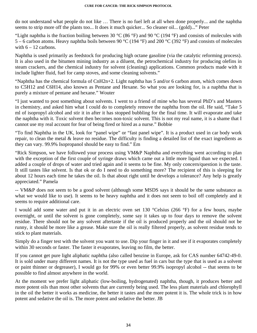do not understand what people do not like … There is no fuel left at all when done properly... and the naphtha seems to strip more off the plants too... It does it much quicker... So cleaner oil... (gold)..." Peter

"Light naphtha is the fraction boiling between 30 °C (86 °F) and 90 °C (194 °F) and consists of molecules with 5 – 6 carbon atoms. Heavy naphtha boils between 90 °C (194 °F) and 200 °C (392 °F) and consists of molecules with  $6 - 12$  carbons.

Naphtha is used primarily as feedstock for producing high octane gasoline (via the catalytic reforming process). It is also used in the bitumen mining industry as a diluent, the petrochemical industry for producing olefins in steam crackers, and the chemical industry for solvent (cleaning) applications. Common products made with it include lighter fluid, fuel for camp stoves, and some cleaning solvents."

"Naphtha has the chemical formula of CnH2n+2. Light naphtha has 5 and/or 6 carbon atom, which comes down to C5H12 and C6H14, also known as Pentane and Hexane. So what you are looking for, is a naphtha that is purely a mixture of pentane and hexane." Wouter

"I just wanted to post something about solvents. I went to a friend of mine who has several PhD's and Masters in chemistry, and asked him what I could do to completely remove the naphtha from the oil. He said, "Take 5 ml of isopropyl alcohol and stir it in after it has stopped bubbling for the final time. It will evaporate and take the naphtha with it. Toxic solvent then becomes non-toxic solvent. This is not my real name, it is a shame that I cannot use my real account for fear of being fired or hired as a nurse." Bobbie

"To find Naphtha in the UK, look for "panel wipe" or "fast panel wipe". It is a product used in car body work repair, to clean the metal & leave no residue. The difficulty is finding a detailed list of the exact ingredients as they can vary. 99.9% Isopropanol should be easy to find." Em

"Rick Simpson, we have followed your process using VM&P Naphtha and everything went according to plan with the exception of the first couple of syringe draws which came out a little more liquid than we expected. I added a couple of drops of water and tried again and it seems to be fine. My only concern/question is the taste. It still tastes like solvent. Is that ok or do I need to do something more? The recipient of this is sleeping for about 12 hours each time he takes the oil. Is that about right until he develops a tolerance? Any help is greatly appreciated." Pamela

-- VM&P does not seem to be a good solvent (although some MSDS says it should be the same substance as what we would like to use). It seems to be heavy naphtha and it does not seem to boil off completely and it seems to require additional care.

I would add some water and put it in an electric oven set 130 °Celsius (266 °F) for a few hours, maybe overnight, or until the solvent is gone completely, some say it takes up to four days to remove the solvent residue. There should not be any solvent aftertaste if the oil is produced properly and the oil should not be runny, it should be more like a grease. Make sure the oil is really filtered properly, as solvent residue tends to stick to plant materials.

Simply do a finger test with the solvent you want to use. Dip your finger in it and see if it evaporates completely within 30 seconds or faster. The faster it evaporates, leaving no film, the better.

If you cannot get pure light aliphatic naphtha (also called benzine in Europe, ask for CAS number 64742-49-0. It is sold under many different names. It is not the type used as fuel in cars but the type that is used as a solvent or paint thinner or degreaser), I would go for 99% or even better 99.9% isopropyl alcohol -- that seems to be possible to find almost anywhere in the world.

At the moment we prefer light aliphatic (low-boiling, hydrogenated) naphtha, though, it produces better and more potent oils than most other solvents that are currently being used. The less plant materials and chlorophyll in the oil the better it works as medicine, the better it tastes and the more potent it is. The whole trick is in how potent and sedative the oil is. The more potent and sedative the better. JB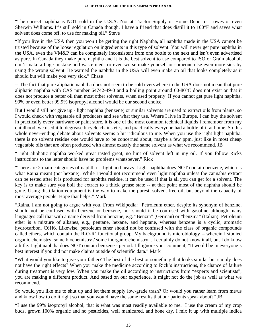"The correct naphtha is NOT sold in the U.S.A. Not at Tractor Supply or Home Depot or Lowes or even Sherwin Williams. It's still sold in Canada though. I have a friend that does distill it to 100°F and saves what solvent does come off, to use for making oil." Steve

"If you live in the USA then you won't be getting the right Naphtha, all naphtha made in the USA cannot be trusted because of the loose regulation on ingredients in this type of solvent. You will never get pure naphtha in the USA, even the VM&P can be completely inconsistent from one bottle to the next and isn't even advertised as pure. In Canada they make pure naphtha and it is the best solvent to use compared to ISO or Grain alcohol, don't make a huge mistake and waste meds or even worse make yourself or someone else even more sick by using the wrong solvent. Be warned the naphtha in the USA will even make an oil that looks completely as it should but will make you very sick." Chase

-- The fact that pure aliphatic naphtha does not seem to be sold everywhere in the USA does not mean that pure aliphatic naphtha with CAS number 64742-49-0 and a boiling point around 60-80°C does not exist or that it does not produce a better oil than most other solvents, when used properly. If you cannot get pure light naphtha, 99% or even better 99.9% isopropyl alcohol would be our second choice.

But I would still not give up - light naphtha (benzene) or similar solvents are used to extract oils from plants, so I would check with vegetable oil producers and see what they use. Where I live in Europe, I can buy the solvent in practically every hardware or paint store, it is one of the most common technical liquids I remember from my childhood, we used it to degrease bicycle chains etc., and practically everyone had a bottle of it at home. So this whole never-ending debate about solvents seems a bit ridiculous to me. When you use the right light naphtha, there is no solvent residue one would have to be concerned about, maybe a few ppm, just like in most cheap vegetable oils that are often produced with almost exactly the same solvent as what we recommend. JB

"Light aliphatic naphtha worked great tasted great, no hint of solvent left in my oil. If you follow Ricks instructions to the letter should have no problems whatsoever." Rick

"There are 2 main categories of naphtha -- light and heavy. Light naphtha does NOT contain benzene, which is what Raina meant (not hexane). While I would not recommend even light naphtha unless the cannabis extract can be tested after it is produced for naphtha residue, it can be used if that is all you can get for a solvent. The key is to make sure you boil the extract to a thick grease state -- at that point most of the naphtha should be gone. Using distillation equipment is the way to make the purest, solvent-free oil, but beyond the capacity of most average people. Hope that helps." Mark

"Raina, I am not going to argue with you. From Wikipedia: "Petroleum ether, despite its synonym of benzine, should not be confused with benzene or benzyne, nor should it be confused with gasoline although many languages call that with a name derived from benzine, e.g. "Benzin" (German) or "benzina" (Italian). Petroleum ether is a mixture of alkanes, e.g., pentane, hexane, and heptane, whereas benzene is a cyclic, aromatic hydrocarbon, C6H6. Likewise, petroleum ether should not be confused with the class of organic compounds called ethers, which contain the R-O-R' functional group. My background is microbiology -- wherein I studied organic chemistry, some biochemistry / some inorganic chemistry... I certainly do not know it all, but I do know a little. Light naphtha does NOT contain benzene - period. I'll ignore your comment, "It would be in everyone's best interest if you did not make claims outside of scientific data." Mark

"What would you like to give your father? The best of the best or something that looks similar but simply does not have the right effects? When you make the medicine according to Rick's instructions, the chance of failure during treatment is very low. When you make the oil according to instructions from "experts and scientists", you are making a different product. And based on our experience, it might not do the job as well as what we recommend.

So would you like me to shut up and let them supply low-grade trash? Or would you rather learn from me/us and know how to do it right so that you would have the same results that our patients speak about?" JB

"I use the 99% isopropyl alcohol, that is what was most readily available to me. I use the cream of my crop buds, grown 100% organic and no pesticides, well manicured, and bone dry. I mix it up with multiple indica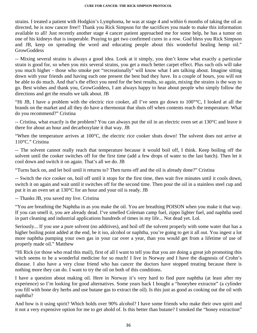strains. I treated a patient with Hodgkin's Lymphoma, he was at stage 4 and within 6 months of taking the oil as directed, he is now cancer free!! Thank you Rick Simpson for the sacrifices you made to make this information available to all! Just recently another stage 4 cancer patient approached me for some help, he has a tumor on one of his kidneys that is inoperable. Praying to get two confirmed cures in a row. God bless you Rick Simpson and JB, keep on spreading the word and educating people about this wonderful healing hemp oil." GrowGoddess

-- Mixing several strains is always a good idea. Look at it simply, you don't know what exactly a particular strain is good for, so when you mix several strains, you get a much better carpet effect. Plus such oils will take you much higher - those who smoke pot "recreationally" will know what I am talking about. Imagine sitting down with your friends and having each one present the best bud they have. In a couple of hours, you will not be able to do much. And that's the effect you need for the best results, so again, mixing the strains is the way to go. Best wishes and thank you, GrowGoddess, I am always happy to hear about people who simply follow the directions and get the results we talk about. JB

"Hi JB, I have a problem with the electric rice cooker, all I've seen go down to 100°°C, I looked at all the brands on the market and all they do have a thermostat that shuts off when contents reach the temperature. What do you recommend?" Cristina

-- Cristina, what exactly is the problem? You can always put the oil in an electric oven set at 130°C and leave it there for about an hour and decarboxylate it that way. JB

"When the temperature arrives at 100°C, the electric rice cooker shuts down! The solvent does not arrive at 110°C." Cristina

-- The solvent cannot really reach that temperature because it would boil off, I think. Keep boiling off the solvent until the cooker switches off for the first time (add a few drops of water to the last batch). Then let it cool down and switch it on again. That's all we do. JB

"Turns back on, and let boil until it returns to? Then turns off and the oil is already done?" Cristina

-- Switch the rice cooker on, boil off until it stops for the first time, then wait five minutes until it cools down, switch it on again and wait until it switches off for the second time. Then pour the oil in a stainless steel cup and put it in an oven set at 130°C for an hour and your oil is ready. JB

-- Thanks JB, you saved my live. Cristina

"You are breathing the Naphtha in as you make the oil. You are breathing POISON when you make it that way. If you can smell it, you are already dead. I've smelled Coleman camp fuel, zippo lighter fuel, and naphtha used in part cleaning and industrial applications hundreds of times in my life... Not dead yet. Lol.

Seriously... If you use a pure solvent (no additives), and boil off the solvent properly with some water that has a higher boiling point added at the end, be it iso, alcohol or naphtha, you're going to get it all out. You ingest a lot more naphtha pumping your own gas in your car over a year, than you would get from a lifetime of use of properly made oil." Matthew

"Hi Rick (or those who read this mail), first of all I want to tell you that you are doing a great job promoting this witch seems to be a wonderful medicine for so much! I live in Norway and I have the diagnosis of Crohn's disease. I also have a very close friend who has cancer the doctors have stopped treating because there is nothing more they can do. I want to try the oil on both of this conditions.

I have a question about making oil. Here in Norway it's very hard to find pure naphtha (at least after my experience) so I'm looking for good alternatives. Some years back I bought a "honeybee extractor" (a cylinder you fill with bone dry herbs and use butane gas to extract the oil). Is this just as good as cooking out the oil with naphtha?

And how is it using spirit? Which holds over 90% alcohol? I have some friends who make their own spirit and it not a very expensive option for me to get ahold of. Is this better than butane? I smoked the "honey extraction"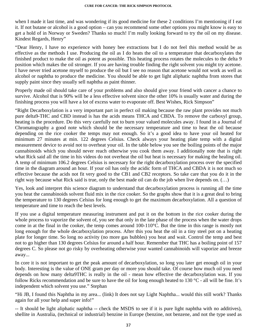when I made it last time, and was wondering if its good medicine for these 2 conditions I'm mentioning if I eat it. If not butane or alcohol is a good option – can you recommend some other options you might know is easy to get a hold of in Norway or Sweden? Thanks so much! I'm really looking forward to try the oil on my disease. Kindest Regards, Henry"

"Dear Henry, I have no experience with honey bee extractions but I do not feel this method would be as effective as the methods I use. Producing the oil as I do heats the oil to a temperature that decarboxylates the finished product to make the oil as potent as possible. This heating process rotates the molecules to the delta 9 position which makes the oil stronger. If you are having trouble finding the right solvent you might try acetone. I have never tried acetone myself to produce the oil but I see no reason that acetone would not work as well as alcohol or naphtha to produce the medicine. You should be able to get light aliphatic naphtha from stores that supply paint since they usually sell naphtha as paint thinner.

Properly made oil should take care of your problems and also should give your friend with cancer a chance to survive. Alcohol that is 90% will be a less effective solvent since the other 10% is usually water and during the finishing process you will have a lot of excess water to evaporate off. Best Wishes, Rick Simpson"

"Right Decarboxylation is a very important part in perfect oil making because the raw plant provides not much pure delta9-THC and CBD instead is has the acids means THCA and CBDA. To remove the carboxyl group, heating is the procedure. Do this very carefully not to burn your valued molecules away. I found in a Journal of Chromatography a good note which should be the necessary temperature and time to heat the oil because depending on the rice cooker the temps may not enough. So it's a good idea to have your oil heated for minimum 27 minutes at min. 122 degrees Celsius. Check always your heating plate temp with a digital measurement device to avoid not to overheat your oil. In the table below you see the boiling points of the major cannabinoids which you should never reach otherwise you cook them away. I additionally note that is right what Rick said all the time in his videos do not overheat the oil but heat is necessary for making the healing oil. A temp of minimum 106.2 degrees Celsius is necessary for the right decarboxylation process over the specified time in the diagram around an hour. If your oil has only the acidic form of THCA and CBDA it is not much so effective because the acids not fit very good to the CB1 and CB2 receptors. So take care that you do it in the right way because what Rick said is true, only the best made oil can do the job when live depends on. (…)

Yes, look and interpret this science diagram to understand that decarboxylation process is running all the time you heat the cannabinoids solvent fluid mix in the rice cooker. So the graphs show that it is a great deal to bring the temperature to 130 degrees Celsius for long enough to get the maximum decarboxylation. All a question of temperature and time to reach the best levels.

If you use a digital temperature measuring instrument and put it on the bottom in the rice cooker during the whole process to vaporize the solvent of, you see that only in the late phase of the process when the water drops come in at the final in the cooker, the temp comes around 100-110°C. But the time in this range is mostly not long enough for the whole decarboxylation process. After this you heat the oil in a tiny steel pot on a heating plate for longer time. So long no activity (no more gas bubbles) you heat and wait. Control the temp and best not to go higher than 130 degrees Celsius for around a half hour. Remember that THC has a boiling point of 157 degrees C. So please not go risky by overheating otherwise your wanted cannabinoids will vaporize and breeze away...

In core it is not important to get the peak amount of decarboxylation, so long you later get enough oil in your body. Interesting is the value of ONE gram per day or more you should take. Of course how much oil you need depends on how many delta9THC is really in the oil - mean how effective the decarboxylation was. If you follow Ricks recommendation and be sure to have the oil for long enough heated to 130 °C - all will be fine. It's independent which solvent you use." Stephan

"Hi JB, I found this Naphtha in my area... (link) It does not say Light Naphtha... would this still work? Thanks again for all your help and super info!"

-- It should be light aliphatic naphtha -- check the MSDS to see if it is pure light naphtha with no additives), shellite in Australia, (technical or industrial) benzine in Europe (benzine, not benzene, and not the type used as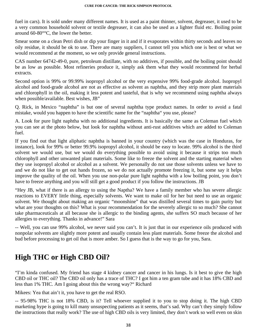fuel in cars). It is sold under many different names. It is used as a paint thinner, solvent, degreaser, it used to be a very common household solvent or textile degreaser, it can also be used as a lighter fluid etc. Boiling point around 60-80°°C, the lower the better.

Smear some on a clean Petri dish or dip your finger in it and if it evaporates within thirty seconds and leaves no oily residue, it should be ok to use. There are many suppliers, I cannot tell you which one is best or what we would recommend at the moment, so we only provide general instructions.

CAS number 64742-49-0, pure, petroleum distillate, with no additives, if possible, and the boiling point should be as low as possible. Most refineries produce it, simply ask them what they would recommend for herbal extracts.

Second option is 99% or 99.99% isopropyl alcohol or the very expensive 99% food-grade alcohol. Isopropyl alcohol and food-grade alcohol are not as effective as solvent as naphtha, and they strip more plant materials and chlorophyll in the oil, making it less potent and tasteful, that is why we recommend using naphtha always when possible/available. Best wishes, JB"

Q. Rick, in Mexico "naphtha" is but one of several naphtha type product names. In order to avoid a fatal mistake, would you happen to have the scientific name for the "naphtha" you use, please?

A. Look for pure light naphtha with no additional ingredients. It is basically the same as Coleman fuel which you can see at the photo below, but look for naphtha without anti-rust additives which are added to Coleman fuel.

If you find out that light aliphatic naphtha is banned in your country (which was the case in Honduras, for instance), look for 99% or better 99.9% isopropyl alcohol, it should be easy to locate. 99% alcohol is the third solvent we would use, but we would do everything possible to avoid using it because it strips too much chlorophyll and other unwanted plant materials. Some like to freeze the solvent and the starting material when they use isopropyl alcohol or alcohol as a solvent. We personally do not use those solvents unless we have to and we do not like to get out hands frozen, so we do not actually promote freezing it, but some say it helps improve the quality of the oil. When you use non-polar pure light naphtha with a low boiling point, you don't have to freeze anything and you will still get a good product if you follow the instructions. JB

"Hey JB, what if there is an allergy to using the Naptha? We have a family member who has severe allergic reactions to EVERY little thing, especially solvents. We want to make oil for her but need to use an organic solvent. We thought about making an organic "moonshine" that was distilled several times to gain purity but what are your thoughts on this? What is your recommendation for the severely allergic to so much? She cannot take pharmaceuticals at all because she is allergic to the binding agents, she suffers SO much because of her allergies to everything. Thanks in advance!" Sara

-- Well, you can use 99% alcohol, we never said you can't. It is just that in our experience oils produced with nonpolar solvents are slightly more potent and usually contain less plant materials. Some freeze the alcohol and bud before processing to get oil that is more amber. So I guess that is the way to go for you, Sara.

# **High THC or High CBD Oil?**

"I'm kinda confused. My friend has stage 4 kidney cancer and cancer in his lungs. Is it best to give the high CBD oil or THC oil? The CBD oil only has a trace of THC? I got him a ten gram tube and it has 18% CBD and less than 1% THC. Am I going about this the wrong way?" Richard

Mikees: Yea that ain't it, you have to get the real RSO.

-- 95-98% THC is not 18% CBD, is it? Tell whoever supplied it to you to stop doing it. The high CBD marketing hype is going to kill many unsuspecting patients as it seems, that's sad. Why can't they simply follow the instructions that really work? The use of high CBD oils is very limited, they don't work so well even on skin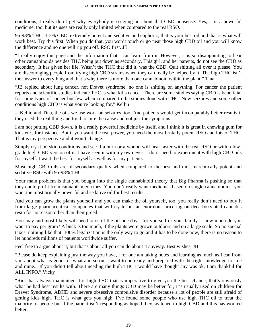conditions, I really don't get why everybody is so gung-ho about that CBD nonsense. Yes, it is a powerful medicine, too, but its uses are really only limited when compared to the real RSO.

95-98% THC, 1-2% CBD, extremely potent and sedative and euphoric; that is your best oil and that is what will work best. Try this first. When you do that, you won't touch or go near those high CBD oil and you will know the difference and no one will rip you off. RSO first. JB

"I really enjoy this page and the information that I can learn from it. However, it is so disappointing to hear other cannabinoids besides THC being put down as secondary. This girl, and her parents, do not see the CBD as secondary. It has given her life. Wasn't the THC that did it, was the CBD. Quit shitting all over it please. You are discouraging people from trying high CBD strains when they can really be helped by it. The high THC isn't the answer to everything and that's why there is more than one cannabinoid within the plant." Tina

"JB replied about lung cancer, not Dravet syndrome, no one is shitting on anything. For cancer the patient reports and scientific studies indicate THC is what kills cancer. There are some studies saying CBD is beneficial for some types of cancer but few when compared to the studies done with THC. Now seizures and some other conditions high CBD is what you're looking for." Kellin

-- Kellin and Tina, the oils we use work on seizures, too. And patients would get incomparably better results if they used the real thing and tried to cure the cause and not just the symptoms.

I am not putting CBD down, it is a really powerful medicine by itself, and I think it is great in chewing gum for kids etc., for instance. But if you want the real power, you need the most brutally potent RSO and lots of THC. That is my perspective and it won't change.

Simply try it on skin conditions and see if a burn or a wound will heal faster with the real RSO or with a lowgrade high CBD version of it. I have seen it with my own eyes, I don't need to experiment with high CBD oils for myself. I want the best for myself as well as for my patients.

Most high CBD oils are of secondary quality when compared to the best and most narcotically potent and sedative RSO with 95-98% THC.

Your main problem is that you bought into the single cannabinoid theory that Big Pharma is pushing so that they could profit from cannabis medicines. You don't really want medicines based on single cannabinoids, you want the most brutally powerful and sedative oil for best results.

And you can grow the plants yourself and you can make the oil yourself, too, you really don't need to buy it from large pharmaceutical companies that will try to put an enormous price tag on decarboxylated cannabis resin for no reason other than their greed.

You may and most likely will need kilos of the oil one day - for yourself or your family -- how much do you want to pay per gram? A buck is too much, if the plants were grown outdoors and on a large scale. So no special taxes, nothing like that. 100% legalization is the only way to go and it has to be done now, there is no reason to let hundreds millions of patients worldwide suffer.

Feel free to argue about it; but that's about all you can do about it anyway. Best wishes, JB

"Please do keep explaining just the way you have, I for one am taking notes and learning as much as I can from you about what is good for what and so on, I want to be ready and prepared with the right knowledge for me and mine... If you didn't tell about needing the high THC I would have thought any was ok, I am thankful for ALL INFO." Vicky

"Rick has always maintained it is high THC that is imperative to give you the best chance, that's obviously what he had best results with. There are many things CBD may be better for, it's usually used on children for Dravet Syndrome, ADHD and severe obsessive compulsive disorder because a lot of people are still afraid of getting kids high. THC is what gets you high. I've found some people who use high THC oil to treat the majority of people but if the patient isn't responding as hoped they switched to high CBD and this has worked better.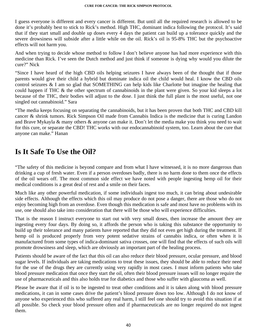I guess everyone is different and every cancer is different. But until all the required research is allowed to be done it's probably best to stick to Rick's method. High THC, dominant indica following the protocol. It's said that if they start small and double up doses every 4 days the patient can build up a tolerance quickly and the severe drowsiness will subside after a little while on the oil. Rick's oil is 95-8% THC but the psychoactive effects will not harm you.

And when trying to decide whose method to follow I don't believe anyone has had more experience with this medicine than Rick. I've seen the Dutch method and just think if someone is dying why would you dilute the cure?" Nick

"Since I have heard of the high CBD oils helping seizures I have always been of the thought that if those parents would give their child a hybrid but dominate indica oil the child would heal. I know the CBD oils control seizures & I am so glad that SOMETHING can help kids like Charlotte but imagine the healing that could happen if THC & the other spectrum of cannabinoids in the plant were given. So your kid sleeps a lot because of the THC, their bodies will adjust to the dose. I just think the full plant is the most useful, not one singled out cannabinoid." Sara

"The media keeps focusing on separating the cannabinoids, but it has been proven that both THC and CBD kill cancer & shrink tumors. Rick Simpson Oil made from Cannabis Indica is the medicine that is curing Landon and Brave Mykayla & many others & anyone can make it. Don't let the media make you think you need to wait for this cure, or separate the CBD! THC works with our endocannabinoid system, too. Learn about the cure that anyone can make." Hanan

## **Is It Safe To Use the Oil?**

"The safety of this medicine is beyond compare and from what I have witnessed, it is no more dangerous than drinking a cup of fresh water. Even if a person overdoses badly, there is no harm done to them once the effects of the oil wears off. The most common side effect we have noted with people ingesting hemp oil for their medical conditions is a great deal of rest and a smile on their faces.

Much like any other powerful medication, if some individuals ingest too much, it can bring about undesirable side effects. Although the effects which this oil may produce do not pose a danger, there are those who do not enjoy becoming high from an overdose. Even though this medication is safe and most have no problems with its use, one should also take into consideration that there will be those who will experience difficulties.

That is the reason I instruct everyone to start out with very small doses, then increase the amount they are ingesting every four days. By doing so, it affords the person who is taking this substance the opportunity to build up their tolerance and many patients have reported that they did not even get high during the treatment. If hemp oil is produced properly from very potent sedative strains of cannabis indica, or often when it is manufactured from some types of indica-dominant sativa crosses, one will find that the effects of such oils will promote drowsiness and sleep, which are obviously an important part of the healing process.

Patients should be aware of the fact that this oil can also reduce their blood pressure, ocular pressure, and blood sugar levels. If individuals are taking medications to treat these issues, they should be able to reduce their need for the use of the drugs they are currently using very rapidly in most cases. I must inform patients who take blood pressure medication that once they start the oil, often their blood pressure issues will no longer require the use of pharmaceuticals and this also holds true for diabetics and those who suffer with glaucoma as well.

Please be aware that if oil is to be ingested to treat other conditions and it is taken along with blood pressure medications, it can in some cases drive the patient's blood pressure down too low. Although I do not know of anyone who experienced this who suffered any real harm, I still feel one should try to avoid this situation if at all possible. So check your blood pressure often and if pharmaceuticals are no longer required do not ingest them.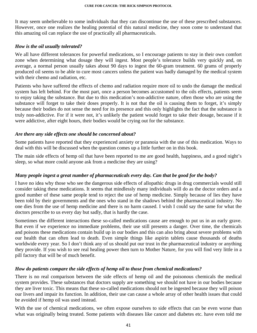It may seem unbelievable to some individuals that they can discontinue the use of these prescribed substances. However, once one realizes the healing potential of this natural medicine, they soon come to understand that this amazing oil can replace the use of practically all pharmaceuticals.

#### *How is the oil usually tolerated?*

We all have different tolerances for powerful medications, so I encourage patients to stay in their own comfort zone when determining what dosage they will ingest. Most people's tolerance builds very quickly and, on average, a normal person usually takes about 90 days to ingest the 60-gram treatment. 60 grams of properly produced oil seems to be able to cure most cancers unless the patient was badly damaged by the medical system with their chemo and radiation, etc.

Patients who have suffered the effects of chemo and radiation require more oil to undo the damage the medical system has left behind. For the most part, once a person becomes accustomed to the oils effects, patients seem to enjoy taking the substance. But due to this medication's non-addictive nature, often those who are using the substance will forget to take their doses properly. It is not that the oil is causing them to forget, it's simply because their bodies do not sense the need for its presence and this only highlights the fact that the substance is truly non-addictive. For if it were not, it's unlikely the patient would forget to take their dosage, because if it were addictive, after eight hours, their bodies would be crying out for the substance.

#### *Are there any side effects one should be concerned about?*

Some patients have reported that they experienced anxiety or paranoia with the use of this medication. Ways to deal with this will be discussed when the question comes up a little further on in this book.

The main side effects of hemp oil that have been reported to me are good health, happiness, and a good night's sleep, so what more could anyone ask from a medicine they are using?

#### *Many people ingest a great number of pharmaceuticals every day. Can that be good for the body?*

I have no idea why those who see the dangerous side effects of allopathic drugs in drug commercials would still consider taking these medications. It seems that mindlessly many individuals will do as the doctor orders and a good number of these same people tend to reject the use of hemp medicine. Simply because of lies they have been told by their governments and the ones who stand in the shadows behind the pharmaceutical industry. No one dies from the use of hemp medicine and there is no harm caused. I wish I could say the same for what the doctors prescribe to us every day but sadly, that is hardly the case.

Sometimes the different interactions these so-called medications cause are enough to put us in an early grave. But even if we experience no immediate problems, their use still presents a danger. Over time, the chemicals and poisons these medications contain build up in our bodies and this can also bring about severe problems with our health that can often lead to death. Even simple things like aspirin tablets cause thousands of deaths worldwide every year. So I don't think any of us should put our trust in the pharmaceutical industry or anything they provide. If you wish to see real healing power then turn to Mother Nature, for you will find very little in a pill factory that will be of much benefit.

#### *How do patients compare the side effects of hemp oil to those from chemical medications?*

There is no real comparison between the side effects of hemp oil and the poisonous chemicals the medical system provides. These substances that doctors supply are something we should not have in our bodies because they are liver toxic. This means that these so-called medications should not be ingested because they will poison our livers and impair its function. In addition, their use can cause a whole array of other health issues that could be avoided if hemp oil was used instead.

With the use of chemical medications, we often expose ourselves to side effects that can be even worse than what was originally being treated. Some patients with diseases like cancer and diabetes etc. have even told me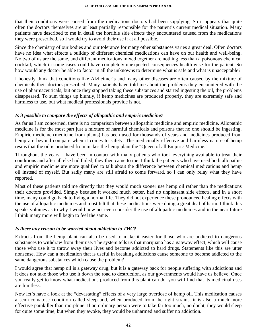that their conditions were caused from the medications doctors had been supplying. So it appears that quite often the doctors themselves are at least partially responsible for the patient's current medical situation. Many patients have described to me in detail the horrible side effects they encountered caused from the medications they were prescribed, so I would try to avoid their use if at all possible.

Since the chemistry of our bodies and our tolerance for many other substances varies a great deal. Often doctors have no idea what effects a buildup of different chemical medications can have on our health and well-being. No two of us are the same, and different medications mixed together are nothing less than a poisonous chemical cocktail, which in some cases could have completely unexpected consequences health wise for the patient. So how would any doctor be able to factor in all the unknowns to determine what is safe and what is unacceptable?

I honestly think that conditions like Alzheimer's and many other diseases are often caused by the mixture of chemicals their doctors prescribed. Many patients have told me about the problems they encountered with the use of pharmaceuticals, but once they stopped taking these substances and started ingesting the oil, the problems disappeared. To sum things up bluntly, if hemp medicines are produced properly, they are extremely safe and harmless to use, but what medical professionals provide is not.

#### *Is it possible to compare the effects of allopathic and empiric medicine?*

As far as I am concerned, there is no comparison between allopathic medicine and empiric medicine. Allopathic medicine is for the most part just a mixture of harmful chemicals and poisons that no one should be ingesting. Empiric medicine (medicine from plants) has been used for thousands of years and medicines produced from hemp are beyond compare when it comes to safety. The medicinally effective and harmless nature of hemp resins that the oil is produced from makes the hemp plant the "Queen of all Empiric Medicine."

Throughout the years, I have been in contact with many patients who took everything available to treat their conditions and after all else had failed, they then came to me. I think the patients who have used both allopathic and empiric medicine are more qualified to talk about the difference between chemical medications and hemp oil instead of myself. But sadly many are still afraid to come forward, so I can only relay what they have reported.

Most of these patients told me directly that they would much sooner use hemp oil rather than the medications their doctors provided. Simply because it worked much better, had no unpleasant side effects, and in a short time, many could go back to living a normal life. They did not experience these pronounced healing effects with the use of allopathic medicines and most felt that these medications were doing a great deal of harm. I think this speaks volumes as to why I would now not even consider the use of allopathic medicines and in the near future I think many more will begin to feel the same.

#### *Is there any reason to be worried about addiction to THC?*

Extracts from the hemp plant can also be used to make it easier for those who are addicted to dangerous substances to withdraw from their use. The system tells us that marijuana has a gateway effect, which will cause those who use it to throw away their lives and become addicted to hard drugs. Statements like this are utter nonsense. How can a medication that is useful in breaking addictions cause someone to become addicted to the same dangerous substances which cause the problem?

I would agree that hemp oil is a gateway drug, but it is a gateway back for people suffering with addictions and it does not take those who use it down the road to destruction, as our governments would have us believe. Once you really get to know what medications produced from this plant can do, you will find that its medicinal uses are limitless.

Now let's have a look at the "devastating" effects of a very large overdose of hemp oil. This medication causes a semi-comatose condition called sleep and, when produced from the right strains, it is also a much more effective painkiller than morphine. If an ordinary person were to take far too much, no doubt, they would sleep for quite some time, but when they awoke, they would be unharmed and suffer no addiction.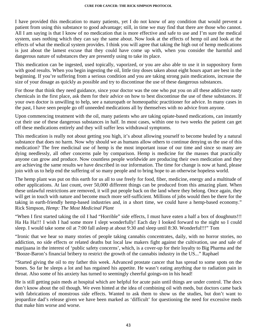I have provided this medication to many patients, yet I do not know of any condition that would prevent a patient from using this substance to good advantage; still, in time we may find that there are those who cannot. All I am saying is that I know of no medication that is more effective and safe to use and I'm sure the medical system, uses nothing which they can say the same about. Now look at the effects of hemp oil and look at the effects of what the medical system provides. I think you will agree that taking the high out of hemp medications is just about the lamest excuse that they could have come up with, when you consider the harmful and dangerous nature of substances they are presently using to take its place.

This medication can be ingested, used topically, vaporized, or you are also able to use it in suppository form with good results. When you begin ingesting the oil, little tiny doses taken about eight hours apart are best in the beginning. If you're suffering from a serious condition and you are taking strong pain medications, increase the size of your dosage as quickly as possible and try to discontinue the use of these dangerous substances.

For those that think they need guidance, since your doctor was the one who put you on all these addictive nasty chemicals in the first place, ask them for their advice on how to best discontinue the use of these substances. If your own doctor is unwilling to help, see a naturopath or homeopathic practitioner for advice. In many cases in the past, I have seen people go off unneeded medications all by themselves with no advice from anyone.

Upon commencing treatment with the oil, many patients who are taking opiate-based medications, can instantly cut their use of these dangerous substances in half. In most cases, within one to two weeks the patient can get off these medications entirely and they will suffer less withdrawal symptoms.

This medication is really not about getting you high, it's about allowing yourself to become healed by a natural substance that does no harm. Now why should we as humans allow others to continue denying us the use of this medication? The free medicinal use of hemp is the most important issue of our time and since so many are dying needlessly, all other concerns pale by comparison. Hemp is medicine for the masses that practically anyone can grow and produce. Now countless people worldwide are producing their own medication and they are achieving the same results we have described in our information. The time for change is now at hand, please join with us to help end the suffering of so many people and to bring hope to an otherwise hopeless world.

The hemp plant was put on this earth for us all to use freely for food, fiber, medicine, energy and a multitude of other applications. At last count, over 50,000 different things can be produced from this amazing plant. When these unlawful restrictions are removed, it will put people back on the land where they belong. Once again, they will get in touch with nature and become much more self-sufficient. Millions of jobs would then be there for the taking in earth-friendly hemp-based industries and, in a short time, we could have a hemp-based economy." Rick Simpson, *Hemp: The Most Medicinal Plant*

"When I first started taking the oil I had "Horrible" side effects, I must have eaten a half a box of doughnuts!!! Ha Ha Ha!!! I wish I had some more I slept wonderfully! Each day I looked forward to the night so I could sleep. I would take some oil at 7:00 fall asleep at about 9:30 and sleep until 8:30. Wonderful!!!" Tom

"Ironic that we hear so many stories of people taking cannabis concentrates, daily, with no horror stories, no addiction, no side effects or related deaths but local law makers fight against the cultivation, use and sale of marijuana in the interest of 'public safety concerns', which, is a cover-up for their loyalty to Big Pharma and the 'Booze-Baron's financial bribery to restrict the growth of the cannabis industry in the US..." Raphael

"Started giving the oil to my father this week. Advanced prostate cancer that has spread to some spots on the bones. So far he sleeps a lot and has regained his appetite. He wasn't eating anything due to radiation pain in throat. Also some of his anxiety has turned to seemingly cheerful goings-on in his head!

He is still getting pain meds at hospital which are helpful for acute pain until things are under control. The docs don't know about the oil though. We even hinted at the idea of combining oil with meds, but doctors came back with fabrications of monstrous side effects. Wanted to ask them to show us the studies, but don't want to jeopardize dad's release given we have been marked as 'difficult' for questioning the need for excessive meds that make him worse and worse.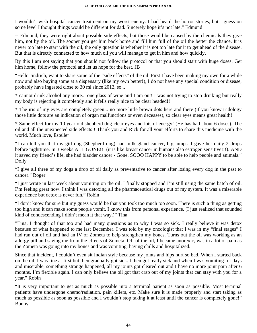I wouldn't wish hospital cancer treatment on my worst enemy. I had heard the horror stories, but I guess on some level I thought things would be different for dad. Sincerely hope it's not late." Edmund

-- Edmund, they were right about possible side effects, but those would be caused by the chemicals they give him, not by the oil. The sooner you get him back home and fill him full of the oil the better the chance. It is never too late to start with the oil, the only question is whether it is not too late for it to get ahead of the disease. But that is directly connected to how much oil you will manage to get in him and how quickly.

By this I am not saying that you should not follow the protocol or that you should start with huge doses. Get him home, follow the protocol and let us hope for the best. JB

"Hello Jindrich, want to share some of the "side effects" of the oil. First I have been making my own for a while now and also buying some at a dispensary (like my own better!), I do not have any special condition or disease, probably have ingested close to 30 ml since 2012, so...

\* cannot drink alcohol any more... one glass of wine and I am out! I was not trying to stop drinking but really my body is rejecting it completely and it fells really nice to be clear headed!!

\* The iris of my eyes are completely green... no more little brown dots here and there (if you know iridology those little dots are an indication of organ malfunctions or even deceases), so clear eyes means great health!

\* Same effect for my 10 year old shepherd dog-clear eyes and lots of energy! (He has had about 6 doses). The oil and all the unexpected side effects!! Thank you and Rick for all your efforts to share this medicine with the world. Much love, Estelle"

"I can tell you that my girl-dog (Shepherd dog) had milk gland cancer, big lumps. I gave her daily 2 drops before nighttime. In 3 weeks ALL GONE!!! (it is like breast cancer in humans also estrogen sensitive!!!). AND it saved my friend's life, she had bladder cancer - Gone. SOOO HAPPY to be able to help people and animals." Dolly

"I give all three of my dogs a drop of oil daily as preventative to cancer after losing every dog in the past to cancer." Roger

"I just wrote in last week about vomiting on the oil. I finally stopped and I'm still using the same batch of oil. I'm feeling great now. I think I was detoxing all the pharmaceutical drugs out of my system. It was a miserable experience but detox is never fun." Robin

"I don't know for sure but my guess would be that you took too much too soon. There is such a thing as getting too high and it can make some people vomit. I know this from personal experience. (I just realized that sounded kind of condescending I didn't mean it that way.)" Tina

"Tina, I thought of that too and had many questions as to why I was so sick. I really believe it was detox because of what happened to me last December. I was told by my oncologist that I was in my "final stages" I had ran out of oil and had an IV of Zometa to help strengthen my bones. Turns out the oil was working as an allergy pill and saving me from the effects of Zometa. Off of the oil, I became anorexic, was in a lot of pain as the Zometa was going into my bones and was vomiting, having chills and hospitalized.

Since that incident, I couldn't even sit Indian style because my joints and hips hurt so bad. When I started back on the oil, I was fine at first but then gradually got sick. I then got really sick and when I was vomiting for days and miserable, something strange happened, all my joints got cleared out and I have no more joint pain after 6 months. I'm flexible again. I can only believe the oil got that crap out of my joints that can stay with you for a year." Robin

"It is very important to get as much as possible into a terminal patient as soon as possible. Most terminal patients have undergone chemo/radiation, pain killers, etc. Make sure it is made properly and start taking as much as possible as soon as possible and I wouldn't stop taking it at least until the cancer is completely gone!" Bonny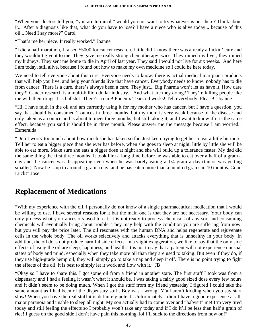"When your doctors tell you, "you are terminal," would you not want to try whatever is out there? Think about it... After a diagnosis like that, what do you have to lose? I have a niece who is alive today... because of this oil... Need I say more?" Carol

"That's me her niece. It really worked." Joanne

"I did a half-marathon, I raised \$5000 for cancer research. Little did I know there was already a fuckin' cure and they wouldn't give it to me. They gave me really strong chemotherapy twice. They ruined my liver; they ruined my kidneys. They sent me home to die in April of last year. They said I would not live for six weeks. And here I am today, still alive, because I found out how to make my own medicine so I could be here today.

We need to tell everyone about this cure. Everyone needs to know: there is actual medical marijuana products that will help you live, and help your friends live that have cancer. Everybody needs to know: nobody has to die from cancer. There is a cure, there's always been a cure. They just... Big Pharma won't let us have it. How dare they?! Cancer research is a multi-billion dollar industry... And what are they doing? They're killing people like me with their drugs. It's bullshit! There's a cure! Phoenix Tears oil works! Tell everybody. Please!" Joanne

"Hi, I have faith in the oil and am currently using it for my mother who has cancer, but I have a question, you say that should be consumed 2 ounces in three months, but my mom is very weak because of the disease and only taken as an ounce and is about to meet three months, but still taking it, and I want to know if it is the same effect, because you said it should be in three month. Please answer me the message because I am worried." Esmeralda

"Don't worry too much about how much she has taken so far. Just keep trying to get her to eat a little bit more. Tell her to eat a bigger piece than she ever has before, when she goes to sleep at night, little by little she will be able to eat more. Make sure she eats a bigger dose at night and she will build up a tolerance faster. My dad did the same thing the first three months. It took him a long time before he was able to eat over a half of a gram a day and the cancer was disappearing even when he was barely eating a 1/4 gram a day-(tumor was getting smaller). Now he is up to around a gram a day, and he has eaten more than a hundred grams in 10 months. Good Luck!" Jose

### **Replacement of Medications**

"With my experience with the oil, I personally do not know of a single pharmaceutical medication that I would be willing to use. I have several reasons for it but the main one is that they are not necessary. Your body can only process what your ancestors used to eat; it is not ready to process chemicals of any sort and consuming chemicals will eventually bring about trouble. They may help with the condition you are suffering from now, but you will pay the price later. The oil resonates with the human DNA and helps regenerate and rejuvenate cells in the whole body. The oil works selectively and attacks everything that is unhealthy in your body. In addition, the oil does not produce harmful side effects. In a slight exaggeration, we like to say that the only side effects of using the oil are sleep, happiness, and health. It is not to say that a patient will not experience unusual states of body and mind, especially when they take more oil than they are used to taking. But even if they do, if they use high-grade hemp oil, they will simply go to take a nap and sleep it off. There is no point trying to fight the effects of the oil, it is best to simply let it work and flow with it." JB

"Okay so I have to share this. I got some oil from a friend in another state. The first stuff I took was from a dispensary and I had a feeling it wasn't what it should be. I was taking a fairly good sized dose every few hours and it didn't seem to be doing much. When I got the stuff from my friend yesterday I figured I could take the same amount as I had been of the dispensary stuff. Boy was I wrong! Y'all aren't kidding when you say start slow! When you have the real stuff it is definitely potent! Unfortunately I didn't have a good experience at all, major paranoia and unable to sleep all night. My son actually had to come over and "babysit" me! I'm very tired today and still feeling the effects so I probably won't take any today and if I do it'll be less than half a grain of rice! I guess on the good side I don't have pain this morning. lol I'll stick to the directions from now on!"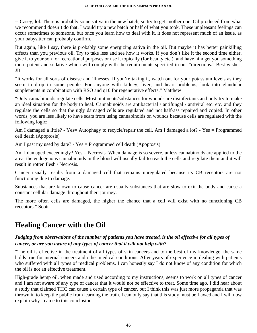-- Casey, lol. There is probably some sativa in the new batch, so try to get another one. Oil produced from what we recommend doesn't do that. I would try a new batch or half of what you took. These unpleasant feelings can occur sometimes to someone, but once you learn how to deal with it, it does not represent much of an issue, as your babysitter can probably confirm.

But again, like I say, there is probably some energizing sativa in the oil. But maybe it has better painkilling effects than you previous oil. Try to take less and see how it works. If you don't like it the second time either, give it to your son for recreational purposes or use it topically (for beauty etc.), and have him get you something more potent and sedative which will comply with the requirements specified in our "directions." Best wishes, JB

"It works for all sorts of disease and illnesses. If you're taking it, watch out for your potassium levels as they seem to drop in some people. For anyone with kidney, liver, and heart problems, look into glandular supplements in combination with RSO and q10 for regenerative effects." Matthew

"Only cannabinoids regulate cells. Most ointments/substances for wounds are disinfectants and only try to make an ideal situation for the body to heal. Cannabinoids are antibacterial / antifungal / antiviral etc. etc. and they regulate the cells so that the ugly damaged cells are regulated and not half-ass repaired and copied. In other words, you are less likely to have scars from using cannabinoids on wounds because cells are regulated with the following logic:

Am I damaged a little? - Yes= Autophagy to recycle/repair the cell. Am I damaged a lot? - Yes = Programmed cell death (Apoptosis)

Am I past my used by date? - Yes = Programmed cell death (Apoptosis)

Am I damaged exceedingly? Yes = Necrosis. When damage is so severe, unless cannabinoids are applied to the area, the endogenous cannabinoids in the blood will usually fail to reach the cells and regulate them and it will result in rotten flesh / Necrosis.

Cancer usually results from a damaged cell that remains unregulated because its CB receptors are not functioning due to damage.

Substances that are known to cause cancer are usually substances that are slow to exit the body and cause a constant cellular damage throughout their journey.

The more often cells are damaged, the higher the chance that a cell will exist with no functioning CB receptors." Scott

## **Healing Cancer with the Oil**

#### *Judging from observations of the number of patients you have treated, is the oil effective for all types of cancer, or are you aware of any types of cancer that it will not help with?*

"The oil is effective in the treatment of all types of skin cancers and to the best of my knowledge, the same holds true for internal cancers and other medical conditions. After years of experience in dealing with patients who suffered with all types of medical problems. I can honestly say I do not know of any condition for which the oil is not an effective treatment.

High-grade hemp oil, when made and used according to my instructions, seems to work on all types of cancer and I am not aware of any type of cancer that it would not be effective to treat. Some time ago, I did hear about a study that claimed THC can cause a certain type of cancer, but I think this was just more propaganda that was thrown in to keep the public from learning the truth. I can only say that this study must be flawed and I will now explain why I came to this conclusion.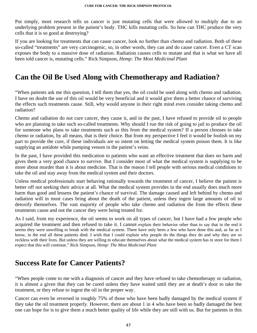Put simply, most research tells us cancer is just mutating cells that were allowed to multiply due to an underlying problem present in the patient's body. THC kills mutating cells. So how can THC produce the very cells that it is so good at destroying?

If you are looking for treatments that can cause cancer, look no further than chemo and radiation. Both of these so-called "treatments" are very carcinogenic, so, in other words, they can and do cause cancer. Even a CT scan exposes the body to a massive dose of radiation. Radiation causes cells to mutate and that is what we have all been told cancer is, mutating cells." Rick Simpson, *Hemp: The Most Medicinal Plant*

## **Can the Oil Be Used Along with Chemotherapy and Radiation?**

"When patients ask me this question, I tell them that yes, the oil could be used along with chemo and radiation. I have no doubt the use of this oil would be very beneficial and it would give them a better chance of surviving the effects such treatments cause. Still, why would anyone in their right mind even consider taking chemo and radiation?

Chemo and radiation do not cure cancer, they cause it, and in the past, I have refused to provide oil to people who are planning to take such so-called treatments. Why should I run the risk of going to jail to produce the oil for someone who plans to take treatments such as this from the medical system? If a person chooses to take chemo or radiation, by all means, that is their choice. But from my perspective I feel it would be foolish on my part to provide the cure, if these individuals are so intent on letting the medical system poison them. It is like supplying an antidote while pumping venom in the patient's veins.

In the past, I have provided this medication to patients who want an effective treatment that does no harm and gives them a very good chance to survive. But I consider most of what the medical system is supplying to be more about murder than it is about medicine. That is the reason I tell people with serious medical conditions to take the oil and stay away from the medical system and their doctors.

Unless medical professionals start behaving rationally towards the treatment of cancer, I believe the patient is better off not seeking their advice at all. What the medical system provides in the end usually does much more harm than good and lessens the patient's chance of survival. The damage caused and left behind by chemo and radiation will in most cases bring about the death of the patient, unless they ingest large amounts of oil to detoxify themselves. The vast majority of people who take chemo and radiation die from the effects these treatments cause and not the cancer they were being treated for.

As I said, from my experience, the oil seems to work on all types of cancer, but I have had a few people who acquired the treatment and then refused to take it. I cannot explain their behavior other than to say that in the end it seems they were unwilling to break with the medical system. There have only been a few who have done this and, as far as I know, in the end all these patients died. I wish that I could explain why people do the things they do and why they are so reckless with their lives. But unless they are willing to educate themselves about what the medical system has in store for them I expect that this will continue." Rick Simpson, *Hemp: The Most Medicinal Plant* 

## **Success Rate for Cancer Patients?**

"When people come to me with a diagnosis of cancer and they have refused to take chemotherapy or radiation, it is almost a given that they can be cured unless they have waited until they are at death's door to take the treatment, or they refuse to ingest the oil in the proper way.

Cancer can even be reversed in roughly 75% of those who have been badly damaged by the medical system if they take the oil treatment properly. However, there are about 1 in 4 who have been so badly damaged the best one can hope for is to give them a much better quality of life while they are still with us. But for patients in this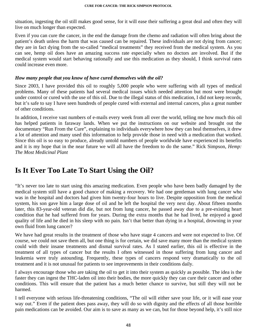situation, ingesting the oil still makes good sense, for it will ease their suffering a great deal and often they will live on much longer than expected.

Even if you can cure the cancer, in the end the damage from the chemo and radiation will often bring about the patient's death unless the harm that was caused can be repaired. These individuals are not dying from cancer; they are in fact dying from the so-called "medical treatments" they received from the medical system. As you can see, hemp oil does have an amazing success rate especially when no doctors are involved. But if the medical system would start behaving rationally and use this medication as they should, I think survival rates could increase even more.

#### *How many people that you know of have cured themselves with the oil?*

Since 2003, I have provided this oil to roughly 5,000 people who were suffering with all types of medical problems. Many of these patients had several medical issues which needed attention but most were brought under control or cured with the use of this oil. Due to the illegal status of this medication, I did not keep records, but it's safe to say I have seen hundreds of people cured with external and internal cancers, plus a great number of other conditions.

In addition, I receive vast numbers of e-mails every week from all over the world, telling me how much this oil has helped patients in faraway lands. When we put the instructions on our website and brought out the documentary "Run From the Cure", explaining to individuals everywhere how they can heal themselves, it drew a lot of attention and many used this information to help provide those in need with a medication that worked. Since this oil is so easy to produce, already untold numbers of people worldwide have experienced its benefits and it is my hope that in the near future we will all have the freedom to do the same." Rick Simpson, *Hemp: The Most Medicinal Plant*

## **Is It Ever Too Late To Start Using the Oil?**

"It's never too late to start using this amazing medication. Even people who have been badly damaged by the medical system still have a good chance of making a recovery. We had one gentleman with lung cancer who was in the hospital and doctors had given him twenty-four hours to live. Despite opposition from the medical system, his son gave him a large dose of oil and he left the hospital the very next day. About fifteen months later, this 83-year-old veteran did die, but not from lung cancer, he passed away due to a pre-existing heart condition that he had suffered from for years. During the extra months that he had lived, he enjoyed a good quality of life and he died in his sleep with no pain. Isn't that better than dying in a hospital, drowning in your own fluid from lung cancer?

We have had great results in the treatment of those who have stage 4 cancers and were not expected to live. Of course, we could not save them all, but one thing is for certain, we did save many more than the medical system could with their insane treatments and dismal survival rates. As I stated earlier, this oil is effective in the treatment of all types of cancer but the results I often witnessed in those suffering from lung cancer and leukemia were truly astounding. Frequently, these types of cancers respond very dramatically to the oil treatment and it is not unusual for patients to see improvements in their conditions daily.

I always encourage those who are taking the oil to get it into their system as quickly as possible. The idea is the faster they can ingest the THC-laden oil into their bodies, the more quickly they can cure their cancer and other conditions. This will ensure that the patient has a much better chance to survive, but still they will not be harmed.

I tell everyone with serious life-threatening conditions, "The oil will either save your life, or it will ease your way out." Even if the patient does pass away, they will do so with dignity and the effects of all those horrible pain medications can be avoided. Our aim is to save as many as we can, but for those beyond help, it's still nice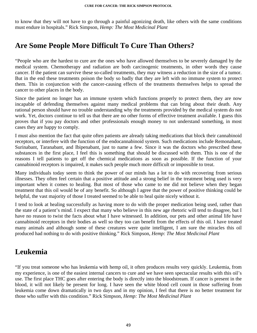to know that they will not have to go through a painful agonizing death, like others with the same conditions must endure in hospitals." Rick Simpson, *Hemp: The Most Medicinal Plant*

## **Are Some People More Difficult To Cure Than Others?**

"People who are the hardest to cure are the ones who have allowed themselves to be severely damaged by the medical system. Chemotherapy and radiation are both carcinogenic treatments, in other words they cause cancer. If the patient can survive these so-called treatments, they may witness a reduction in the size of a tumor. But in the end these treatments poison the body so badly that they are left with no immune system to protect them. This in conjunction with the cancer-causing effects of the treatments themselves helps to spread the cancer to other places in the body.

Since the patient no longer has an immune system which functions properly to protect them, they are now incapable of defending themselves against many medical problems that can bring about their death. Any rational person should have no trouble understanding why the treatments provided by the medical system do not work. Yet, doctors continue to tell us that there are no other forms of effective treatment available. I guess this proves that if you pay doctors and other professionals enough money to not understand something, in most cases they are happy to comply.

I must also mention the fact that quite often patients are already taking medications that block their cannabinoid receptors, or interfere with the function of the endocannabinoid system. Such medications include Remonabant, Surinabant, Taranabant, and Ibipenabant, just to name a few. Since it was the doctors who prescribed these substances in the first place, I feel this is something that should be discussed with them. This is one of the reasons I tell patients to get off the chemical medications as soon as possible. If the function of your cannabinoid receptors is impaired, it makes such people much more difficult or impossible to treat.

Many individuals today seem to think the power of our minds has a lot to do with recovering from serious illnesses. They often feel certain that a positive attitude and a strong belief in the treatment being used is very important when it comes to healing. But most of those who came to me did not believe when they began treatment that this oil would be of any benefit. So although I agree that the power of positive thinking could be helpful, the vast majority of those I treated seemed to be able to heal quite nicely without it.

I tend to look at healing successfully as having more to do with the proper medication being used, rather than the state of a patient's mind. I expect that many who believe in this new age rhetoric will tend to disagree, but I have no reason to twist the facts about what I have witnessed. In addition, our pets and other animal life have cannabinoid receptors in their bodies as well so they too can benefit from the effects of this oil. I have treated many animals and although some of these creatures were quite intelligent, I am sure the miracles this oil produced had nothing to do with positive thinking." Rick Simpson, *Hemp: The Most Medicinal Plant*

### **Leukemia**

"If you treat someone who has leukemia with hemp oil, it often produces results very quickly. Leukemia, from my experience, is one of the easiest internal cancers to cure and we have seen spectacular results with this oil's use. The first place THC goes after entering the body is directly into the bloodstream. If cancer is present in the blood, it will not likely be present for long. I have seen the white blood cell count in those suffering from leukemia come down dramatically in two days and in my opinion, I feel that there is no better treatment for those who suffer with this condition." Rick Simpson, *Hemp: The Most Medicinal Plant*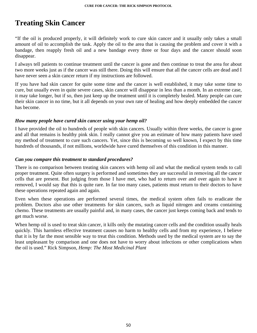## **Treating Skin Cancer**

"If the oil is produced properly, it will definitely work to cure skin cancer and it usually only takes a small amount of oil to accomplish the task. Apply the oil to the area that is causing the problem and cover it with a bandage, then reapply fresh oil and a new bandage every three or four days and the cancer should soon disappear.

I always tell patients to continue treatment until the cancer is gone and then continue to treat the area for about two more weeks just as if the cancer was still there. Doing this will ensure that all the cancer cells are dead and I have never seen a skin cancer return if my instructions are followed.

If you have had skin cancer for quite some time and the cancer is well established, it may take some time to cure, but usually even in quite severe cases, skin cancer will disappear in less than a month. In an extreme case, it may take longer, but if so, then just keep up the treatment until it is completely healed. Many people can cure their skin cancer in no time, but it all depends on your own rate of healing and how deeply embedded the cancer has become.

#### *How many people have cured skin cancer using your hemp oil?*

I have provided the oil to hundreds of people with skin cancers. Usually within three weeks, the cancer is gone and all that remains is healthy pink skin. I really cannot give you an estimate of how many patients have used my method of treatment to cure such cancers. Yet, since this is becoming so well known, I expect by this time hundreds of thousands, if not millions, worldwide have cured themselves of this condition in this manner.

#### *Can you compare this treatment to standard procedures?*

There is no comparison between treating skin cancers with hemp oil and what the medical system tends to call proper treatment. Quite often surgery is performed and sometimes they are successful in removing all the cancer cells that are present. But judging from those I have met, who had to return over and over again to have it removed, I would say that this is quite rare. In far too many cases, patients must return to their doctors to have these operations repeated again and again.

Even when these operations are performed several times, the medical system often fails to eradicate the problem. Doctors also use other treatments for skin cancers, such as liquid nitrogen and creams containing chemo. These treatments are usually painful and, in many cases, the cancer just keeps coming back and tends to get much worse.

When hemp oil is used to treat skin cancer, it kills only the mutating cancer cells and the condition usually heals quickly. This harmless effective treatment causes no harm to healthy cells and from my experience, I believe that it is by far the most sensible way to treat this condition. Methods used by the medical system are to say the least unpleasant by comparison and one does not have to worry about infections or other complications when the oil is used." Rick Simpson, *Hemp: The Most Medicinal Plant*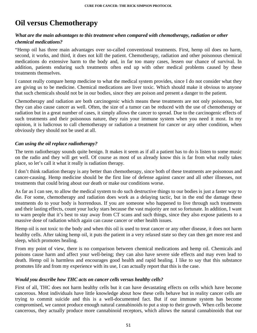## **Oil versus Chemotherapy**

#### *What are the main advantages to this treatment when compared with chemotherapy, radiation or other chemical medications?*

"Hemp oil has three main advantages over so-called conventional treatments. First, hemp oil does no harm, second, it works, and third, it does not kill the patient. Chemotherapy, radiation and other poisonous chemical medications do extensive harm to the body and, in far too many cases, lessen our chance of survival. In addition, patients enduring such treatments often end up with other medical problems caused by these treatments themselves.

I cannot really compare hemp medicine to what the medical system provides, since I do not consider what they are giving us to be medicine. Chemical medications are liver toxic. Which should make it obvious to anyone that such chemicals should not be in our bodies, since they are poison and present a danger to the patient.

Chemotherapy and radiation are both carcinogenic which means these treatments are not only poisonous, but they can also cause cancer as well. Often, the size of a tumor can be reduced with the use of chemotherapy or radiation but in a great number of cases, it simply allows the cancer to spread. Due to the carcinogenic effects of such treatments and their poisonous nature, they ruin your immune system when you need it most. In my opinion, it is ludicrous to call chemotherapy or radiation a treatment for cancer or any other condition, when obviously they should not be used at all.

#### *Can using the oil replace radiotherapy?*

The term radiotherapy sounds quite benign. It makes it seem as if all a patient has to do is listen to some music on the radio and they will get well. Of course as most of us already know this is far from what really takes place, so let's call it what it really is radiation therapy.

I don't think radiation therapy is any better than chemotherapy, since both of these treatments are poisonous and cancer-causing. Hemp medicine should be the first line of defense against cancer and all other illnesses, not treatments that could bring about our death or make our conditions worse.

As far as I can see, to allow the medical system to do such destructive things to our bodies is just a faster way to die. For some, chemotherapy and radiation does work as a delaying tactic, but in the end the damage these treatments do to your body is horrendous. If you are someone who happened to live through such treatments and their lasting effects, count your lucky stars because the vast majority are not so fortunate. In addition, I want to warn people that it's best to stay away from CT scans and such things, since they also expose patients to a massive dose of radiation which again can cause cancer or other health issues.

Hemp oil is not toxic to the body and when this oil is used to treat cancer or any other disease, it does not harm healthy cells. After taking hemp oil, it puts the patient in a very relaxed state so they can then get more rest and sleep, which promotes healing.

From my point of view, there is no comparison between chemical medications and hemp oil. Chemicals and poisons cause harm and affect your well-being; they can also have severe side effects and may even lead to death. Hemp oil is harmless and encourages good health and rapid healing. I like to say that this substance promotes life and from my experience with its use, I can actually report that this is the case.

#### *Would you describe how THC acts on cancer cells versus healthy cells?*

First of all, THC does not harm healthy cells but it can have devastating effects on cells which have become cancerous. Most individuals have little knowledge about how these cells behave but in reality cancer cells are trying to commit suicide and this is a well-documented fact. But if our immune system has become compromised, we cannot produce enough natural cannabinoids to put a stop to their growth. When cells become cancerous, they actually produce more cannabinoid receptors, which allows the natural cannabinoids that our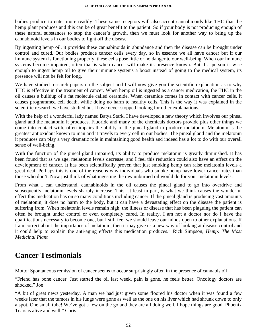bodies produce to enter more readily. These same receptors will also accept cannabinoids like THC that the hemp plant produces and this can be of great benefit to the patient. So if your body is not producing enough of these natural substances to stop the cancer's growth, then we must look for another way to bring up the cannabinoid levels in our bodies to fight off the disease.

By ingesting hemp oil, it provides these cannabinoids in abundance and then the disease can be brought under control and cured. Our bodies produce cancer cells every day, so in essence we all have cancer but if our immune system is functioning properly, these cells pose little or no danger to our well-being. When our immune systems become impaired, often that is when cancer will make its presence known. But if a person is wise enough to ingest hemp oil to give their immune systems a boost instead of going to the medical system, its presence will not be felt for long.

We have studied research papers on the subject and I will now give you the scientific explanation as to why THC is effective in the treatment of cancer. When hemp oil is ingested as a cancer medication, the THC in the oil causes a buildup of a fat molecule called ceramide. When ceramide comes in contact with cancer cells, it causes programmed cell death, while doing no harm to healthy cells. This is the way it was explained in the scientific research we have studied but I have never stopped looking for other explanations.

With the help of a wonderful lady named Batya Stark, I have developed a new theory which involves our pineal gland and the melatonin it produces. Fluoride and many of the chemicals doctors provide plus other things we come into contact with, often impairs the ability of the pineal gland to produce melatonin. Melatonin is the greatest antioxidant known to man and it travels to every cell in our bodies. The pineal gland and the melatonin it produces can play a very dramatic role in maintaining good health and indeed has a lot to do with our overall sense of well-being.

With the function of the pineal gland impaired, its ability to produce melatonin is greatly diminished. It has been found that as we age, melatonin levels decrease, and I feel this reduction could also have an effect on the development of cancer. It has been scientifically proven that just smoking hemp can raise melatonin levels a great deal. Perhaps this is one of the reasons why individuals who smoke hemp have lower cancer rates than those who don't. Now just think of what ingesting the raw unburned oil would do for your melatonin levels.

From what I can understand, cannabinoids in the oil causes the pineal gland to go into overdrive and subsequently melatonin levels sharply increase. This, at least in part, is what we think causes the wonderful effect this medication has on so many conditions including cancer. If the pineal gland is producing vast amounts of melatonin, it does no harm to the body, but it can have a devastating effect on the disease the patient is suffering from. When melatonin levels remain high, the illness or disease that has been plaguing the patient can often be brought under control or even completely cured. In reality, I am not a doctor nor do I have the qualifications necessary to become one, but I still feel we should leave our minds open to other explanations. If I am correct about the importance of melatonin, then it may give us a new way of looking at disease control and it could help to explain the anti-aging effects this medication produces." Rick Simpson, *Hemp: The Most Medicinal Plant*

## **Cancer Testimonials**

Motto: Spontaneous remission of cancer seems to occur surprisingly often in the presence of cannabis oil

"Friend has bone cancer. Just started the oil last week, pain is gone, he feels better. Oncology doctors are shocked." Joe

"A bit of great news yesterday. A man we had just given some floored his doctor when it was found a few weeks later that the tumors in his lungs were gone as well as the one on his liver which had shrunk down to only a spot. One small tube! We've got a few on the go and they are all doing well. I hope things are good. Phoenix Tears is alive and well." Chris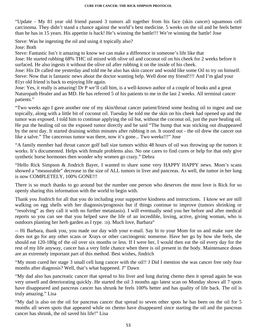"Update - My 81 year old friend passed 3 tumors all together from his face (skin cancer) squamous cell carcinoma. They didn't stand a chance against the world's best medicine. 5 weeks on the oil and he feels better than he has in 15 years. His appetite is back! He's winning the battle!!! We're winning the battle! Jose

Steve: Was he ingesting the oil and using it topically also? Jose: Both

Steve: Fantastic Isn't it amazing to know we can make a difference in someone's life like that

Jose: He started rubbing 68% THC oil mixed with olive oil and coconut oil on his cheek for 2 weeks before it surfaced. He also ingests it without the olive oil after rubbing it on the inside of his cheek.

Jose: His Dr called me yesterday and told me he also has skin cancer and would like some Oil to try on himself. Steve: Now that is fantastic news about the doctor wanting help. Well done my friend!!!! And I'm glad your 81yr old friend is back to enjoying life again.

Jose: Yes, it really is amazing! Dr P we'll call him, is a well-known author of a couple of books and a great Naturopath Healer and an MD. He has referred 5 of his patients to me in the last 2 weeks. All terminal cancer patients."

"Two weeks ago I gave another one of my skin/throat cancer patient/friend some healing oil to ingest and use topically, along with a little bit of coconut oil. Tuesday he told me the skin on his cheek had opened up and the tumor was exposed. I told him to continue applying the oil but, without the coconut oil, just the pure healing oil. He put the healing oil on the exposed tumor directly and he said "The bump that was sticking out disappeared by the next day. It started draining within minutes after rubbing it on. It oozed out - the oil drew the cancer out like a salve." The cancerous tumor was there, now it's gone... Two weeks!!!" Jose

"A family member had throat cancer golf ball size tumors within 48 hours of oil was throwing up the tumors it works. It's documented. Helps with female problems also. No one cares to find cures or help for that only give synthetic horse hormones then wonder why women go crazy." Debra

"Hello Rick Simpson & Jindrich Bayer, I wanted to share some very HAPPY HAPPY news. Mom's scans showed a "measurable" decrease in the size of ALL tumors in liver and pancreas. As well, the tumor in her lung is now COMPLETELY, 100% GONE!!!

There is so much thanks to go around but the number one person who deserves the most love is Rick for so openly sharing this information with the world to begin with.

Thank you Jindrich for all that you do including your supportive kindness and instructions. I know we are still walking on egg shells with her diagnosis/prognosis but if things continue to improve (tumors shrinking or "resolving" as they call it with no further metastasis). I will eventually send you her before and after medical reports so you can see that you helped save the life of an incredible, loving, active, giving woman, who is outdoors planting her herb garden as I type. :o). Much love, Barbara"

-- Hi Barbara, thank you, you made our day with your e-mail. Say hi to your Mom for us and make sure she does not go for any other scans or Xrays or other carcinogenic nonsense. Have her go by how she feels, she should eat 120-180g of the oil over six months or less. If I were her, I would then eat the oil every day for the rest of my life anyway, cancer has a very little chance when there is oil present in the body. Maintenance doses are an extremely important part of this method. Best wishes, Jindrich

"My mom cured her stage 3 small cell lung cancer with the oil!! J Did I mention she was cancer free only four months after diagnosis? Well, that's what happened. J" Dawn

"My dad also has pancreatic cancer that spread to his liver and lung during chemo then it spread again he was very unwell and deteriorating quickly. He started the oil 3 months ago latest scan on Monday shows all 7 spots have disappeared and pancreas cancer has shrunk he feels 100% better and has quality of life back. The oil is truly amazing." Lisa

"My dad is also on the oil for pancreas cancer that spread to seven other spots he has been on the oil for 5 months all seven spots that appeared while on chemo have disappeared since starting the oil and the pancreas cancer has shrunk, the oil saved his life!" Lisa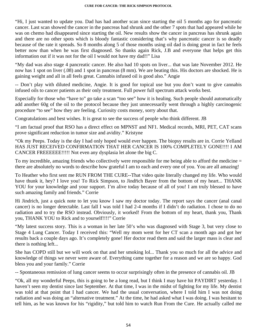"Hi, I just wanted to update you. Dad has had another scan since starting the oil 5 months ago for pancreatic cancer. Last scan showed the cancer in the pancreas had shrunk and the other 7 spots that had appeared while he was on chemo had disappeared since starting the oil. New results show the cancer in pancreas has shrunk again and there are no other spots which is bloody fantastic considering that's why pancreatic cancer is so deadly because of the rate it spreads. So 8 months along 5 of those months using oil dad is doing great in fact he feels better now than when he was first diagnosed. So thanks again Rick, J.B and everyone that helps get this information out if it was not for the oil I would not have my dad!!" Lisa

"My dad was also stage 4 pancreatic cancer. He also had 10 spots on liver... that was late November 2012. He now has 1 spot on liver (.08) and 1 spot in pancreas (8 mm). We are beating this. His doctors are shocked. He is gaining weight and all in all feels great. Cannabis infused oil is good also." Angie

-- Don't play with diluted medicine, Angie. It is good for topical use but you don't want to give cannabis infused oils to cancer patients as their only treatment. Full power full spectrum attack works best.

Especially for those who "have to" go take a scan "too see" how it is healing. Such people should automatically add another 60g of the oil to the protocol because they just unnecessarily went through a highly carcinogenic procedure "to see" how they are feeling. Curiosity costs money, sorry about that.

Congratulations and best wishes. It is great to see the success of people who think different. JB

"I am factual proof that RSO has a direct effect on MPNST and NF1. Medical records, MRI, PET, CAT scans prove significant reduction in tumor size and avidity." Kristyne

"Ok my Peeps. Today is the day I had only hoped would ever happen. The biopsy results are in. Corrie Yelland HAS JUST RECEIVED CONFIRMATION THAT HER CANCER IS 100% COMPLETELY GONE!!!! I AM CANCER FREEEEEE!!!!! Not even any dysplasia let alone the big C.

To my incredible, amazing friends who collectively were responsible for me being able to afford the medicine = there are absolutely no words to describe how grateful I am to each and every one of you. You are all amazing!

To Heather who first sent me RUN FROM THE CURE--That video quite literally changed my life. Who would have thunk it, hey? I love you! To Rick Simpson, to Jindřich Bayer from the bottom of my heart... THANK YOU for your knowledge and your support. I'm alive today because of all of you! I am truly blessed to have such amazing family and friends." Corrie

Hi Jindrich, just a quick note to let you know I saw my doctor today. The report says the cancer (anal canal cancer) is no longer detectable. Last fall I was told I had 2-4 months if I didn't do radiation. I chose to do no radiation and to try the RSO instead. Obviously, it worked! From the bottom of my heart, thank you, Thank you, THANK YOU to Rick and to yourself!!!!" Corrie

"My latest success story. This is a woman in her late 50's who was diagnosed with Stage 3, but very close to Stage 4 Lung Cancer. Today I received this: "Well my mom went for her CT scan a month ago and got her results back a couple days ago. It's completely gone! Her doctor read them and said the larger mass is clear and there is nothing left...

She has COPD still but we will work on that and her smoking lol... Thank you so much for all the advice and knowledge of things we never were aware of. Everything came together for a reason and we are so happy. God bless you and your family." Corrie

-- Spontaneous remission of lung cancer seems to occur surprisingly often in the presence of cannabis oil. JB

"Ok, all my wonderful Peeps, this is going to be a long read, but I think I may have hit PAYDIRT yesterday. I haven't seen my dentist since last September. At that time, I was in the midst of fighting for my life. My dentist was told at that point that I had cancer. We had the usual conversation, where I told him I was not doing radiation and was doing an "alternative treatment." At the time, he had asked what I was doing. I was hesitant to tell him, as he was known for his "rigidity," but told him to watch Run From the Cure. He actually called me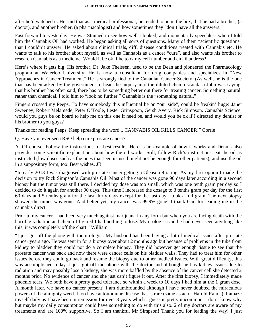after he'd watched it. He said that as a medical professional, he tended to be in the box, that he had a brother, (a doctor), and another brother, (a pharmacologist) and how sometimes they "don't have all the answers."

Fast forward to yesterday. He was Stunned to see how well I looked, and momentarily speechless when I told him the Cannabis Oil had worked. He began asking all sorts of questions. Many of them "scientific questions" that I couldn't answer. He asked about clinical trials, diff. disease conditions treated with Cannabis etc. He wants to talk to his brother about myself, as well as Cannabis as a cancer "cure", and also wants his brother to research Cannabis as a medicine. Would it be ok if he took my cell number and email address?

Here's where it gets big. His brother, Dr. Jake Theissen, used to be the Dean and pioneered the Pharmacology program at Waterloo University. He is now a consultant for drug companies and specializes in "New Approaches in Cancer Treatment." He is strongly tied to the Canadian Cancer Society. (As well, he is the one that has been asked by the government to head the inquiry into the diluted chemo scandal.) John was saying, that his brother has often said, there has to be something better out there for treating cancer. Something natural, rather than chemical. I told him to "look no further." Cannabis is the "something natural."

Fingers crossed my Peeps. To have somebody this influential be on "our side", could be freakin' huge! Janet Sweeney, Robert Melamede, Peter O'Toole, Lester Grinspoon, Gersh Avery, Rick Simpson. Cannabis Science, would you guys be on board to help me on this one if need be, and would you be ok if I directed my dentist or his brother to you guys?

Thanks for reading Peeps. Keep spreading the word... CANNABIS OIL KILLS CANCER!" Corrie

Q. Have you ever seen RSO help cure prostate cancer?

A. Of course. Follow the instructions for best results. Here is an example of how it works and Dennis also provides some scientific explanation about how the oil works. Still, follow Rick's instructions, eat the oil as instructed (low doses such as the ones that Dennis used might not be enough for other patients), and use the oil in a suppository form, too. Best wishes, JB

"In early 2013 I was diagnosed with prostate cancer getting a Gleason 9 rating. As my first option I made the decision to try Rick Simpson's Cannabis Oil. Most of the cancer was gone 90 days later according in a second biopsy but the tumor was still there. I decided my dose was too small, which was one tenth gram per day so I decided to do it again for another 90 days. This time I increased the dosage to 3 tenths gram per day for the first 60 days and 5 tenths gram for the last thirty days except for the last day I took a full gram. The next biopsy showed the tumor was gone. And better yet, my cancer was 99.9% gone! I thank God for leading me in the cannabis direct.

Prior to my cancer I had been very much against marijuana in any form but when you are facing death with the horrible radiation and chemo I figured I had nothing to lose. My urologist said he had never seen anything like this, it was completely off the chart." William

"I just got off the phone with the urologist. My husband has been having a lot of medical issues after prostate cancer years ago. He was sent in for a biopsy over about 2 months ago but because of problems in the tube from kidney to bladder they could not do a complete biopsy. They did however get enough tissue to see that the prostate cancer was back and now there were cancer cells on his bladder walls. They had to treat him for other issues before they could go back and resume the biopsy due to other medical issues. With great difficulty, this was accomplished today. I just got off the phone with the doctor and although he has kidney issues due to radiation and may possibly lose a kidney, she was more baffled by the absence of the cancer cell she detected 2 months prior. No evidence of cancer and she just can't figure it out. After the first biopsy, I immediately made phoenix tears. We both have a pretty good tolerance so within a week to 10 days I had him at the 1 gram dose. A month later, we have no cancer present! I am dumbfounded although I have never doubted the miraculous powers of the almighty weed. I too have autoimmune disease that is rare (same as actor Harold Ramis). I amaze myself daily as I have been in remission for over 3 years which I guess is pretty uncommon. I don't know why but maybe my daily consumption could have something to do with this also. 2 of my doctors are aware of my treatments and are 100% supportive. So I am thankful Mr Simpson! Thank you for leading the way! I just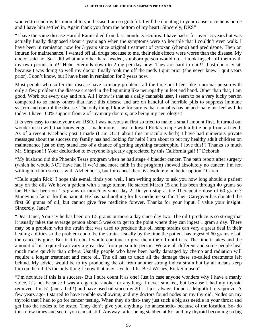wanted to send my testimonial to you becase I am so grateful. I will be donating to your cause once he is home and I have him settled in. Again thank you from the bottom of my heart! Sincerely, DKS"

"I have the same disease Harold Ramis died from last month...vasculitis. I have had it for over 15 years but was actually finally diagnosed about 4 years ago when the symptoms were so horrible that I couldn't even walk. I have been in remission now for 3 years since original treatment of cytoxan (chemo) and prednisone. Then on imuran for maintenance. I wanted off all drugs because to me, their side effects were worse than the disease. My doctor said no. So I did what any other hard headed, stubborn person would do... I took myself off them with my own permission!!! Hehe. Steroids down to 2 mg per day now. They are hard to quit!!! Last doctor visit, because I was doing so well my doctor finally took me off the meds I quit prior (she never knew I quit years prior). I don't know, but I have been in remission for 3 years now.

Most people who suffer this disease have so many problems all the time but I feel like a normal person with only a few problems the disease created in the beginning like neuropathy in feet and hand. Other than that, I am good. Work out every day and run. All I know is that as a daily cannabis user, I seem to be a very lucky person compared to so many others that have this disease and are on handful of horrible pills to suppress immune system and control the disease. The only thing I know for sure is that cannabis has helped make me feel as I do today. I have 100% support from 2 of my many doctors, one being my neurologist!

It is very easy to make your own RSO. I was nervous at first so tried to make a small amount first. It turned out wonderful so with that knowledge, I made more. I just followed Rick's recipe with a little help from a friend! As of a recent Facebook post I made (I am OUT about this miraculous herb) I have had numerous private messages about the success my family has had looking for help! I am about to put my healthy adult children on maintenance just so they stand less of a chance of getting anything catastrophic. I love this!!! Thanks so much Mr. Simpson!!! Your dedication to everyone is greatly appreciated by this California gal!!!" Deborah

"My husband did the Phoenix Tears program when he had stage 4 bladder cancer. The path report after surgery (which he would NOT have had if we'd had more faith in the program) showed absolutely no cancer. I'm not willing to claim success with Alzheimer's, but for cancer there is absolutely no better option." Caren

"Hello again Rick! I hope this e-mail finds you well. I am writing today to ask you how long should a patient stay on the oil? We have a patient with a huge tumor. He started March 15 and has been through 40 grams so far. He has been on 1.5 grams or more/day since day 2. Do you stop at the Therapeutic dose of 60 grams? Money is a factor for this patient. He has paid nothing for his medicine so far. Their Caregiver has donated the first 60 grams of oil, but cannot give free medicine forever. Thanks for your input. I value your insight. Sincerely, Janet"

"Dear Janet, You say he has been on 1.5 grams or more a day since day two. The oil I produce is so strong that it usually takes the average person about 5 weeks to get to the point where they can ingest 1 gram a day. There may be a problem with the strain that was used to produce this oil hemp strains can vary a great deal in their healing abilities so the problem could be the strain. Usually by the time the patient has ingested 60 grams of oil the cancer is gone. But if it is not, I would continue to give them the oil until it is. The time it takes and the amount of oil required can vary a great deal from person to person. We are all different and some people heal much more quickly than others. Usually people who have been badly damaged by chemo and radiation will require a longer treatment and more oil. The oil has to undo all the damage these so-called treatments left behind. My advice would be to try producing the oil from another strong indica strain but by all means keep him on the oil it's the only thing I know that may save his life. Best Wishes, Rick Simpson"

"I'm not sure if this is a success- But I sure count it as one! Just in case anyone wonders why I have a manly voice, it's not because I was a cigarette smoker or anything- I never smoked, but because I had my thyroid removed. I'm 51 (and a half!) and have used oil since my 20's. I just always found it delightful to vaporize. A few years ago- I started to have trouble swallowing, and my doctors found nodes on my thyroid. Nodes on my thyroid that I had to go for cancer testing. When they do that- they just stick a big ass needle in your throat and get into the nodes to be tested. They don't give you anything- no anaesthetic- because of the location. So- do this a few times and see if you can sit still. Anyway- after being stabbed at 6x- and my thyroid becoming so big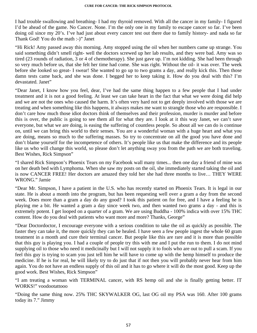I had trouble swallowing and breathing- I had my thyroid removed. With all the cancer in my family- I figured I'd be ahead of the game. No Cancer. None. I'm the only one in my family to escape cancer so far. I've been doing oil since my 20's. I've had just about every cancer test out there due to family history- and nada so far Thank God! You do the math :-)" Janet

"Hi Rick! Amy passed away this morning. Amy stopped using the oil when her numbers came up strange. You said something didn't smell right- well the doctors screwed up her lab results, and they were bad. Amy was so tired (23 rounds of radiation, 3 or 4 of chemotherapy). She just gave up. I'm not kidding. She had been through so very much before us, that she felt her time had come. She was right. Without the oil- it was over. The week before she looked so great- I swear! She wanted to go up to two grams a day, and really kick this. Then those damn tests came back, and she was done. I begged her to keep taking it. How do you deal with this? I'm devastated. Janet"

"Dear Janet, I know how you feel, dear, I've had the same thing happen to a few people that I had under treatment and it is not a good feeling. At least we can take heart in the fact that what we were doing did help and we are not the ones who caused the harm. It's often very hard not to get deeply involved with those we are treating and when something like this happens, it always makes me want to strangle those who are responsible. I don't care how much those idiot doctors think of themselves and their profession, murder is murder and before this is over, the public is going to see them all for what they are. I look at it this way Janet, we can't save everyone, but what we are doing, is easing the suffering of countless people. So about all we can do is continue on, until we can bring this world to their senses. You are a wonderful woman with a huge heart and what you are doing, means so much to the suffering masses. So try to concentrate on all the good you have done and don't blame yourself for the incompetence of others. It's people like us that make the difference and its people like us who will change this world, so please don't let anything sway you from the path we are both traveling. Best Wishes, Rick Simpson"

"I shared Rick Simpson's Phoenix Tears on my Facebook wall many times... then one day a friend of mine was on her death bed with Lymphoma. When she saw my posts on the oil, she immediately started taking the oil and is now CANCER FREE! Her doctors are amazed they told her she had three months to live… THEY WERE WRONG." Jamie

"Dear Mr. Simpson, I have a patient in the U.S. who has recently started on Phoenix Tears. It is legal in our state. He is about a month into the program, but has been requesting well over a gram a day from the second week. Does more than a gram a day do any good? I took this patient on for free, and I have a feeling he is playing me a bit. He wanted a gram a day since week two, and then wanted two grams a day - and this is extremely potent. I get looped on a quarter of a gram. We are using Buddha - 100% indica with over 15% THC content. How do you deal with patients who want more and more? Thanks, George"

"Dear Doctordoctor, I encourage everyone with a serious condition to take the oil as quickly as possible. The faster they can take it, the more quickly they can be healed. I have seen a few people ingest the whole 60 gram treatment in a month and cure their terminal cancer. But people like this are rare and it is more than possible that this guy is playing you. I had a couple of people try this with me and I put the run to them. I do not mind supplying oil to those who need it medicinally but I will not supply it to fools who are out to pull a scam. If you feel this guy is trying to scam you just tell him he will have to come up with the hemp himself to produce the medicine. If he is for real, he will likely try to do just that if not then you will probably never hear from him again. You do not have an endless supply of this oil and it has to go where it will do the most good. Keep up the good work. Best Wishes, Rick Simpson"

"I am treating a woman with TERMINAL cancer, with RS hemp oil and she is finally getting better. IT WORKS!" voodootattooo

"Doing the same thing now. 25% THC SKYWALKER OG, last OG oil my PSA was 160. After 100 grams today its 7." Jimmy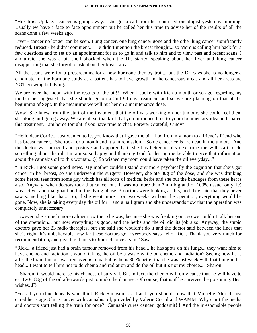"Hi Chris, Update... cancer is going away... she got a call from her confused oncologist yesterday morning. Usually we have a face to face appointment but he called her this time to advise her of the results of all the scans done a few weeks ago.

Liver - cancer no longer can be seen. Lung cancer, one lung cancer gone and the other lung cancer significantly reduced. Breast - he didn't comment... He didn't mention the breast thought... so Mom is calling him back for a few questions and to set up an appointment for us to go in and talk to him and to view past and recent scans. I am afraid she was a bit shell shocked when the Dr. started speaking about her liver and lung cancer disappearing that she forgot to ask about her breast area.

All the scans were for a prescreening for a new hormone therapy trail... but the Dr. says she is no longer a candidate for the hormone study as a patient has to have growth in the cancerous areas and all her areas are NOT growing but dying.

We are over the moon with the results of the oil!!! When I spoke with Rick a month or so ago regarding my mother he suggested that she should go on a 2nd 90 day treatment and so we are planning on that at the beginning of Sept. In the meantime we will put her on a maintenance dose.

Wow! She knew from the start of the treatment that the oil was working on her tumours she could feel them shrinking and going away. We are all so thankful that you introduced me to your documentary idea and shared this treatment. I am home tonight if you have time to chat. Forever Grateful, Cindy"

"Hello dear Corrie... Just wanted to let you know that I gave the oil I had from my mom to a friend's friend who has breast cancer... She took for a month and it's in remission... Some cancer cells are dead in the tumor... And the doctor was amazed and positive and apparently if she has better results next time the will start to do something about the oil. I'm am so so happy and thanking God for letting me be able to give that information about the cannabis oil to this woman.. :)) So wished my mom could have taken the oil everyday..."

"Hi Rick, I got some good news. My mother couldn't stand any more psychically the cognition that she's got cancer in her breast, so she underwent the surgery. However, she ate 30g of the dose, and she was drinking some herbal teas from some guy which has all sorts of medical herbs and she put the bandages from these herbs also. Anyway, when doctors took that cancer out, it was no more than 7mm big and of 100% tissue, only 1% was active, and malignant and in the dying phase. 3 doctors were looking at this, and they said that they never saw something like that... So, if she went more 1 or two weeks without the operation, everything would be gone. Now, she is taking every day the oil for 1 and a half gram and she understands now that the operation was completely unnecessary.

However, she's much more calmer now then she was, because she was freaking out, so we couldn't talk her out of the operation... but now everything is good, and the herbs and the oil did its job also. Anyway, the stupid doctors gave her 23 radio therapies, but she said she wouldn't do it and the doctor said between the lines that she's right. It's unbelievable how far these doctors go. Everybody says hello, Rick. Thank you very much for recommendation, and give big thanks to Jindrich once again." Sasa

"Rick... a friend just had a brain tumour removed from his head... he has spots on his lungs... they want him to have chemo and radiation... would taking the oil be a waste while on chemo and radiation? Seeing how he is after the brain tumour was removed is remarkable, he is 80 % better than he was last week with that thing in his head... I want to tell him not to do chemo and radiation and do the oil but it's not my choice..." Sharon

-- Sharon, it would increase his chances of survival. But in fact, the chemo will only cause that he will have to eat 120-180g of the oil afterwards just to undo the damage. Of course, that is if he survives the poisoning. Best wishes, JB

"For all you chuckleheads who think Rick Simpson is a fraud, you should know that Michelle Aldrich just cured her stage 3 lung cancer with cannabis oil, provided by Valerie Corral and WAMM! Why can't the media and doctors start telling the truth for once?! Cannabis cures cancer, goddamit!!! And the irresponsible people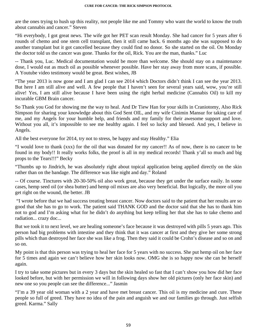are the ones trying to hush up this reality, not people like me and Tommy who want the world to know the truth about cannabis and cancer." Steven

"Hi everybody, I got great news. The wife got her PET scan result Monday. She had cancer for 5 years after 6 rounds of chemo and one stem cell transplant, then it still came back. 6 months ago she was supposed to do another transplant but it got cancelled because they could find no donor. So she started on the oil. On Monday the doctor told us the cancer was gone. Thanks for the oil, Rick. You are the man, thanks." Luc

-- Thank you, Luc. Medical documentation would be more than welcome. She should stay on a maintenance dose, I would eat as much oil as possible whenever possible. Have her stay away from more scans, if possible. A Youtube video testimony would be great. Best wishes, JB

"The year 2013 is now gone and I am glad I can see 2014 which Doctors didn't think I can see the year 2013. But here I am still alive and well. A few people that I haven't seen for several years said, wow, you're still alive! Yes, I am still alive because I have been using the right herbal medicine (Cannabis Oil) to kill my incurable GBM Brain cancer.

So Thank you God for showing me the way to heal. And Dr Tiew Han for your skills in Craniotomy, Also Rick Simpson for sharing your knowledge about this God Sent OIL, and my wife Cinimin Mansur for taking care of me, and my Angels for your humble help, and friends and my family for their awesome support and love. Without you all, it's impossible to see me healthy again. I feel so lucky and blessed. And yes, I believe in Angels.

All the best everyone for 2014, try not to stress, be happy and stay Healthy." Elia

"I would love to thank (xxx) for the oil that was donated for my cancer!! As of now, there is no cancer to be found in my body!! It really works folks, the proof is all in my medical records! Thank y'all so much and big props to the Tears!!!" Becky

"Thumbs up to Jindrich, he was absolutely right about topical application being applied directly on the skin rather than on the bandage. The difference was like night and day." Roland

-- Of course. Tinctures with 20-30-50% oil also work great, because they get under the surface easily. In some cases, hemp seed oil (or shea butter) and hemp oil mixes are also very beneficial. But logically, the more oil you get right on the wound, the better. JB

 "I wrote before that we had success treating breast cancer. Now doctors said to the patient that her results are so good that she has to go to work. The patient said THANK GOD and the doctor said that she has to thank him not to god and I'm asking what for he didn't do anything but keep telling her that she has to take chemo and radiation... crazy doc...

But we took it to next level, we are healing someone's face because it was destroyed with pills 5 years ago. This person had big problems with intestine and they think that it was cancer at first and they give her some strong pills which than destroyed her face she was like a frog. Then they said it could be Crohn's disease and so on and so on.

My point is that this person was trying to heal her face for 5 years with no success. She put hemp oil on her face for 5 times and again we can't believe how her skin looks now. OMG she is so happy now she can be herself again.

I try to take some pictures but in every 3 days but the skin healed so fast that I can't show you how did her face looked before, but with her permission we will in following days show her old pictures (only her face skin) and new one so you people can see the difference..." Jasmin

"I'm a 39 year old woman with a 2 year and have met breast cancer. This oil is my medicine and cure. These people so full of greed. They have no idea of the pain and anguish we and our families go through. Just selfish greed. Karma." Sally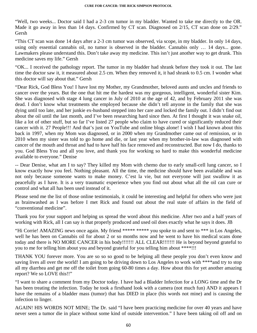"Well, two weeks... Doctor said I had a 2-3 cm tumor in my bladder. Wanted to take me directly to the OR. Made it go away in less than 14 days. Confirmed by CT scan. Diagnosed on 2/15, CT scan done on 2/29." Gersh

"This CT scan was done 14 days after a 2-3 cm tumor was observed, via scope, in my bladder. In only 14 days, using only essential cannabis oil, no tumor is observed in the bladder. Cannabis only … 14 days... gone. Lawmakers please understand this. Don't take away my medicine. This isn't just another way to get drunk. This medicine saves my life." Gersh

"OK... I received the pathology report. The tumor in my bladder had shrank before they took it out. The last time the doctor saw it, it measured about 2.5 cm. When they removed it, it had shrank to 0.5 cm. I wonder what this doctor will say about that." Gersh

"Dear Rick, God Bless You! I have lost my Mother, my Grandmother, beloved aunts and uncles and friends to cancer over the years. But the one that hit me the hardest was my gorgeous, intelligent, wonderful sister Kim. She was diagnosed with stage 4 lung cancer in July of 2010 at the age of 42, and by February 2011 she was dead. I don't know what treatments she employed because she didn't tell anyone in the family that she was dying until too late, and her junkie ex-husband stepped into her care and locked the family out. I didn't find out about the oil until the last month, and I've been researching hard since then. At first I thought it was snake oil, like a lot of other stuff, but so far I've listed 27 people who claim to have cured or significantly reduced their cancer with it. 27 People!!! And that's just on YouTube and online blogs alone! I wish I had known about this back in 1997, when my Mom was diagnosed, or in 2000 when my Grandmother came out of remission, or in 2010 when my sister was told to go home and die, or last year when my brother-in-law was diagnosed with cancer of the mouth and throat and had to have half his face removed and reconstructed. But now I do, thanks to you. God Bless You and all you love, and thank you for working so hard to make this wonderful medicine available to everyone." Denise

-- Dear Denise, what am I to say? They killed my Mom with chemo due to early small-cell lung cancer, so I know exactly how you feel. Nothing pleasant. All the time, the medicine should have been available and was not only because someone wants to make money. C'est la vie, but not everyone will just swallow it as peacefully as I have. It is a very traumatic experience when you find out about what all the oil can cure or control and what all has been used instead of it.

Please send me the list of those online testimonials, it could be interesting and helpful for others who were just as brainwashed as I was before I met Rick and found out about the real state of affairs in the field of "conventional medicine".

Thank you for your support and helping us spread the word about this medicine. After two and a half years of working with Rick, all I can say is that properly produced and used oil does exactly what he says it does. JB

"Hi Corrie! AMAZING news once again. My friend \*\*\*\*\* \*\*\*\*\* you spoke to and sent to \*\*\* in Los Angeles, well he has been on Cannabis oil for about 2 or so months now and he went to have his medical scans done today and there is NO MORE CANCER in his body!!!!!!! ALL CLEAR!!!!!!! He is beyond beyond grateful to you to me for telling him about you and beyond grateful for you telling him about \*\*\*\*!!!

THANK YOU forever more. You are so so so good to be helping all these people you don't even know and saving lives all over the world! I am going to be driving down to Los Angeles to work with \*\*\*\*and try to stop all my diarrhea and get me off the toilet from going 60-80 times a day. How about this for yet another amazing report? We so LOVE this!!"

"I want to share a comment from my Doctor today. I have had a Bladder Infection for a LONG time and the Dr has been treating the infection. Today he took a firsthand look with a camera (not much fun) AND it appears I have the remains of a bladder mass (tumor) that has DIED in place (his words not mine) and is causing the infection to linger.

AGAIN! HIS WORDS NOT MINE; The Dr. said "I have been practicing medicine for over 40 years and have never seen a tumor die in place without some kind of outside intervention." I have been taking oil off and on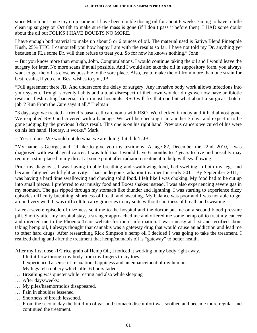since March but since my crop came in I have been double dosing oil for about 6 weeks. Going to have a little clean up surgery on Oct 8th to make sure the mass is gone (if I don't pass it before then). I HAD some doubt about the oil but FOLKS I HAVE DOUBTS NO MORE.

I have enough bud material to make up about 5 or 6 ounces of oil. The material used is Sativa Blend Pineapple Kush, 25% THC. I cannot tell you how happy I am with the results so far. I have not told my Dr. anything yet because in FLa some Dr. will then refuse to treat you. So for now he knows nothing." John

-- But you know more than enough, John. Congratulations. I would continue taking the oil and I would leave the surgery for later. No more scans if at all possible. And I would also take the oil in suppository form, you always want to get the oil as close as possible to the sore place. Also, try to make the oil from more than one strain for best results, if you can. Best wishes to you, JB

"Full agreement there JB. And underscore the delay of surgery. Any invasive body work allows infections into your system. Trough slovenly habits and a total disrespect of their own wonder drugs we now have antibiotic resistant flesh eating bacteria, rife in most hospitals. RSO will fix that one but what about a surgical "botchjob"? Run From the Cure says it all." Tielman

"3 days ago we treated a friend's basal cell carcinoma with RSO. We checked it today and it had almost gone. We reapplied RSO and covered with a bandage. We will be checking it in another 3 days and expect it to be gone judging by the previous 3 days result. This one is on his right hand. Previous cancers we cured of his were on his left hand. Hooray, it works." Mark

-- Yes, it does. We would not do what we are doing if it didn't. JB

"My name is George, and I'd like to give you my testimony. At age 82, December the 22nd, 2010, I was diagnosed with esophageal cancer. I was told that I would have 6 months to 2 years to live and possibly may require a stint placed in my throat at some point after radiation treatment to help with swallowing.

Prior my diagnosis, I was having trouble breathing and swallowing food, had swelling in both my legs and became fatigued with light activity. I had undergone radiation treatment in early 2011. By September 2011, I was having a hard time swallowing and chewing solid food. I felt like I was choking. My food had to be cut up into small pieces. I preferred to eat mushy food and Boost shakes instead. I was also experiencing severe gas in my stomach. The gas ripped through my stomach like thunder and lightning. I was starting to experience dizzy episodes difficulty breathing, shortness of breath and sweating. My balance was poor and I was not able to get around very well. It was difficult to carry groceries to my suite without shortness of breath and sweating.

Later a severe episode of dizziness sent me to the hospital and the doctor put me on a second blood pressure pill. Shortly after my hospital stay, a stranger approached me and offered me some hemp oil to treat my cancer and directed me to the Phoenix Tears website for more information. I was uneasy at first and terrified about taking hemp oil, I always thought that cannabis was a gateway drug that would cause an addiction and lead me to other hard drugs. After researching Rick Simpson's hemp oil I decided I was going to take the treatment. I realized during and after the treatment that hemp/cannabis oil is "gateway" to better health.

After my first dose -1/2 rice grain of Hemp Oil, I noticed it working in my body right away.

- … I felt it flow through my body from my fingers to my toes.
- … I experienced a sense of relaxation, happiness and an enhancement of my humor.
- … My legs felt rubbery which after 6 hours faded.
- … Breathing was quieter while resting and also while sleeping
- … After days/weeks:
- … My piles/haemorrhoids disappeared.
- … Pain in shoulder lessened
- … Shortness of breath lessened.
- … From the second day the build-up of gas and stomach discomfort was soothed and became more regular and continued the treatment.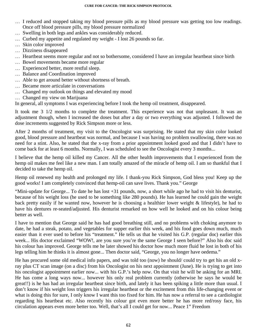- … I reduced and stopped taking my blood pressure pills as my blood pressure was getting too low readings. Once off blood pressure pills, my blood pressure normalized
- … Swelling in both legs and ankles was considerably reduced.
- … Curbed my appetite and regulated my weight I lost 26 pounds so far.
- … Skin color improved
- … Dizziness disappeared
- … Heartbeat seems more regular and not so bothersome, considered I have an irregular heartbeat since birth
- Bowel movements became more regular
- … Experienced better, more restful sleep.
- … Balance and Coordination improved
- Able to get around better without shortness of breath.
- … Became more articulate in conversations
- … Changed my outlook on things and elevated my mood
- … Changed my view on Marijuana

In general, all symptoms I was experiencing before I took the hemp oil treatment, disappeared.

It took me 3 1/2 months to complete the treatment. This experience was not that unpleasant. It was an adjustment though, when I increased the doses but after a day or two everything was adjusted. I followed the dose increments suggested by Rick Simpson more or less.

After 2 months of treatment, my visit to the Oncologist was surprising. He stated that my skin color looked good, blood pressure and heartbeat was normal, and because I was having no problem swallowing, there was no need for a stint. Also, he stated that the x-ray from a prior appointment looked good and that I didn't have to come back for at least 6 months. Normally, I was scheduled to see the Oncologist every 3 months...

I believe that the hemp oil killed my Cancer. All the other health improvements that I experienced from the hemp oil makes me feel like a new man. I am totally amazed of the miracle of hemp oil. I am so thankful that I decided to take the hemp oil.

Hemp oil renewed my health and prolonged my life. I thank-you Rick Simpson, God bless you! Keep up the good works! I am completely convinced that hemp-oil can save lives. Thank you." George

"Mini-update for George... To date he has lost +31 pounds, now, a short while ago he had to visit his denturist, because of his weight loss (he used to be something like 280 pounds). He has learned he could gain the weight back pretty easily if he wanted now, however he is choosing a healthier lower weight & lifestyle), he had to have his dentures re-seated/adjusted. His denturist remarked on how well he looked and on his colour being better as well.

I have to mention that George said he has had good breathing still, and no problems with choking anymore to date, he had a steak, potato, and vegetables for supper earlier this week, and his food goes down much, much easier than it ever used to before his "treatment." He tells us that he visited his G.P. (regular doc) earlier this week... His doctor exclaimed "WOW!, are you sure you're the same George I seen before?" Also his doc said his colour has improved. George tells me he later showed his doctor how much more fluid he lost in both of his legs telling him he thinks it is almost gone... Then doctor said, "George, you no longer have oedema."

He has procured some old medical info papers, and was told too (now) he should/ could try to get his an old xray plus CT scan image (on a disc) from his Oncologist on his next appointment (June). He is trying to get into his oncologist appointment earlier now... with his G.P.'s help now. On that visit he will be asking for an MRI. He has come a long ways now... however his only real problem currently (otherwise he says he would be great!!) is he has had an irregular heartbeat since birth, and lately it has been spiking a little more than usual. I don't know if his weight loss triggers his irregular heartbeat or the excitement from this life-changing event or what is doing this for sure, I only know I want this too fixed for him. He has now a referral to see a cardiologist regarding his heartbeat etc. Also recently his colour got even more better he has more red/rosy face, his circulation appears even more better too. Well, that's all I could get for now... Peace 1" Freedom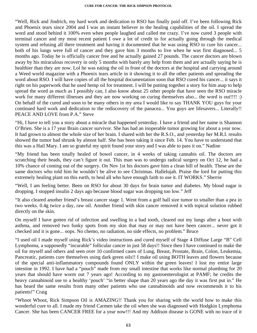"Well, Rick and Jindrich, my hard work and dedication to RSO has finally paid off. I've been following Rick and Phoenix tears since 2004 and I was an instant believer in the healing capabilities of the oil. I spread the word and stood behind it 100% even when people laughed and called me crazy. I've now cured 3 people with terminal cancer and my most recent patient I owe a lot of credit to for actually going through the medical system and refusing all there treatment and having it documented that he was using RSO to cure his cancer... both of his lungs were full of cancer and they gave him 3 months to live when he was first diagnosed... 5 months ago. Today he is officially cancer free and he actually gained 27 pounds. The cancer doctors are blown away by his miraculous recovery in only 5 months with barely any help from them and are actually saying he is healthier than they are now. Lol he was eating the oil in front of the doctors at the hospital and carrying around a Weed world magazine with a Phoenix tears article in it showing it to all the other patients and spreading the word about RSO. I will have copies of all the hospital documentation soon that RSO cured his cancer... it says it right on his paperwork that he used hemp oil for treatment. I will be putting together a story for him asap to help spread the word as much as I possibly can, I also know about 25 other people that have seen the RSO miracle work for many different illnesses and they are now working on curing themselves also... the word is out!!!! :) On behalf of the cured and soon to be many others in my area I would like to say THANK YOU guys for your continued hard work and dedication to the rediscovery of the panacea... You guys are lifesavers... Literally!! PEACE AND LOVE from P.A." Steve

"Hi, I have to tell you a story about a miracle that happened yesterday. I have a friend and her name is Shannon O'Brien. She is a 17 year Brain cancer survivor. She has had an inoperable tumor growing for about a year now. It had grown to almost the whole size of her brain. I shared with her the R.S.O., and yesterday her M.R.I. results showed the tumor had shrunk by almost half. She has been taking it since Feb. 14. You have to understand that this was a Hail Mary. I am so grateful my spirit found your story and I was able to pass it on." Nadine

"My friend has been totally healed of bowel cancer, in 4 weeks of taking cannabis oil. The doctors are scratching their heads, they can't figure it out. This man was to undergo radical surgery on Oct 12, he had a 10% chance of coming out of the surgery. On Nov 1st his doctors gave him a clean bill of health. These are the same doctors who told him he wouldn't be alive to see Christmas. Hallelujah. Praise the lord for putting this extremely healing plant on this earth, to heal all who have enough faith to use it. IT WORKS." Sherrie

"Well, I am feeling better. Been on RSO for about 30 days for brain tumor and diabetes. My blood sugar is dropping. I stopped insulin 2 days ago because blood sugar was dropping too low." Jeff

"It also cleared another friend's breast cancer stage 1. Went from a golf ball size tumor to smaller than a pea in two weeks. 0.4g twice a day, raw oil. Another friend with skin cancer removed it with topical solution rubbed directly on the skin.

On myself I have gotten rid of infection and swelling in a bad tooth, cleared out my lungs after a bout with asthma, and removed two funky spots from my skin that may or may not have been cancer... never got it checked and it is gone... oops. No chemo, no radiation, no side effects, no problem." Bruce

"I used oil I made myself using Rick's video instructions and cured myself of Stage 4 Diffuse Large "B" Cell Lymphoma, a supposedly "incurable" follicular cancer in just 58 days!! Since then I have continued to make the oil for myself and others and seen over 10 confirmed cases of Lung, Breast, Prostate, Brain, Colon, Leukemia, Pancreatic, patients cure themselves using dark green oils!! I make oil using BOTH leaves and flowers because of the special anti-inflammatory compounds found ONLY within the green leaves! I lost my entire large intestine in 1992. I have had a "pouch" made from my small intestine that works like normal plumbing for 20 years that should have worm out 7 years ago! According to my gastroenterologist at PAMF; he credits the heavy cannabinoid use to a healthy 'pouch' "in better shape than 20 years ago the day it was first put in." He has heard the same results from many other patients who use cannabinoids and now recommends it to his patients!" Craig

"Whoot Whoot, Rick Simpson Oil is AMAZING!! Thank you for sharing with the world how to make this wonderful cure to all. I made my friend Carmen take the oil when she was diagnosed with Hodgkin Lymphoma Cancer. She has been CANCER FREE for a year now!!! And my Addison disease is GONE with no trace of it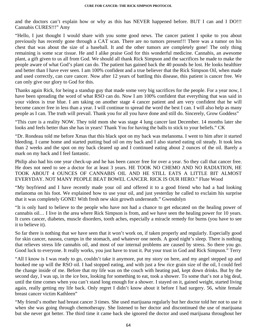and the doctors can't explain how or why as this has NEVER happened before. BUT I can and I DO!!! Cannabis CURES!!!" Amy

"Hello, I just thought I would share with you some good news. The cancer patient I spoke to you about previously has recently gone through a CAT scan. There are no tumors present!!! There was a tumor on his chest that was about the size of a baseball. It and the other tumors are completely gone! The only thing remaining is some scar tissue. He and I alike praise God for this wonderful medicine. Cannabis, an awesome plant, a gift given to us all from God. We should all thank Rick Simpson and the sacrifices he made to make the people aware of what God's plant can do. The patient has gained back the 40 pounds he lost. He looks healthier and better than I have ever seen. I am 100% confident and a true believer that the Rick Simpson Oil, when made and used correctly, can cure cancer. Now after 12 years of battling this disease, this patient is cancer free. We can only give our glory to God for this.

Thanks again Rick, for being a standup guy that made some very big sacrifices for the people. For a year now, I have been spreading the word of what RSO can do. Now I am 100% confident that everything that was said in your videos is true blue. I am taking on another stage 4 cancer patient and am very confident that he will become cancer free in less than a year. I will continue to spread the word the best I can. I will also help as many people as I can. The truth will prevail. Thank you for all you have done and still do. Sincerely, Grow Goddess"

"This cure is a reality NOW. They told mom she was stage 4 lung cancer last December. 14 months later she looks and feels better than she has in years! Thank You for having the balls to stick to your beliefs." CK

"Dr. Rondeau told me before Xmas that this black spot on my back was melanoma. I went to him after it started bleeding. I came home and started putting bud oil on my back and I also started eating oil steady. It took less than 2 weeks and the spot on my back cleared up and I continued eating about 2 ounces of the oil. Barely a mark on my back and I feel fantastic.

Philip also had his one year check-up and he has been cancer free for over a year. So they call that cancer free. He does not need to see a doctor for at least 3 years. HE TOOK NO CHEMO AND NO RADIATION, HE TOOK ABOUT 4 OUNCES OF CANNABIS OIL AND HE STILL EATS A LITTLE BIT ALMOST EVERYDAY. NOT MANY PEOPLE BEAT BOWEL CANCER. RICK IS OUR HERO." Flute Wood

"My boyfriend and I have recently made your oil and offered it to a good friend who had a bad looking melanoma on his foot. We explained how to use your oil, and just yesterday he called to exclaim his surprise that it was completely GONE! With fresh new skin growth underneath." Gwendolyn

"It is only hard to believe to the people who have not had a chance to get educated on the healing power of cannabis oil… I live in the area where Rick Simpson is from, and we have seen the healing power for 10 years. It cures cancer, diabetes, muscle disorders, tooth aches, especially a miracle remedy for burns (you have to see it to believe it).

So far there is nothing that we have seen that it won't work on, if taken properly and regularly. Especially good for skin cancer, nausea, cramps in the stomach, and whatever one needs. A good night's sleep. There is nothing that relieves stress life cannabis oil, and most of our internal problems are caused by stress. So there you go. Good luck to everyone. It really works, you just have to trust it. Put your trust in God and Rick Simpson." Terry

"All I know is I was ready to go, couldn't take it anymore, put my story on here, and my angel stepped up and hooked me up will the RSO oil. I had stopped eating, and with just a few rice grain size of the oil, I could feel the change inside of me. Before that my life was on the couch with heating pad, kept down drinks. But by the second day, I was up, in the ice box, looking for something to eat, took a shower. To some that's not a big deal, until the time comes when you can't stand long enough for a shower. I stayed on it, gained weight, started living again, really getting my life back. Only regret I didn't know about it before I had surgery. 56, white female breast cancer victim Kathleen"

"My friend's mother had breast cancer 3 times. She used marijuana regularly but her doctor told her not to use it when she was going through chemotherapy. She listened to her doctor and discontinued the use of marijuana but she never got better. The third time it came back she ignored the doctor and used marijuana throughout her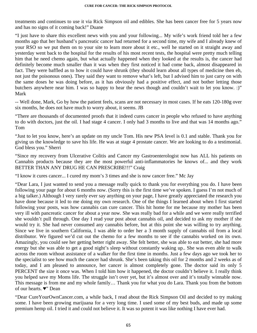treatments and continues to use it via Rick Simpson oil and edibles. She has been cancer free for 5 years now and has no signs of it coming back!" Duane

"I just have to share this excellent news with you and your following... My wife's work friend told her a few months ago that her husband's pancreatic cancer had returned for a second time, my wife and I already knew of your RSO so we put them on to your site to learn more about it etc., well he started on it straight away and yesterday went back to the hospital for the results of his most recent tests, the hospital were pretty much telling him that he need chemo again, but what actually happened when they looked at the results is, the cancer had definitely become much smaller than it was when they first noticed it had come back, almost disappeared in fact. They were baffled as to how it could have shrunk (they should learn about all types of medicine then eh, not just the poisonous ones). They said they want to remove what's left, but I advised him to just carry on with the same doses he was doing before, as it has obviously had a positive effect, and not bother letting those butchers anywhere near him. I was so happy to hear the news though and couldn't wait to let you know. :)" Mark

-- Well done, Mark, Go by how the patient feels, scans are not necessary in most cases. If he eats 120-180g over six months, he does not have much to worry about, it seems. JB

"There are thousands of documented proofs that it indeed cures cancer in people who refused to have anything to do with doctors, just the oil. I had stage 4 cancer. I only had 3 months to live and that was 14 months ago." Tom

"Just to let you know, here's an update on my uncle Tom. His new PSA level is 0.1 and stable. Thank you for giving us the knowledge to save his life. He was at stage 4 prostate cancer. We are looking to do a testimonial. God bless you." Sherri

"Since my recovery from Ulcerative Colitis and Cancer my Gastroenterologist now has ALL his patients on Cannabis products because they are the most powerful anti-inflammatories he knows of... and they work BETTER THAN ANY DRUG HE CAN PRESCRIBE!!!" Craig

"I know it cures cancer... I cured my mom's 3 times and she is now cancer free." Mc Jay

"Dear Lara, I just wanted to send you a message really quick to thank you for everything you do. I have been following your page for about 6 months now. (Sorry this is the first time we've spoken. I guess I'm not much of a big talker.) Although I very rarely ever say anything on your page, I have greatly appreciated the research you have done because it led to me doing my own research. One of the things I learned about when I first started following your posts, was how cannabis can cure cancer. This hit home for me because my mother has been very ill with pancreatic cancer for about a year now. She was really bad for a while and we were really terrified she wouldn't pull through. One day I read your post about cannabis oil, and decided to ask my mother if she would try it. She had never consumed any cannabis before, but at this point she was willing to try anything. Since we live in southern California, I was able to order her a 3 month supply of cannabis oil from a local distributor. We figured we'd cut out the chemo for a few months to see if the cannabis worked on its own. Amazingly, you could see her getting better right away. She felt better, she was able to eat better, she had more energy but she was able to get a good night's sleep without constantly waking up.. She was even able to walk across the room without assistance of a walker for the first time in months. Just a few days ago we took her to the specialist to see how much the cancer had shrunk. She's been taking this oil for 2 months and 2 weeks as of today, and I am pleased to announce, her cancer is almost completely gone. The doctor said its only 5 PERCENT the size it once was. When I told him how it happened, the doctor couldn't believe it. I really think you helped save my Moms life. The struggle isn't over yet, but it's almost over and it's totally winnable now. This message is from me and my whole family… Thank you for what you do Lara. Thank you from the bottom of our hearts. ♥" Dean

"Dear CureYourOwnCancer.com, a while back, I read about the Rick Simpson Oil and decided to try making some. I have been growing marijuana for a very long time. I used some of my best buds, and made up some premium hemp oil. I tried it and could not believe it. It was so potent it was like nothing I have ever had.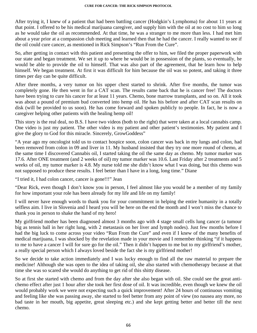After trying it, I knew of a patient that had been battling cancer (Hodgkin's Lymphoma) for about 11 years at that point. I offered to be his medical marijuana caregiver, and supply him with the oil at no cost to him so long as he would take the oil as recommended. At that time, he was a stranger to me more than less. I had met him about a year prior at a compassion club meeting and learned then that he had the cancer. I really wanted to see if the oil could cure cancer, as mentioned in Rick Simpson's "Run From the Cure".

So, after getting in contact with this patient and presenting the offer to him, we filed the proper paperwork with our state and began treatment. We set it up to where he would be in possession of the plants, so eventually, he would be able to provide the oil to himself. That was also part of the agreement, that he learn how to help himself. We began treatment. At first it was difficult for him because the oil was so potent, and taking it three times per day can be quite difficult.

After three months, a very tumor on his upper chest started to shrink. After five months, the tumor was completely gone. He then went in for a CAT scan. The results came back that he is cancer free! The doctors have been trying to cure his cancer for at least 11 years. Chemo, bone marrow transplants, and so on. All it took was about a pound of premium bud converted into hemp oil. He has his before and after CAT scan results on disk (will be provided to us soon). He has come forward and spoken publicly to people. In fact, he is now a caregiver helping other patients with the healing hemp oil!

This story is the real deal, no B.S. I have two videos (both to the right) that were taken at a local cannabis camp. One video is just my patient. The other video is my patient and other patient's testimonies. My patient and I give the glory to God for this miracle. Sincerely, GrowGoddess"

"A year ago my oncologist told us to contact hospice soon, colon cancer was back in my lungs and colon, had been removed from colon in 09 and liver in 11. My husband insisted that they try one more round of chemo, at the same time I discovered Cannabis oil, I started taking the oil the same day as chemo. My tumor marker was 17.6. After ONE treatment (and 2 weeks of oil) my tumor marker was 10.6. Last Friday after 2 treatments and 5 weeks of oil, my tumor marker is 4.8. My nurse told me she didn't know what I was doing, but this chemo was not supposed to produce these results. I feel better than I have in a long, long time." Diane

"I tried it, I had colon cancer, cancer is gone!!!" Jean

"Dear Rick, even though I don't know you in person, I feel almost like you would be a member of my family for how important your role has been already for my life and life on my family!

I will never have enough words to thank you for your commitment in helping the entire humanity in a totally selfless aim. I live in Slovenia and I heard you will be here on the end the month and I won't miss the chance to thank you in person to shake the hand of my hero!

My girlfriend mother has been diagnosed almost 3 months ago with 4 stage small cells lung cancer (a tumour big as tennis ball in her right lung, with 2 metastasis on her liver and lymph nodes). Just few months before I had the big luck to come across your video "Run From the Cure" and even if I knew of the many benefits of medical marijuana, I was shocked by the revelation made in your movie and I remember thinking "if it happens to me to have a cancer I will for sure go for the oil." Then it didn't happen to me but to my girlfriend's mother, a really special person which I always loved beside the fact she is my girlfriend mother!

So we decide to take action immediately and I was lucky enough to find all the raw material to prepare the medicine! Although she was open to the idea of taking oil, she also started with chemotherapy because at that time she was so scared she would do anything to get rid of this shitty disease.

So at first she started with chemo and from the day after she also began with oil. She could see the great antichemo effect after just 1 hour after she took her first dose of oil. It was incredible, even though we knew the oil would probably work we were not expecting such a quick improvement! After 24 hours of continuous vomiting and feeling like she was passing away, she started to feel better from any point of view (no nausea any more, no bad taste in her mouth, big appetite, great sleeping etc.) and she kept getting better and better till the next chemo.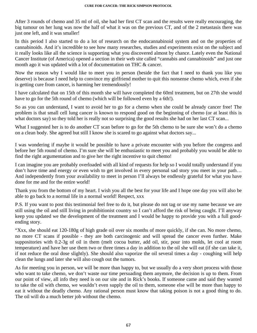After 3 rounds of chemo and 35 ml of oil, she had her first CT scan and the results were really encouraging, the big tumour on her lung was now the half of what it was on the previous CT, and of the 2 metastasis there was just one left, and it was smaller!

In this period I also started to do a lot of research on the endocannabinoid system and on the properties of cannabinoids. And it's incredible to see how many researches, studies and experiments exist on the subject and it really looks like all the science is supporting what you discovered almost by chance. Lately even the National Cancer Institute (of America) opened a section in their web site called "cannabis and cannabinoids" and just one month ago it was updated with a lot of documentation on THC & cancer.

Now the reason why I would like to meet you in person (beside the fact that I need to thank you like you deserve) is because I need help to convince my girlfriend mother to quit this nonsense chemo which, even if she is getting cure from cancer, is harming her tremendously!

I have calculated that on 15th of this month she will have completed the 60ml treatment, but on 27th she would have to go for the 5th round of chemo (which will be followed even by a 6th!).

So as you can understand, I want to avoid her to go for a chemo when she could be already cancer free! The problem is that small cell lung cancer is known to respond good on the beginning of chemo (or at least this is what doctors say) so they told her is really not so surprising the good results she had on her last CT scan...

What I suggested her is to do another CT scan before to go for the 5th chemo to be sure she won't do a chemo on a clean body. She agreed but still I know she is scared to go against what doctors say...

I was wondering if maybe it would be possible to have a private encounter with you before the congress and before her 5th round of chemo. I'm sure she will be enthusiastic to meet you and probably you would be able to find the right argumentation and to give her the right incentive to quit chemo!

I can imagine you are probably overloaded with all kind of requests for help so I would totally understand if you don't have time and energy or even wish to get involved in every personal sad story you meet in your path… And independently from your availability to meet in person I'll always be endlessly grateful for what you have done for me and for the entire world!

Thank you from the bottom of my heart. I wish you all the best for your life and I hope one day you will also be able to go back to a normal life in a normal world! Respect, xxx

P.S. If you want to post this testimonial feel free to do it, but please do not tag or use my name because we are still using the oil and still living in prohibitionist country so I can't afford the risk of being caught. I'll anyway keep you updated we the development of the treatment and I would be happy to provide you with a full goodending story.

"Xxx, she should eat 120-180g of high grade oil over six months of more quickly, if she can. No more chemo, no more CT scans if possible - they are both carcinogenic and will spread the cancer even further. Make suppositories with 0.2-3g of oil in them (melt cocoa butter, add oil, stir, pour into molds, let cool at room temperature) and have her use them two or three times a day in addition to the oil she will eat (if she can take it, if not reduce the oral dose slightly). She should also vaporize the oil several times a day - coughing will help clean the lungs and later she will also cough out the tumors.

As for meeting you in person, we will be more than happy to, but we usually do a very short process with those who want to take chemo, we don't waste our time persuading them anymore, the decision is up to them. From our point of view, all info they need is on our site and in Rick's books. If someone came and said they wanted to take the oil with chemo, we wouldn't even supply the oil to them, someone else will be more than happy to eat it without the deadly chemo. Any rational person must know that taking poison is not a good thing to do. The oil will do a much better job without the chemo.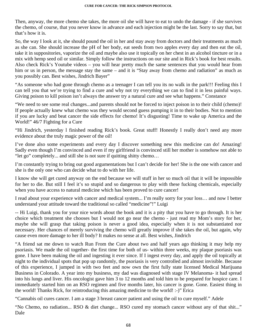Then, anyway, the more chemo she takes, the more oil she will have to eat to undo the damage - if she survives the chemo, of course, that you never know in advance and each injection might be the last. Sorry to say that, but that's how it is.

So, the way I look at it, she should pound the oil in her and stay away from doctors and their treatments as much as she can. She should increase the pH of her body, eat seeds from two apples every day and then eat the oil, take it in suppositories, vaporize the oil and maybe also use it topically on her chest in an alcohol tincture or in a mix with hemp seed oil or similar. Simply follow the instructions on our site and in Rick's book for best results. Also check Rick's Youtube videos – you will hear pretty much the same sentences that you would hear from him or us in person, the message stay the same – and it is "Stay away from chemo and radiation" as much as you possibly can. Best wishes, Jindrich Bayer"

"As someone who had gone through chemo as a teenager I can tell you its no walk in the park!!! Feeling this I can tell you that we're trying to find a cure and why not try everything we can to find it in less painful ways. Giving poison to kill poison isn't always the answer try a natural cure and see what happens." Constance

"We need to see some real changes...and parents should not be forced to inject poison in to their child (chemo)! If people actually knew what chemo was they would second guess pumping it in to their bodies. Not to mention if you are lucky and beat cancer the side effects for chemo! It's disgusting! Time to wake up America and the World!" 46/7 Fighting for a Cure

"Hi Jindrich, yesterday l finished reading Rick's book. Great stuff! Honestly I really don't need any more evidence about the truly magic power of the oil!

I've done also some experiments and every day I discover something new this medicine can do! Amazing! Sadly even though I'm convinced and even if my girlfriend is convinced still her mother is somehow not able to "let go" completely... and still she is not sure if quitting shitty chemo…

I'm constantly trying to bring out good argumentations but I can't decide for her! She is the one with cancer and she is the only one who can decide what to do with her life.

I know she will get cured anyway on the end because we will stuff in her so much oil that it will be impossible for her to die. But still I feel it's so stupid and so dangerous to play with these fucking chemicals, especially when you have access to natural medicine which has been proved to cure cancer!

I read about your experience with cancer and medical system... I'm really sorry for your loss… and now I better understand your attitude toward the traditional so called "medicine"!" Luigi

-- Hi Luigi, thank you for your nice words about the book and it is a pity that you have to go through. It is her choice which treatment she chooses but I would not go near the chemo - just read my Mom's story for her, maybe she will grasp that taking poison is never a good idea, especially when it is not substantiated nor necessary. Her chances of merely surviving the chemo will greatly improve if she takes the oil, but again, why cause even more damage to her ill body? It makes no sense at all. Best wishes, Jindrich

"A friend sat me down to watch Run From the Cure about two and half years ago thinking it may help my psoriasis. We made the oil together- the first time for both of us- within three weeks, my plaque psoriasis was gone. I have been making the oil and ingesting it ever since. If I ingest every day, and apply the oil topically at night to the individual spots that pop up randomly, the psoriasis is very controlled and almost invisible. Because of this experience, I jumped in with two feet and now own the first fully state licensed Medical Marijuana Business in Colorado. A year into my business, my dad was diagnosed with stage IV Melanoma- it had spread into his lungs and liver. His oncologist gave him 3 to 12 months and told him to be prepared for hospice care. I immediately started him on an RSO regimen and five months later, his cancer is gone. Gone. Easiest thing in the world! Thanks Rick, for reintroducing this amazing medicine to the world! :-)" Erica

"Cannabis oil cures cancer. I am a stage 3 breast cancer patient and using the oil to cure myself." Adele

"No Chemo, no radiation... RSO & diet change... RSO cured my stomach cancer without any of that shit..." Dale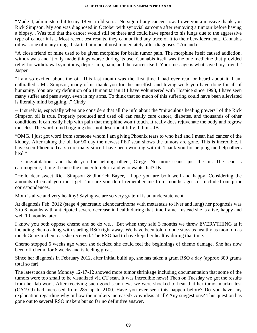"Made it, administered it to my 18 year old son… No sign of any cancer now. I owe you a massive thank you Rick Simpson. My son was diagnosed in October with synovial sarcoma after removing a tumour before having a biopsy... Was told that the cancer would still be there and could have spread to his lungs due to the aggressive type of cancer it is... Most recent test results, they cannot find any trace of it to their bewilderment... Cannabis oil was one of many things I started him on almost immediately after diagnoses." Amanda

"A close friend of mine used to be given morphine for brain tumor pain. The morphine itself caused addiction, withdrawals and it only made things worse during its use. Cannabis itself was the one medicine that provided relief for withdrawal symptoms, depression, pain, and the cancer itself. Your message is what saved my friend." Jasper

"I am so excited about the oil. This last month was the first time I had ever read or heard about it. I am enthralled... Mr. Simpson, many of us thank you for the unselfish and loving work you have done for all of humanity. You are my definition of a Humanitarian!!! I have volunteered with Hospice since 1998, I have seen many suffer and pass away, even in my arms. To think that so much of this suffering could have been alleviated is literally mind boggling..." Cindy

-- It surely is, especially when one considers that all the info about the "miraculous healing powers" of the Rick Simpson oil is true. Properly produced and used oil can really cure cancer, diabetes, and thousands of other conditions. It can really help with pain that morphine won't touch. It really does rejuvenate the body and regrow muscles. The word mind boggling does not describe it fully, I think. JB

"OMG. I just got word from someone whom I am giving Phoenix tears to who had and I mean had cancer of the kidney. After taking the oil for 90 day the newest PET scan shows the tumors are gone. This is incredible. I have seen Phoenix Tears cure many since I have been working with it. Thank you for helping me help others heal."

-- Congratulations and thank you for helping others, Gregg. No more scans, just the oil. The scan is carcinogenic, it might cause the cancer to return and who wants that? JB

"Hello dear sweet Rick Simpson & Jindrich Bayer, I hope you are both well and happy. Considering the amounts of email you must get I'm sure you don't remember me from months ago so I included our prior correspondences.

Mom is alive and very healthy! Saying we are so very grateful is an understatement.

At diagnosis Feb. 2012 (stage 4 pancreatic adenocarcinoma with metastasis to liver and lung) her prognosis was 3 to 6 months with anticipated severe decrease in health during that time frame. Instead she is alive, happy and well 10 months later.

I know you both oppose chemo and so do we… But when they said 3 months we threw EVERYTHING at it including chemo along with starting RSO right away. We have been told no one stays as healthy as mom on as much Gemzar chemo as she received. The RSO had to have kept her healthy during that time.

Chemo stopped 6 weeks ago when she decided she could feel the beginnings of chemo damage. She has now been off chemo for 6 weeks and is feeling great.

Since her diagnosis in February 2012, after initial build up, she has taken a gram RSO a day (approx 300 grams total so far).

The latest scan done Monday 12-17-12 showed more tumor shrinkage including documentation that some of the tumors were too small to be visualized via CT scan. It was incredible news! Then on Tuesday we got the results from her lab work. After receiving such good scan news we were shocked to hear that her tumor marker test (CA19-9) had increased from 285 up to 2100. Have you ever seen this happen before? Do you have any explanation regarding why or how the markers increased? Any ideas at all? Any suggestions? This question has gone out to several RSO makers but so far no definitive answer.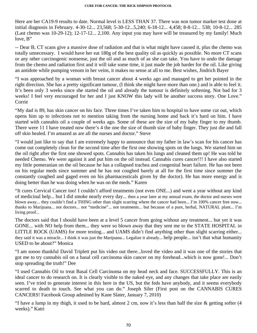Here are her CA19-9 results to date. Normal level is LESS THAN 37. There was non tumor marker test done at initial diagnosis in February. 4-30-12... 23,568; 5-30-12...5,240; 6-18-12... 4,458; 8-8-12... 538; 10-8-12... 285 (Last chemo was 10-29-12); 12-17-12... 2,100. Any input you may have will be treasured by my family! Much love, B"

-- Dear B, CT scans give a massive dose of radiation and that is what might have caused it, plus the chemo was totally unnecessary. I would have her eat 180g of the best quality oil as quickly as possible. No more CT scans or any other carcinogenic nonsense, just the oil and as much of as she can take. You have to undo the damage from the chemo and radiation first and it will take some time, it just made the job harder for the oil. Like giving an antidote while pumping venom in her veins, it makes no sense at all to me. Best wishes, Jindrich Bayer

"I was approached by a woman with breast cancer about 4 weeks ago and managed to get her pointed in the right direction. She has a pretty significant tumour, (I think she might have more than one.) and is able to feel it. It's been only 3 weeks since she started the oil and already the tumour is definitely softening. Not bad for 3 weeks! I feel very encouraged for her and I just KNOW this lady will be another success story. One Love." Corrie

"My dad is 89, has skin cancer on his face. Three times I've taken him to hospital to have some cut out, which opens him up to infections not to mention taking from the nursing home and back it's hard on him. I have started with cannabis oil a couple of weeks ago. Some of these are the size of my baby finger to my thumb. There were 11 I have treated now there's 4 the one the size of thumb size of baby finger. They just die and fall off skin healed. I'm amazed as are all the nurses and doctor." Steve

"I would just like to say that I am extremely happy to announce that my father in law's scan for his cancer has come out completely clean for the second time after the first one showing spots on the lungs. We started him on the oil right after the first one showed spots. Cannabis has taken his lungs and cleaned them up! He was told he needed Chemo. We were against it and put him on the oil instead. Cannabis cures cancer!!! I have also started my little pomeranian on the oil because he has a collapsed trachea and congenital heart failure. He has not been on his regular meds since summer and he has not coughed barely at all for the first time since summer (he constantly coughed and gaged even on his pharmaceuticals given by the doctor). He has more energy and is doing better than he was doing when he was on the meds." Karen

"It cures Cervical Cancer too! I couldn't afford treatments (not even ONE...) and went a year without any kind of medicinal help... but I did smoke nearly every day... then a year later at my annual exam, the doctor and nurses were blown away... they couldn't find a THING other than slight scarring where the cancer had been... I'm 100% cancer free now... thanks to Marijuana... not doctors... not "medicine"... not treatments... but because of a pure, herbal, NATURAL plant... I'm living proof...

The doctors said that I should have been at a level 5 cancer from going without any treatment... but yet it was GONE... with NO help from them... they were so blown away that they sent me to the STATE HOSPITAL in LITTLE ROCK (UAMS) for more testing... and UAMS didn't find anything other than slight scarring either... they said it was a miracle... I think it was just the Marijuana... Legalize it already... help people... isn't that what humanity USED to be about?" Monica

"I am soooo thankful David Triplett put his video out there...loved the video and it was one of the stories that got me to try cannabis oil on a basal cell carcinoma skin cancer on my forehead...which is now gone!... Don't stop spreading the truth!" Dee

"I used Cannabis Oil to treat Basal Cell Carcinoma on my head neck and face. SUCCESSFULLY. This is an ideal cancer to do research on. It is clearly visible to the naked eye, and any changes that take place are easily seen. I've tried to generate interest in this here in the US, but the feds have anybody, and it seems everybody scarred to death to touch. See what you can do." Joseph Siler (First post on the CANNABIS CURES CANCERS! Facebook Group admined by Kane Slater, January 7, 2010)

"I have a lump in my thigh, it used to be hard, almost 2 cm, now it's less than half the size & getting softer (4 weeks)." Katri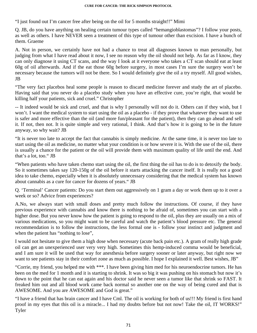"I just found out I'm cancer free after being on the oil for 5 months straight!!" Mimi

Q. JB, do you have anything on healing certain tumour types called "hemangioblastomas"? I follow your posts, as well as others. I have NEVER seen a treatment of this type of tumour other than excision. I have a bunch of them. Graeme

A. Not in person, we certainly have not had a chance to treat all diagnoses known to man personally, but judging from what I have read about it now, I see no reason why the oil should not help. As far as I know, they can only diagnose it using CT scans, and the way I look at it everyone who takes a CT scan should eat at least 60g of oil afterwards. And if the eat those 60g before surgery, in most cases I'm sure the surgery won't be necessary because the tumors will not be there. So I would definitely give the oil a try myself. All good wishes, JB

"The very fact placebos heal some people is reason to discard medicine forever and study the art of placebo. Having said that you never do a placebo study when you have an effective cure, you're right, that would be killing half your patients, sick and cruel." Christopher

-- It indeed would be sick and cruel, and that is why I personally will not do it. Others can if they wish, but I won't. I want the medical system to start using the oil as a placebo - if they prove that whatever they want to use is safer and more effective than the oil (and more fun/pleasant for the patient), then they can go ahead and sell it. If not, then not. It is quite simple and very rational, I think. And that's how it is going to be in the future anyway, so why wait? JB

"It is never too late to accept the fact that cannabis is simply medicine. At the same time, it is never too late to start using the oil as medicine, no matter what your condition is or how severe it is. With the use of the oil, there is usually a chance for the patient or the oil will provide them with maximum quality of life until the end. And that's a lot, too." JB

"When patients who have taken chemo start using the oil, the first thing the oil has to do is to detoxify the body. So it sometimes takes say 120-150g of the oil before it starts attacking the cancer itself. It is really not a good idea to take chemo, especially when it is absolutely unnecessary considering that the medical system has known about cannabis as a cure for cancer for dozens of years." JB

Q. 'Terminal' Cancer patients: Do you start them out aggressively on 1 gram a day or work them up to it over a week or so? Advice from experiences?

A.No, we always start with small doses and pretty much follow the instructions. Of course, if they have previous experience with cannabis and know there is nothing to be afraid of, sometimes you can start with a higher dose. But you never know how the patient is going to respond to the oil, plus they are usually on a mix of various medications, so you might want to be careful and watch the patient's blood pressure etc. The general recommendation is to follow the instructions, the less formal one is - follow your instinct and judgment and when the patient has "nothing to lose",

I would not hesitate to give them a high dose when necessary (acute back pain etc.). A gram of really high grade oil can get an unexperienced user very very high. Sometimes this hemp-induced comma would be beneficial, and I am sure it will be used that way for anesthesia before surgery sooner or later anyway, but right now we want to see patients stay in their comfort zone as much as possible. I hope I explained it well. Best wishes, JB"

"Corrie, my friend, you helped me with \*\*\*. I have been giving him med for his neuroendocrine tumors. He has been on the med for 1 month and it is starting to shrink. It was so big it was pushing on his stomach but now it's down to the point that he can eat again and his doctor said he never seen a tumor like that shrink so FAST. It freaked him out and all blood work came back normal so another one on the way of being cured and that is AWESOME. And you are AWESOME and God is great."

"I have a friend that has brain cancer and I have Cml. The oil is working for both of us!!! My friend is first hand proof in my eyes that this oil is a miracle... I had my doubts before but not now! Take the oil, IT WORKS!" Tyler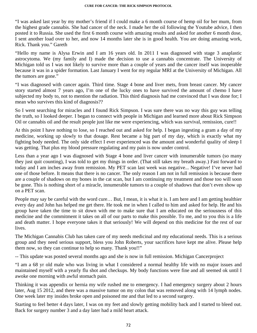"I was asked last year by my mother's friend if I could make a 6 month course of hemp oil for her mum, from the highest grade cannabis. She had cancer of the neck. I made her the oil following the Youtube advice, I then posted it to Russia. She used the first 6 month course with amazing results and asked for another 6 month dose, I sent another load over to her, and now 14 months later she is in good health. You are doing amazing work, Rick. Thank you." Gareth

"Hello my name is Alysa Erwin and I am 16 years old. In 2011 I was diagnosed with stage 3 anaplastic astrocytoma. We (my family and I) made the decision to use a cannabis concentrate. The University of Michigan told us I was not likely to survive more than a couple of years and the cancer itself was inoperable because it was in a spider formation. Last January I went for my regular MRI at the University of Michigan. All the tumors are gone."

"I was diagnosed with cancer again. Third time. Stage 4 bone and liver mets, from breast cancer. My cancer story started almost 7 years ago, I'm one of the lucky ones to have survived the amount of chemo I have subjected my body to, not to mention the radiation. This third diagnosis had me convinced that I was done for; I mean who survives this kind of diagnosis??

So I went searching for miracles and I found Rick Simpson. I was sure there was no way this guy was telling the truth, so I looked deeper. I began to connect with people in Michigan and learned more about Rick Simpson Oil or cannabis oil and the result people just like me were experiencing, which was survival, remission, cure!!

At this point I have nothing to lose, so I reached out and asked for help. I began ingesting a gram a day of my medicine, working up slowly to that dosage. Rest became a big part of my day, which is exactly what my fighting body needed. The only side effect I ever experienced was the amount and wonderful quality of sleep I was getting. That plus my blood pressure regulating and my pain is now under control.

Less than a year ago I was diagnosed with Stage 4 bone and liver cancer with innumerable tumors (so many they just quit counting), I was told to get my things in order. (That still takes my breath away.) Fast forward to today and I am inches away from remission. My PET scan last week was negative... Negative! I've never had one of those before. It means that there is no cancer. The only reason I am not in full remission is because there are a couple of shadows on my bones in the cat scan, but I am continuing my treatment and those too will soon be gone. This is nothing short of a miracle, innumerable tumors to a couple of shadows that don't even show up on a PET scan.

People may say be careful with the word cure… But, I mean, it is what it is. I am here and I am getting healthier every day and John has helped me get there. He took me in when I called to him and asked for help. He and his group have taken the time to sit down with me to make sure that I am educated on the seriousness of this medicine and the commitment it takes on all of our parts to make this possible. To me, and to you this is a life and death matter. I hope everyone takes it that seriously! We will depend on this medicine for the rest of our lives.

The Michigan Cannabis Club has taken care of my needs medicinal and my educational needs. This is a serious group and they need serious support, bless you John Roberts, your sacrifices have kept me alive. Please help them now, so they can continue to help so many. Thank you!!"

-- This update was posted several months ago and she is now in full remission. Michigan Cancerproject

"I am a 68 yr old male who was living in what I considered a normal healthy life with no major issues and maintained myself with a yearly flu shot and checkups. My body functions were fine and all seemed ok until I awoke one morning with awful stomach pain.

Thinking it was appendix or hernia my wife rushed me to emergency. I had emergency surgery about 2 hours later, Aug 15 2012, and there was a massive tumor on my colon that was removed along with 14 lymph nodes. One week later my insides broke open and poisoned me and that led to a second surgery.

Starting to feel better 4 days later, I was on my feet and slowly getting mobility back and I started to bleed out. Back for surgery number 3 and a day later had a mild heart attack.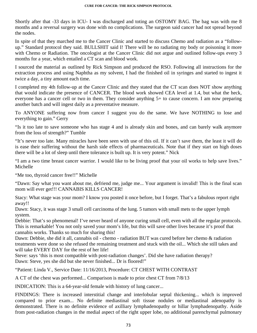Shortly after that -33 days in ICU- I was discharged and toting an OSTOMY BAG. The bag was with me 8 months and a reversal surgery was done with no complications. The surgeon said cancer had not spread beyond the nodes.

In spite of that they marched me to the Cancer Clinic and started to discuss Chemo and radiation as a "followup." Standard protocol they said. BULLSHIT said I! There will be no radiating my body or poisoning it more with Chemo or Radiation. The oncologist at the Cancer Clinic did not argue and outlined follow-ups every 3 months for a year, which entailed a CT scan and blood work.

I sourced the material as outlined by Rick Simpson and produced the RSO. Following all instructions for the extraction process and using Naphtha as my solvent, I had the finished oil in syringes and started to ingest it twice a day, a tiny amount each time.

I completed my 4th follow-up at the Cancer Clinic and they stated that the CT scan does NOT show anything that would indicate the presence of CANCER. The blood work showed CEA level at 1.4, but what the heck, everyone has a cancer cell or two in them. They consider anything 5+ to cause concern. I am now preparing another batch and will ingest daily as a preventative measure.

To ANYONE suffering now from cancer I suggest you do the same. We have NOTHING to lose and everything to gain." Gerry

"Is it too late to save someone who has stage 4 and is already skin and bones, and can barely walk anymore from the loss of strength?" Tumble

"It's never too late. Many miracles have been seen with use of this oil. If it can't save them, the least it will do is ease their suffering without the harsh side effects of pharmaceuticals. Note that if they start on high doses there will be a lot of sleep until there tolerance is built up. It is very potent." Nick

"I am a two time breast cancer warrior. I would like to be living proof that your oil works to help save lives." Michelle

"Me too, thyroid cancer free!!" Michelle

"Dawn: Say what you want about me, defriend me, judge me... Your argument is invalid! This is the final scan mom will ever get!!! CANNABIS KILLS CANCER!

Stacy: What stage was your mom? I know you posted it once before, but I forget. That's a fabulous report right away!!

Dawn: Stacy, it was stage 3 small cell carcinoma of the lung. 5 tumors with small mets to the upper lymph system.

Debbie: That's so phenomenal! I've never heard of anyone curing small cell, even with all the regular protocols. This is remarkable! You not only saved your mom's life, but this will save other lives because it's proof that cannabis works. Thanks so much for sharing this!

Dawn: Debbie, she did it all, cannabis oil - chemo - radiation BUT was cured before her chemo & radiation treatments were done so she refused the remaining treatment and stuck with the oil... Which she still takes and will take EVERY DAY for the rest of her life!

Steve: says 'this is most compatible with post-radiation changes'. Did she have radiation therapy? Dawn: Steve, yes she did but she never finished... Dr is floored!"

"Patient: Linda V., Service Date: 11/16/2013, Procedure: CT CHEST WITH CONTRAST

A CT of the chest was performed... Comparison is made to prior chest CT from 7/8/13

INDICATION: This is a 64-year-old female with history of lung cancer...

FINDINGS: There is increased interstitial change and interlobular septal thickening... which is improved compared to prior exam... No definite mediastinal soft tissue nodules or mediastinal adenopathy is demonstrated. There is no definite evidence of axilliary lymphadenopathy or hillar lymphadenopathy. Aside from post-radiation changes in the medial aspect of the right upper lobe, no additional parenchymal pulmonary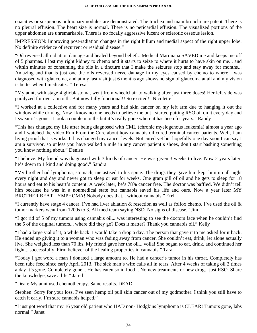opacities or suspicious pulmonary nodules are demonstrated. The trachea and main bronchi are patent. There is no pleural effusion. The heart size is normal. There is no pericardial effusion. The visualized portions of the upper abdomen are unremarkable. There is no focally aggressive lucent or sclerotic osseous lesion.

IMPRESSION: Improving post-radiation changes in the right hillum and medial aspect of the right upper lobe. No definite evidence of recurrent or residual disease."

"Oil reversed all radiation damage and healed beyond belief... Medical Marijuana SAVED me and keeps me off of 5 pharmas. I lost my right kidney to chemo and it starts to seize to where it hurts to have skin on me... and within minutes of consuming the oils in a tincture that I make the seizures stop and stay away for months... Amazing and that is just one the oils reversed nerve damage in my eyes caused by chemo to where I was diagnosed with glaucoma, and at my last visit just 6 months ago shows no sign of glaucoma at all and my vision is better when I medicate..." Teresa

"My aunt, with stage 4 glioblastoma, went from wheelchair to walking after just three doses! Her left side was paralyzed for over a month. But now fully functional!! So excited!" Nicolette

"I worked at a collective and for many years and had skin cancer on my left arm due to hanging it out the window while driving. Now I know no one needs to believe me but I started putting RSO oil on it every day and I swear it's gone. It took a couple months but it's really gone where it has been for years." Randy

"This has changed my life after being diagnosed with CML (chronic myelogenous leukemia) almost a year ago and I watched the video Run From the Cure about how cannabis oil cured terminal cancer patients. Well, I am living proof that is works. It has changed my cancer levels. Not cured yet but hopefully one day soon I can say I am a survivor, so unless you have walked a mile in any cancer patient's shoes, don't start bashing something you know nothing about." Denise

"I believe. My friend was diagnosed with 3 kinds of cancer. He was given 3 weeks to live. Now 2 years later, he's down to 1 kind and doing good." Sandra

"My brother had lymphoma, stomach, metastised to his spine. The drugs they gave him kept him up all night every night and day and never got to sleep or eat for weeks. One gram pill of oil and he gets to sleep for 18 hours and eat to his heart's content. A week later, he's 78% cancer free. The doctor was baffled. We didn't tell him because he was in a nonmedical state but cannabis saved his life and ours. Now a year later MY BROTHER BEAT LYMPHOMA! Nobody does that... without cannabis." Errl

"I currently have stage 4 cancer. I've had liver ablation  $\&$  resection as well as folfox chemo. I've used the oil  $\&$ tumor markers went from 1200s to 3. All med team saying NSD. No signs of disease." Jim

"I got rid of 5 of my tumors using cannabis oil... was interesting to see the doctors face when he couldn't find the 5 of the original tumors... where did they go? Does it matter? Thank you cannabis oil." Kelly

"I had a large vial of it, a while back. I would take a drop a day. The person that gave it to me asked for it back. He ended up giving it to a woman who was fading away from cancer. She couldn't eat, drink, let alone actually live. She weighed less than 70 lbs. My friend gave her the oil... voila! She began to eat, drink, and continued her fight... successfully. Firm believer of the healing properties in cannabis." Tara

"Today I got word a man I donated a large amount to. He had a cancer's tumor in his throat. Completely has been tube feed since early April 2013. The sick man's wife calls all in tears. After 4 weeks of taking oil 2 times a day it's gone. Completely gone... He has eaten solid food... No new treatments or new drugs, just RSO. Share the knowledge, save a life." Jared

"Dean: My aunt used chemotherapy. Same results. DEAD.

Stephen: Sorry for your loss. I've seen hemp oil pull skin cancer out of my godmother. I think you still have to catch it early. I'm sure cannabis helped."

"I just got word that my 16 year old patient who HAD non- Hodgkins lymphoma is CLEAR! Tumors gone, labs normal." Janet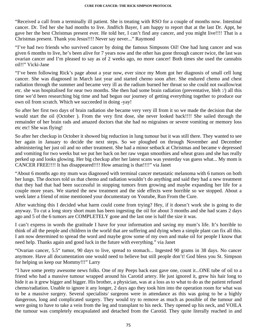"Received a call from a terminally ill patient. She is treating with RSO for a couple of months now. Intestinal cancer. Dr. Ted her she had months to live. Jindřich Bayer, I am happy to report that at the last Dr. Appt, he gave her the best Christmas present ever. He told her, I can't find any cancer, and you might live!!!! That is a Christmas present. Thank you Jesus!!!! Never say never..." Raymond

"I've had two friends who survived cancer by doing the famous Simpsons Oil! One had lung cancer and was given 6 months to live, he's been alive for 7 years now and the other has gone through cancer twice, the last was ovarian cancer and I'm pleased to say as of 2 weeks ago, no more cancer! Both times she used the cannabis oil!!" Vicki-Jane

"I've been following Rick's page about a year now, ever since my Mom got her diagnosis of small cell lung cancer. She was diagnosed in March last year and started chemo soon after. She endured chemo and chest radiation through the summer and became very ill as the radium burned her throat so she could not swallow/eat etc. she was hospitalised for near two months. She then had some brain radiation (preventative, bleh :/) all this time we'd been researching big time and had begun our journey of getting everything together to produce our own oil from scratch. Which we succeeded in doing -yay!

So after her first two days of brain radiation she became very very ill from it so we made the decision that she would start the oil (October ). From the very first dose, she never looked back!!!! She sailed through the remainder of her brain rads and amazed doctors that she had no migraines or severe vomiting or memory loss etc etc! She was flying!

So after her checkup in October it showed big reduction in lung tumour but it was still there. They wanted to see her again in January to decide the next steps. So we ploughed on through November and December administering her just oil and no other treatment. She had a minor setback at Christmas and became v depressed and vomiting for two weeks but we put her back on her raw vegan smoothies and wheat grass and she has really perked up and looks glowing. Her big checkup after her latest scans was yesterday vas guess what... My mom is CANCER FREE!!!! It has disappeared!!!! How amazing is that!!!!" via Janet

"About 6 months ago my mum was diagnosed with terminal cancer metastatic melanoma with 6 tumors on both her lungs. The doctors told us that chemo and radiation wouldn't do anything and said they had a new treatment that they had that had been successful in stopping tumors from growing and maybe expanding her life for a couple more years. We started the new treatment and the side effects were horrible so we stopped. About a week later a friend of mine mentioned your documentary on Youtube, Run From the Cure.

After watching this I decided what harm could come from trying? Hey, if it doesn't work she is going to die anyway. To cut a long story short mum has been ingesting the oil for about 3 months and she had scans 2 days ago and 5 of the 6 tumors are COMPLETELY gone and the last one is half the size it was.

I can't express in words the gratitude I have for your information and saving my mum's life. It's horrible to think of all the people and children in the world that are suffering and dying when a simple plant can fix all this. I am now determined to spread the word and maybe grow some of my own and make oil for people I know that need help. Thanks again and good luck in the future with everything." via Janet

"Ovarian cancer, 5.5" tumor, 90 days to live, spread to stomach... Ingested 90 grams in 38 days. No cancer anymore. Have all documentation one would need to believe but still people don't! God bless you St. Simpson for helping us keep our Mommy!!!" Larry

"I have some pretty awesome news folks. One of my Peeps back east gave one, count it...ONE tube of oil to a friend who had a massive tumour wrapped around his Carotid artery. He just ignored it, grew his hair long to hide it as it grew bigger and bigger. His brother, a physician, was at a loss as to what to do as the patient refused chemo/radiation. Unable to ignore it any longer, 2 days ago they took him into the operation room for what was to be a massive surgery. Several specialists/ surgeons were in attendance as this was going to be a highly dangerous, long and complicated surgery. They would try to remove as much as possible of the tumour and were going to have to take a vein from the leg and transplant to his neck. They opened up his neck, and VOILA the tumour was completely encapsulated and detached from the Carotid. They quite literally reached in and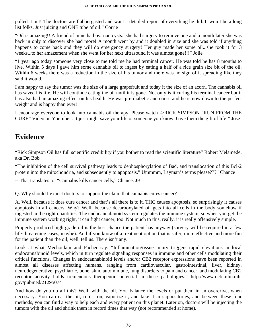pulled it out! The doctors are flabbergasted and want a detailed report of everything he did. It won't be a long list folks. Just juicing and ONE tube of oil." Corrie

"Oil is amazing!! A friend of mine had ovarian cysts...she had surgery to remove one and a month later she was back in only to discover she had more! A month went by and it doubled in size and she was told if anything happens to come back and they will do emergency surgery! Her guy made her some oil...she took it for 3 weeks...to her amazement when she went for her next ultrasound it was almost gone!!!" Jolie

"1 year ago today someone very close to me told me he had terminal cancer. He was told he has 8 months to live. Within 5 days I gave him some cannabis oil to ingest by eating a half of a rice grain size bit of the oil. Within 6 weeks there was a reduction in the size of his tumor and there was no sign of it spreading like they said it would.

I am happy to say the tumor was the size of a large grapefruit and today it the size of an acorn. The cannabis oil has saved his life. He will continue eating the oil until it is gone. Not only is it curing his terminal cancer but it has also had an amazing effect on his health. He was pre-diabetic and obese and he is now down to the perfect weight and is happy than ever!

I encourage everyone to look into cannabis oil therapy. Please watch ->RICK SIMPSON "RUN FROM THE CURE" Video on Youtube... It just might save your life or someone you know. Give them the gift of life!" Jose

# **Evidence**

"Rick Simpson Oil has full scientific credibility if you bother to read the scientific literature" Robert Melamede, aka Dr. Bob

"The inhibition of the cell survival pathway leads to dephosphorylation of Bad, and translocation of this Bcl-2 protein into the mitochondria, and subsequently to apoptosis." Ummmm, Layman's terms please???" Chance

-- That translates to: "Cannabis kills cancer cells," Chance. JB

Q. Why should I expect doctors to support the claim that cannabis cures cancer?

A. Well, because it does cure cancer and that's all there is to it. THC causes apoptosis, so surprisingly it causes apoptosis in all cancers. Why? Well, because decarboxylated oil gets into all cells in the body somehow if ingested in the right quantities. The endocannabinoid system regulates the immune system, so when you get the immune system working right, it can fight cancer, too. Not much to this, really, it is really offensively simple.

Properly produced high grade oil is the best chance the patient has anyway (surgery will be required in a few life-threatening cases, maybe). And if you know of a treatment option that is safer, more effective and more fun for the patient than the oil, well, tell us. There isn't any.

Look at what Mechoulam and Pacher say: "Inflammation/tissue injury triggers rapid elevations in local endocannabinoid levels, which in turn regulate signaling responses in immune and other cells modulating their critical functions. Changes in endocannabinoid levels and/or CB2 receptor expressions have been reported in almost all diseases affecting humans, ranging from cardiovascular, gastrointestinal, liver, kidney, neurodegenerative, psychiatric, bone, skin, autoimmune, lung disorders to pain and cancer, and modulating CB2 receptor activity holds tremendous therapeutic potential in these pathologies." http://www.ncbi.nlm.nih. gov/pubmed/21295074

And how do you do all this? Well, with the oil. You balance the levels or put them in an overdrive, when necessary. You can eat the oil, rub it on, vaporize it, and take it in suppositories, and between these four methods, you can find a way to help each and every patient on this planet. Later on, doctors will be injecting the tumors with the oil and shrink them in record times that way (not recommended at home).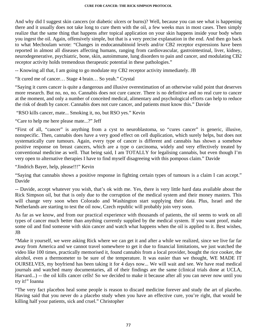And why did I suggest skin cancers (or diabetic ulcers or burns)? Well, because you can see what is happening there and it usually does not take long to cure them with the oil, a few weeks max in most cases. Then simply realize that the same thing that happens after topical application on your skin happens inside your body when you ingest the oil. Again, offensively simple, but that is a very precise explanation in the end. And then go back to what Mechoulam wrote: "Changes in endocannabinoid levels and/or CB2 receptor expressions have been reported in almost all diseases affecting humans, ranging from cardiovascular, gastrointestinal, liver, kidney, neurodegenerative, psychiatric, bone, skin, autoimmune, lung disorders to pain and cancer, and modulating CB2 receptor activity holds tremendous therapeutic potential in these pathologies."

-- Knowing all that, I am going to go modulate my CB2 receptor activity immediately. JB

"It cured me of cancer… Stage 4 brain… So yeah." Crystal

"Saying it cures cancer is quite a dangerous and illusive overestimation of an otherwise valid point that deserves more research. But no, no, no. Cannabis does not cure cancer. There is no definitive and no real cure to cancer at the moment, and only a number of conceited medical, alimentary and psychological efforts can help to reduce the risk of death by cancer. Cannabis does not cure cancer, and patients must know this." Davide

"RSO kills cancer, mate... Smoking it, no, but RSO yes." Kevin

"Care to help me here please mate...?" Jeff

"First of all, "cancer" is anything from a cyst to neuroblastoma, so "cures cancer" is generic, illusive, nonspecific. Then, cannabis does have a very good effect on cell duplication, which surely helps, but does not systematically cure tumours. Again, every type of cancer is different and cannabis has shown a somehow positive response on breast cancers, which are a type o carcinoma, widely and very effectively treated by conventional medicine as well. That being said, I am TOTALLY for legalising cannabis, but even though I'm very open to alternative therapies I have to find myself disagreeing with this pompous claim." Davide

"Jindrich Bayer, help, please!!!" Kevin

"Saying that cannabis shows a positive response in fighting certain types of tumours is a claim I can accept." Davide

-- Davide, accept whatever you wish, that's ok with me. Yes, there is very little hard data available about the Rick Simpson oil, but that is only due to the corruption of the medical system and their money masters. This will change very soon when Colorado and Washington start supplying their data. Plus, Israel and the Netherlands are starting to test the oil now, Czech republic will probably join very soon.

As far as we know, and from our practical experience with thousands of patients, the oil seems to work on all types of cancer much better than anything currently supplied by the medical system. If you want proof, make some oil and find someone with skin cancer and watch what happens when the oil is applied to it. Best wishes, JB

"Make it yourself, we were asking Rick where we can get it and after a while we realized, since we live far far away from America and we cannot travel somewhere to get it due to financial limitations, we just watched the video like 100 times, practically memorised it, found cannabis from a local provider, bought the rice cooker, the alcohol, even a thermometer to be sure of the temperature. It was easier than we thought, WE MADE IT OURSELVES, my boyfriend has been taking it for 4 days now... We will wait and see. We have read medical journals and watched many documentaries, all of their findings are the same (clinical trials done at UCLA, Harvard...) -- the oil kills cancer cells! So we decided to make it because after all you can never now until you try it!" Ioanna

"The very fact placebos heal some people is reason to discard medicine forever and study the art of placebo. Having said that you never do a placebo study when you have an effective cure, you're right, that would be killing half your patients, sick and cruel." Christopher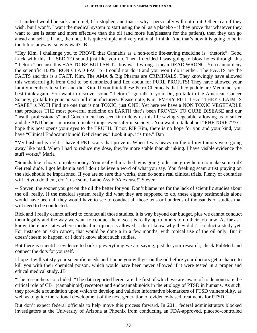-- It indeed would be sick and cruel, Christopher, and that is why I personally will not do it. Others can if they wish, but I won't. I want the medical system to start using the oil as a placebo - if they prove that whatever they want to use is safer and more effective than the oil (and more fun/pleasant for the patient), then they can go ahead and sell it. If not, then not. It is quite simple and very rational, I think. And that's how it is going to be in the future anyway, so why wait? JB

"Hey Kim, I challenge you to PROVE that Cannabis as a non-toxic life-saving medicine is "rhetoric". Good Luck with this. I USED TO sound just like you do. Then I decided I was going to blow holes through this "rhetoric" because this HAS TO BE BULLSHIT... boy was I wrong. I mean DEAD WRONG. You cannot deny the scientific 100% IRON CLAD FACTS. I could not do it and you won't do it either. The FACTS are the FACTS and this is a FACT, Kim. The AMA & Big Pharma are CRIMINALS. They knowingly have allowed this wonderful gift from God to be demonized and lied about for PURE PROFITS! They have allowed your family members to suffer and die, Kim. If you think these Petro Chemicals that they peddle are Medicine, you best think again. You want to discover some "rhetoric", go talk to your Dr., go talk to the American Cancer Society, go talk to your poison pill manufacturers. Please note, Kim, EVERY PILL THAT THEY CLAIM IS "SAFE" is NOT! Find me one that is not TOXIC, just ONE! Yet here we have a NON TOXIC VEGETABLE that produces THE most powerful medicine on EARTH that's been PROVEN TO CURE DISEASE and our "health professionals" and Government has seen fit to deny us this life saving vegetable, allowing us to suffer and die AND be put in prison to make things even safer in society... You want to talk about "RHETORIC"??? I hope this post opens your eyes to the TRUTH. If not, RIP Kim, there is no hope for you and your kind, you have "Clinical Endocannabinoid Deficiencies." Look it up, it's true." Dan

"My husband is right. I have 4 PET scans that prove it. When I was heavy on the oil my tumors were going away like mad. When I had to reduce my dose, they're more stable than shrinking. I have visible evidence the stuff works." Maria

"Sounds like a hoax to make money. You really think the law is going to let me grow hemp to make some oil? Get real dude. I got leukemia and I don't believe a word of what you say. You freaking scam artist praying on the sick should be imprisoned. If you are so sure this works, then do some real clinical trials. Plenty of countries will let you do them, don't use some Lame Ass FDA excuse!" Steven

-- Steven, the sooner you get on the oil the better for you. Don't blame me for the lack of scientific studies about the oil, really. If the medical system really did what they are supposed to do, these eighty testimonials alone would have been all they would have to see to conduct all those tens or hundreds of thousands of studies that will need to be conducted.

Rick and I really cannot afford to conduct all those studies, it is way beyond our budget, plus we cannot conduct them legally and the way we want to conduct them, so it is really up to others to do their job now. As far as I know, there are states where medical marijuana is allowed, I don't know why they didn't conduct a study yet. For instance on skin cancer, that would be done a in a few months, with topical use of the oil only. But it doesn't seem to happen, or I don't know about such studies.

But there is scientific evidence to back up everything we are saying, just do your research, check PubMed and connect the dots for yourself.

I hope it will satisfy your scientific needs and I hope you will get on the oil before your doctors get a chance to kill you with their chemical poison, which would have been never allowed if it were tested in a proper and ethical medical study. JB

"The researchers concluded: "The data reported herein are the first of which we are aware of to demonstrate the critical role of CB1 (cannabinoid) receptors and endocannabinoids in the etiology of PTSD in humans. As such, they provide a foundation upon which to develop and validate informative biomarkers of PTSD vulnerability, as well as to guide the rational development of the next generation of evidence-based treatments for PTSD."

But don't expect federal officials to help move this process forward. In 2011 federal administrators blocked investigators at the University of Arizona at Phoenix from conducting an FDA-approved, placebo-controlled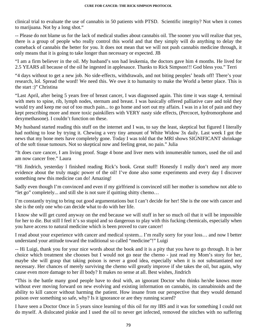clinical trial to evaluate the use of cannabis in 50 patients with PTSD. Scientific integrity? Not when it comes to marijuana. Not by a long shot."

-- Please do not blame us for the lack of medical studies about cannabis oil. The sooner you will realize that yes, there is a group of people who really control this world and that they simply will do anything to delay the comeback of cannabis the better for you. It does not mean that we will not push cannabis medicine through, it only means that it is going to take longer than necessary or expected. JB

"I am a firm believer in the oil. My husband's son had leukemia, the doctors gave him 4 months. He lived for 2.5 YEARS all because of the oil he ingested in applesauce. Thanks to Rick Simpson!!! God bless you." Terri

"4 days without to get a new job. No side-effects, withdrawals, and not biting peoples' heads off! There's your research, lol. Spread the word! We need this. We owe it to humanity to make the World a better place. This is the start :)" Christina

"Last April, after being 5 years free of breast cancer, I was diagnosed again. This time it was stage 4, terminal with mets to spine, rib, lymph nodes, sternum and breast. I was basically offered palliative care and told they would try and keep me out of too much pain... to go home and sort out my affairs. I was in a lot of pain and they kept prescribing more and more toxic painkillers with VERY nasty side effects, (Percocet, hydromorphone and dexymethasone). I couldn't function on these.

My husband started reading this stuff on the internet and I was, to say the least, skeptical but figured I literally had nothing to lose by trying it. Chewing a very tiny amount of White Widow 3x daily. Last week I got the news that my bone mets have completely gone. Today I was told that the MRI shows SIGNIFICANT shrinkage of the soft tissue tumours. Not so skeptical now and feeling great, no pain." Julia

"It does cure cancer, I am living proof. Stage 4 bone and liver mets with innumerable tumors, used the oil and am now cancer free." Laura

"Hi Jindrich, yesterday l finished reading Rick's book. Great stuff! Honestly I really don't need any more evidence about the truly magic power of the oil! I've done also some experiments and every day I discover something new this medicine can do! Amazing!

Sadly even though I'm convinced and even if my girlfriend is convinced still her mother is somehow not able to "let go" completely... and still she is not sure if quitting shitty chemo…

I'm constantly trying to bring out good argumentations but I can't decide for her! She is the one with cancer and she is the only one who can decide what to do with her life.

I know she will get cured anyway on the end because we will stuff in her so much oil that it will be impossible for her to die. But still I feel it's so stupid and so dangerous to play with this fucking chemicals, especially when you have access to natural medicine which is been proved to cure cancer!

I read about your experience with cancer and medical system... I'm really sorry for your loss… and now I better understand your attitude toward the traditional so called "medicine"!" Luigi

-- Hi Luigi, thank you for your nice words about the book and it is a pity that you have to go through. It is her choice which treatment she chooses but I would not go near the chemo - just read my Mom's story for her, maybe she will grasp that taking poison is never a good idea, especially when it is not substantiated nor necessary. Her chances of merely surviving the chemo will greatly improve if she takes the oil, but again, why cause even more damage to her ill body? It makes no sense at all. Best wishes, Jindrich

"This is the battle many good people have to deal with, an ignorant Doctor who thinks he/she knows more without ever moving forward on new evolving and existing information on cannabis, its cannabinoids and the ability to kill cancer without harming the patient. How insane from our perspective that they would demand poison over something so safe, why? Is it ignorance or are they running scared?

I have seen a Doctor Once in 5 years since learning of this oil for my IBS and it was for something I could not do myself. A dislocated pinkie and I used the oil to never get infected, removed the stitches with no suffering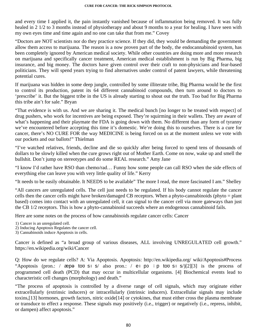and every time I applied it, the pain instantly vanished because of inflammation being removed. It was fully healed in 2 1/2 to 3 months instead of physiotherapy and about 9 months to a year for healing. I have seen with my own eyes time and time again and no one can take that from me." Covey

"Doctors are NOT scientists nor do they practice science. If they did, they would be demanding the government allow them access to marijuana. The reason is a now proven part of the body, the endocannabinoid system, has been completely ignored by American medical society. While other countries are doing more and more research on marijuana and specifically cancer treatment, American medical establishment is run by Big Pharma, big insurance, and big money. The doctors have given control over their craft to non-physicians and fear-based politicians. They will spend years trying to find alternatives under control of patent lawyers, while threatening potential cures.

If marijuana was hidden in some deep jungle, controlled by some illiterate tribe, Big Pharma would be the first to control its production, patent its 64 different cannabinoid compounds, then turn around to doctors to 'prescribe' it. But the biggest tribe in the US is already starting to shout out the truth. Too bad for Big Pharma this tribe ain't for sale." Bryan

"That evidence is with us. And we are sharing it. The medical bunch [no longer to be treated with respect] of drug pushers, who work for incentives are being exposed. They're squirming in their wallets. They are aware of what's happening and their playmate the FDA is going down with them. No different than any form of tyranny we've encountered before accepting this time it's domestic. We're doing this to ourselves. There is a cure for cancer, there's NO CURE FOR the way MEDICINE is being forced on us at the moment unless we vote with our pockets and our ballots!" Thielman

"I've watched relatives, friends, decline and die so quickly after being forced to spend tens of thousands of dollars to be slowly killed when the cure grows right out of Mother Earth. Come on now, wake up and smell the bullshit. Don't jump on stereotypes and do some REAL research." Amy Jane

"I know I'd rather have RSO than chemo/rad… Funny how some people can call RSO when the side effects of everything else can leave you with very little quality of life." Kerry

"It needs to be easily obtainable. It NEEDS to be available" The more I read, the more fascinated I am." Shelley

"All cancers are unregulated cells. The cell just needs to be regulated. If his body cannot regulate the cancer cells then the cancer cells might have broken/damaged CB receptors. When a phyto-cannabinoids (phyto = plant based) comes into contact with an unregulated cell, it can signal to the cancer cell via more gateways than just the CB 1/2 receptors. This is how a phyto-cannabinoid succeeds where an endogenous cannabinoid fails.

Here are some notes on the process of how cannabinoids regulate cancer cells: Cancer

1) Cancer is an unregulated cell.

2) Inducing Apoptosis Regulates the cancer cell.

3) Cannabinoids induce Apoptosis in cells.

Cancer is defined as "a broad group of various diseases, ALL involving UNREGULATED cell growth." https://en.wikipedia.org/wiki/Cancer

Q: How do we regulate cells? A: Via Apoptosis. Apoptosis: http://en.wikipedia.org/ wiki/Apoptosis#Process "Apoptosis (pron.: / æpətoʊ sɪ s/ also pron.: / eɪ pɔ ːp toʊ sɪ s/)[2][3] is the process of programmed cell death (PCD) that may occur in multicellular organisms. [4] Biochemical events lead to characteristic cell changes (morphology) and death."

"The process of apoptosis is controlled by a diverse range of cell signals, which may originate either extracellularly (extrinsic inducers) or intracellularly (intrinsic inducers). Extracellular signals may include toxins,[13] hormones, growth factors, nitric oxide[14] or cytokines, that must either cross the plasma membrane or transduce to effect a response. These signals may positively (i.e., trigger) or negatively (i.e., repress, inhibit, or dampen) affect apoptosis."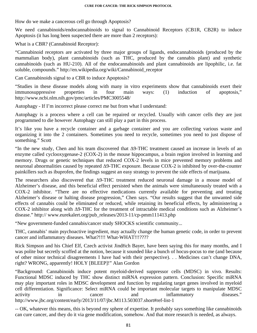How do we make a cancerous cell go through Apoptosis?

We need cannabinoids/endocannabinoids to signal to Cannabinoid Receptors (CB1R, CB2R) to induce Apoptosis (it has long been suspected there are more than 2 receptors):

What is a CBR? (Cannabinoid Receptor):

"Cannabinoid receptors are activated by three major groups of ligands, endocannabinoids (produced by the mammalian body), plant cannabinoids (such as THC, produced by the cannabis plant) and synthetic cannabinoids (such as HU-210). All of the endocannabinoids and plant cannabinoids are lipophilic, i.e. fat soluble, compounds." http://en.wikipedia.org/wiki/Cannabinoid\_receptor

Can Cannabinoids signal to a CBR to induce Apoptosis?

"Studies in these disease models along with many in vitro experiments show that cannabinoids exert their immunosuppressive properties in four main ways: (1) induction of apoptosis," http://www.ncbi.nlm.nih.gov/pmc/articles/PMC3005548/

Autophagy - If I'm incorrect please correct me but from what I understand:

Autophagy is a process where a cell can be repaired or recycled. Usually with cancer cells they are just programmed to die however Autophagy can still play a part in this process.

It's like you have a recycle container and a garbage container and you are collecting various waste and organizing it into the 2 containers. Sometimes you need to recycle, sometimes you need to just dispose of something." Scott

"In the new study, Chen and his team discovered that ∆9-THC treatment caused an increase in levels of an enzyme called cyclooxygenase-2 (COX-2) in the mouse hippocampus, a brain region involved in learning and memory. Drugs or genetic techniques that reduced COX-2 levels in mice prevented memory problems and neuronal abnormalities caused by repeated ∆9-THC exposure. Because COX-2 is inhibited by over-the-counter painkillers such as ibuprofen, the findings suggest an easy strategy to prevent the side effects of marijuana.

The researchers also discovered that ∆9-THC treatment reduced neuronal damage in a mouse model of Alzheimer's disease, and this beneficial effect persisted when the animals were simultaneously treated with a COX-2 inhibitor. "There are no effective medications currently available for preventing and treating Alzheimer's disease or halting disease progression," Chen says. "Our results suggest that the unwanted side effects of cannabis could be eliminated or reduced, while retaining its beneficial effects, by administering a COX-2 inhibitor along with ∆9-THC for the treatment of intractable medical conditions such as Alzheimer's disease." http:// www.eurekalert.org/pub\_releases/2013-11/cp-pmm111413.php

"New government-funded cannabis/cancer study SHOCKS scientific community...

THC, cannabis' main psychoactive ingredient, may actually change the human genetic code, in order to prevent cancer and inflammatory diseases. What?!!!! What-WHAT!!!????

Rick Simpson and his Chief Elf, Czech activist Jindřich Bayer, have been saying this for many months, and I was polite but secretly scoffed at the notion, because it sounded like a bunch of hocus-pocus to me (and because of other minor technical disagreements I have had with their perspective). . . Medicines can't change DNA, right? WRONG, apparently! HOLY [BLEEP]!" Alan Gordon

"Background: Cannabinoids induce potent myeloid-derived suppressor cells (MDSC) in vivo. Results: Functional MDSC induced by THC show distinct miRNA expression pattern. Conclusion: Specific miRNA may play important roles in MDSC development and function by regulating target genes involved in myeloid cell differentiation. Significance: Select miRNA could be important molecular targets to manipulate MDSC activity in cancer and inflammatory diseases." http://www.jbc.org/content/early/2013/11/07/jbc.M113.503037.short#ref-list-1

-- OK, whatever this means, this is beyond my sphere of expertise. It probably says something like cannabinoids can cure cancer, and they do it via gene modification, somehow. And that more research is needed, as always.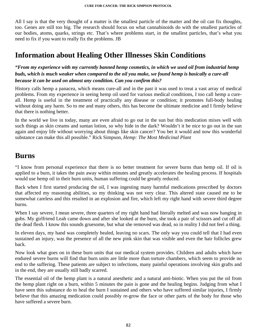All I say is that the very thought of a matter is the smallest particle of the matter and the oil can fix thoughts, too. Genes are still too big. The research should focus on what cannabinoids do with the smallest particles of our bodies, atoms, quarks, strings etc. That's where problems start, in the smallest particles, that's what you need to fix if you want to really fix the problems. JB

### **Information about Healing Other Illnesses Skin Conditions**

*"From my experience with my currently banned hemp cosmetics, in which we used oil from industrial hemp buds, which is much weaker when compared to the oil you make, we found hemp is basically a cure-all because it can be used on almost any condition. Can you confirm this?* 

History calls hemp a panacea, which means cure-all and in the past it was used to treat a vast array of medical problems. From my experience in seeing hemp oil used for various medical conditions, I too call hemp a cureall. Hemp is useful in the treatment of practically any disease or condition; it promotes full-body healing without doing any harm. So to me and many others, this has become the ultimate medicine and I firmly believe that there is nothing better.

In the world we live in today, many are even afraid to go out in the sun but this medication mixes well with such things as skin creams and suntan lotion, so why hide in the dark? Wouldn't it be nice to go out in the sun again and enjoy life without worrying about things like skin cancer? You bet it would and now this wonderful substance can make this all possible." Rick Simpson, *Hemp: The Most Medicinal Plant*

### **Burns**

"I know from personal experience that there is no better treatment for severe burns than hemp oil. If oil is applied to a burn, it takes the pain away within minutes and greatly accelerates the healing process. If hospitals would use hemp oil in their burn units, human suffering could be greatly reduced.

Back when I first started producing the oil, I was ingesting many harmful medications prescribed by doctors that affected my reasoning abilities, so my thinking was not very clear. This altered state caused me to be somewhat careless and this resulted in an explosion and fire, which left my right hand with severe third degree burns.

When I say severe, I mean severe, three quarters of my right hand had literally melted and was now hanging in gobs. My girlfriend Leah came down and after she looked at the burn, she took a pair of scissors and cut off all the dead flesh. I know this sounds gruesome, but what she removed was dead, so in reality I did not feel a thing.

In eleven days, my hand was completely healed, leaving no scars. The only way you could tell that I had even sustained an injury, was the presence of all the new pink skin that was visible and even the hair follicles grew back.

Now look what goes on in these burn units that our medical system provides. Children and adults which have endured severe burns will find that burn units are little more than torture chambers, which seem to provide no end to the suffering. These patients are subject to infections, many painful operations involving skin grafts and in the end, they are usually still badly scarred.

The essential oil of the hemp plant is a natural anesthetic and a natural anti-biotic. When you put the oil from the hemp plant right on a burn, within 5 minutes the pain is gone and the healing begins. Judging from what I have seen this substance do to heal the burn I sustained and others who have suffered similar injuries, I firmly believe that this amazing medication could possibly re-grow the face or other parts of the body for those who have suffered a severe burn.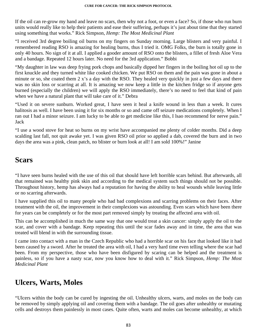If the oil can re-grow my hand and leave no scars, then why not a foot, or even a face? So, if those who run burn units would really like to help their patients and ease their suffering, perhaps it's just about time that they started using something that works." Rick Simpson, *Hemp: The Most Medicinal Plant*

"I received 3rd degree boiling oil burns on my fingers on Sunday morning. Large blisters and very painful. I remembered reading RSO is amazing for healing burns, thus I tried it. OMG Folks, the burn is totally gone in only 40 hours. No sign of it at all. I applied a gooder amount of RSO onto the blisters, a fillet of fresh Aloe Vera and a bandage. Repeated 12 hours later. No need for the 3rd application." Bobbi

"My daughter in law was deep frying pork chops and basically dipped her fingers in the boiling hot oil up to the first knuckle and they turned white like cooked chicken. We put RSO on them and the pain was gone in about a minute or so, she coated them 2 x's a day with the RSO. They healed very quickly in just a few days and there was no skin loss or scarring at all. It is amazing we now keep a little in the kitchen fridge so if anyone gets burned (especially the children) we will apply the RSO immediately, there's no need to feel that kind of pain when we have a natural plant that will take care of it." Debra

"Used it on severe sunburn. Worked great, I have seen it heal a knife wound in less than a week. It cures halitosis as well. I have been using it for six months or so and came off seizure medications completely. When I ran out I had a minor seizure. I am lucky to be able to get medicine like this, I lsao recommend for nerve pain." Jack

"I use a wood stove for heat so burns on my wrist have accompanied me plenty of colder months. Did a deep scalding last fall, not quit awake yet. I was given RSO oil prior so applied a dab, covered the burn and in two days the area was a pink, clean patch, no blister or burn look at all! I am sold 100%!" Janine

# **Scars**

"I have seen burns healed with the use of this oil that should have left horrible scars behind. But afterwards, all that remained was healthy pink skin and according to the medical system such things should not be possible. Throughout history, hemp has always had a reputation for having the ability to heal wounds while leaving little or no scarring afterwards.

I have supplied this oil to many people who had bad complexions and scarring problems on their faces. After treatment with the oil, the improvement in their complexions was astounding. Even scars which have been there for years can be completely or for the most part removed simply by treating the affected area with oil.

This can be accomplished in much the same way that one would treat a skin cancer: simply apply the oil to the scar, and cover with a bandage. Keep repeating this until the scar fades away and in time, the area that was treated will blend in with the surrounding tissue.

I came into contact with a man in the Czech Republic who had a horrible scar on his face that looked like it had been caused by a sword. After he treated the area with oil, I had a very hard time even telling where the scar had been. From my perspective, those who have been disfigured by scaring can be helped and the treatment is painless, so if you have a nasty scar, now you know how to deal with it." Rick Simpson, *Hemp: The Most Medicinal Plant*

## **Ulcers, Warts, Moles**

"Ulcers within the body can be cured by ingesting the oil. Unhealthy ulcers, warts, and moles on the body can be removed by simply applying oil and covering them with a bandage. The oil goes after unhealthy or mutating cells and destroys them painlessly in most cases. Quite often, warts and moles can become unhealthy, at which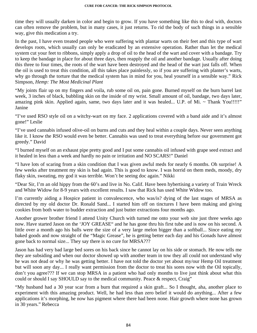time they will usually darken in color and begin to grow. If you have something like this to deal with, doctors can often remove the problem, but in many cases, it just returns. To rid the body of such things in a sensible way, give this medication a try.

In the past, I have even treated people who were suffering with plantar warts on their feet and this type of wart develops roots, which usually can only be eradicated by an extensive operation. Rather than let the medical system cut your feet to ribbons, simply apply a drop of oil to the head of the wart and cover with a bandage. Try to keep the bandage in place for about three days, then reapply the oil and another bandage. Usually after doing this three to four times, the roots of the wart have been destroyed and the head of the wart just falls off. When the oil is used to treat this condition, all this takes place painlessly, so if you are suffering with planter's warts, why go through the torture that the medical system has in mind for you, heal yourself in a sensible way." Rick Simpson, *Hemp: The Most Medicinal Plant*

"My joints flair up on my fingers and voila, rub some oil on, pain gone. Burned myself on the burn barrel last week, 3 inches of black, bubbling skin on the inside of my wrist. Small amount of oil, bandage, two days later, amazing pink skin. Applied again, same, two days later and it was healed... U.P. of Mi. ~ Thank You!!!!!" Janine

"I've used RSO style oil on a witchy-wart on my face. 2 applications covered with a band aide and it's almost gone!" Leslie

"I've used cannabis infused olive-oil on burns and cuts and they heal within a couple days. Never seen anything like it. I know the RSO would even be better. Cannabis was used to treat everything before our government got greedy." David

"I burned myself on an exhaust pipe pretty good and I put some cannabis oil infused with grape seed extract and it healed in less than a week and hardly no pain or irritation and NO SCARS!" Daniel

"I have lots of scaring from a skin condition that I was given awful meds for nearly 6 months. Oh surprise! A few weeks after treatment my skin is bad again. This is good to know. I was horrid on them meds, moody, dry flaky skin, sweating, my god it was terrible. Won't be seeing doc again." Nikki

"Dear Sir, I'm an old hippy from the 60's and live in No. Calif. Have been hybertising a variety of Train Wreck and White Widow for 8-9 years with excellent results. I saw that Rick has used White Widow too.

I'm currently aiding a Hospice patient in convalescence, who was/is? dying of the last stages of MRSA as directed by my old doctor Dr. Ronald Sand... I started him off on tinctures I have been making and giving cookies from both water to budder extraction and just butter extractions four months ago.

Another grower brother friend I attend Unity Church with turned me onto your web site just three weeks ago now. Have started Jason on the 'JOY GREASE" and he has gone thru his first tube and is now on his second. A little over a month ago his balls were the size of a very large melon bigger than a softball... Since eating my baked goods and now straight of the "Magic Grease", he is getting better each day and his Gonads have almost gone back to normal size... They say there is no cure for MRSA???

Jason has had very bad large bed sores on his back since he cannot lay on his side or stomach. He now tells me they are subsiding and when our doctor showed up with another team in tow they all could not understand why he was not dead or why he was getting better. I have not told the doctor yet about my/our Hemp Oil treatment but will soon any day... I really want permission from the doctor to treat his sores now with the Oil topically, don't you agree??? If we can stop MRSA in a patient who had only months to live just think about what this could or should I say SHOULD say to the medical community. Peace & respect, Craig"

"My husband had a 30 year scar from a burn that required a skin graft... So I thought, aha, another place to experiment with this amazing product. Well, he had less than zero belief it would do anything... After a few applications it's morphing, he now has pigment where there had been none. Hair growth where none has grown in 30 years." Rebecca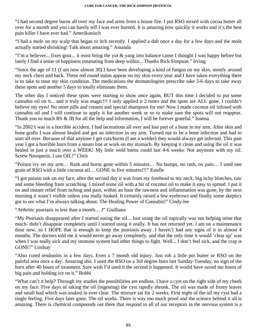"I had second degree burns all over my face and arms from a house fire. I put RSO mixed with cocoa butter all over for a month and you can barely tell I was ever burned. It is amazing how quickly it works and it's the best pain killer I have ever had." Amerikanisch

"I had a mole on my scalp that began to itch recently. I applied a dab once a day for a few days and the mole actually started shrinking! Talk about amazing." Amanda

"I'm a believer... fixes gout... it must bring the yin & yang into balance cause I thought I was happy before but lately I find a sense of happiness emanating from deep within... Thanks Rick Simpson." Irving

"Since the age of 11 (I am now almost 30) I have been developing a kind of fungus on my skin, mostly around my neck chest and back. These red round stains appear on my skin every year and I have taken everything there is to take to treat my skin condition. The medications the dermatologists prescribe take 5-6 days to take away these spots and another 5 days to totally eliminate them.

The other day I noticed these spots were starting to show once again, BUT this time I decided to put some cannabis oil on it... and it truly was magic!!! I only applied it 2 times and the spots are ALL gone. I couldn't believe my eyes! No more pills and creams and special shampoos for me! Now I made coconut oil infused with cannabis oil and I will continue to apply it for another week or so to make sure the spots will not reappear. Thank you so much RS & JB for all the help and information, I will be forever grateful." Ioanna

"In 2002 I was in a horrible accident. I had lacerations all over and lost part of a bone in my arm. After skin and bone grafts I was almost healed and got an infection in my arm. Turned out to be a bone infection and had to start all over. Because of that anytime I get cuts/burns (I am a welder) they would always get infected. This past year I got a horrible burn from a steam line at work on my stomach. By keeping it clean and using the oil it was healed in just a touch over a WEEK! My little weld burns could last 4-6 weeks. Not anymore with my oil. Screw Neosporin, I use OIL!" Chris

"Poison ivy on my arm… Rash and burns gone within 5 minutes… No bumps, no rash, no pain… I used one grain of RSO with a little coconut oil… GONE in five minutes!!!" Estelle

"I got poison oak on my face, after the second day it was from my forehead to my neck, big itchy blotches, raw and some bleeding from scratching. I mixed some oil with a bit of coconut oil to make it easy to spread. I put it on and instant relief from itching and pain, within an hour the rawness and inflammation was gone, by the next morning it wasn't visible unless you really looked. It certainly raised a few eyebrows and finally some skeptics got to see what I'm always talking about. The Healing Power of Cannabis!" Cindy-lee

"Arthritic psoriasis in less than a month… J" Giulliana

"My Psoriasis disappeared after I started eating the oil... Just using the oil topically was not helping mine that much- didn't disappear completely until I started using it orally. It has not returned yet. I am on a maintenance dose now, so I HOPE that is enough to keep the psoriasis away. I haven't had any signs of it in almost 4 months. The doctors told me it would never go away completely, and that the only time it would 'clear up' was when I was really sick and my immune system had other things to fight. Well... I don't feel sick, and the crap is GONE!" Lindsay

"Also cured tendonitis in a few days. Even a 7 month old injury. Just rub a little pot butter or RSO on the painful area once a day. Amazing shit. I used the RSO on a 3rd degree burn last Sunday-Tuesday, no sign of the burn after 40 hours of treatment. Sure wish I'd used it the second it happened. It would have saved me hours of big pain and holding ice on it." Bobbi

"What can't it help? Through my studies the possibilities are endless. I have a cyst on the right side of my cheek on my face. Five days of taking the oil (ingesting) the cyst rapidly shrunk. The oil was made of frosty leaves and small bud which was soaked in ever clear. The mixture sat for 2 weeks. First night of the oil my cyst had a tingle feeling. Five days later gone. The oil works. There is way too much proof and the science behind it all is amazing. There is chemical compounds out there that respond to all of our receptors in the nervous system is a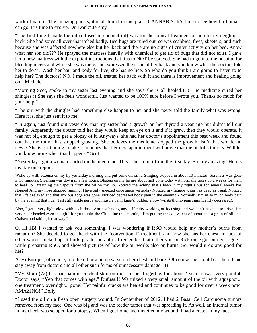work of nature. The amazing part is, it is all found in one plant. CANNABIS. It's time to see how far humans can go. It's time to evolve. Dr. Dank" Jeremy

"The first time I made the oil (infused in coconut oil) was for the topical treatment of an elderly neighbor's back. She had sores all over that itched badly. Bed bugs are ruled out, so was scabbies, flees, skeeters, and such because she was affected nowhere else but her back and there are no signs of critter activity on her bed. Know what her son did??? He sprayed the mattress heavily with chemical to get rid of bugs that did not exist. I gave her a new mattress with the explicit instructions that it is to NOT be sprayed. She had to go into the hospital for bleeding ulcers and while she was there, she expressed the issue of her back and you know what the doctors told her to do??? Wash her hair and body for lice, she has no lice. So who do you think I am going to listen to to help her? The doctors? NO. I made the oil, treated her back with it and there is improvement and healing going on." Michele

"Morning Scot, spoke to my sister last evening and she says she is all healed!!!!! The medicine cured her shingles :) She says she feels wonderful. Just wanted to be 100% sure before I wrote you. Thanks so much for your help."

"The girl with the shingles had something else happen to her and she never told the family what was wrong. Here it is, she just sent it to me:

"Hi again, just found out yesterday that my sister had a growth on her thyroid a year ago but didn't tell our family. Apparently the doctor told her they would keep an eye on it and if it grew, then they would operate. It was not big enough to get a biopsy of it. Anyways, she had her doctor's appointment this past week and found out that the tumor has stopped growing. She believes the medicine stopped the growth. Isn't that wonderful news? She is continuing to take it in hopes that her next appointment will prove that the oil kills tumors. Will let you know more when that happens." Scot

"Yesterday I got a woman started on the medicine. This is her report from the first day. Simply amazing! Here's my day one report:

Woke up with eczema on my lip yesterday morning and put some oil on it. Stinging stopped in about 10 minutes. Soreness was gone in 30 minutes. Swelling was down in a few hours. Blisters on my lip are about half gone today – it normally takes up 2 weeks for them to heal up. Breathing the vapours from the oil on my lip. Noticed the aching that's been in my right sinus for several weeks has stopped And my nose stopped running. Have only sneezed once since yesterday Noticed my fatigue wasn't as deep as usual. Noticed that I felt relaxed and that anxious edge was gone. Noticed decreased body pain in the evening - Normally I'm in so much body pain by the evening that I can't sit still (ankle nerve and muscle pain, knee/shoulder/ elbow/wrists/thumb pain significantly decreased).

Also, I get a very light glow with each dose. Am not having any difficulty working or focusing and wouldn't hesitate to drive. I'm very clear headed even though I forgot to take the Citicoline this morning. I'm putting the equivalent of about half a grain of oil on a Craisen and taking it that way."

Q. Hi JB! I wanted to ask you something, I was wondering if RSO would help my mother's burns from radiation? She decided to go ahead with the "conventional" treatment, and now she has her chest, in lack of other words, fucked up. It hurts just to look at it. I remember that either you or Rick once got burned, I guess while preparing RSO, and showed pictures of how the oil works also on burns. So, would it do any good for her?

A. Hi Enrique, of course, rub the oil or a hemp salve on her chest and back. Of course she should eat the oil and stay away from doctors and all other such forms of unnecessary damage. JB

"My Mom (72) has had painful cracked skin on most of her fingertips for about 2 years now... very painful. Doctor says, "Yep that comes with age." Dufuss!!! We mixed a very small amount of the oil with aquaphor... one treatment, overnight... gone! Her painful cracks are healed and continues to be good for over a week now! AMAZING!" Dolly

"I used the oil on a fresh open surgery wound. In September of 2012, I had 2 Basal Cell Carcinoma tumors removed from my face. One was big and was the feeder tumor that was spreading it. As well, an internal tumor in my cheek was scraped for a biopsy. When I got home and unveiled my wound, I had a crater in my face.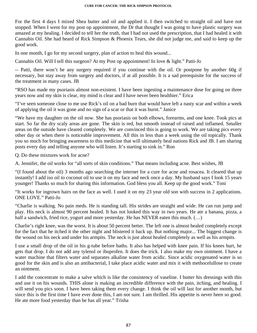For the first 4 days I mixed Shea butter and oil and applied it. I then switched to straight oil and have not stopped. When I went for my post op appointment, the Dr that thought I was going to have plastic surgery was amazed at my healing. I decided to tell her the truth, that I had not used the prescription, that I had healed it with Cannabis Oil. She had heard of Rick Simpson & Phoenix Tears, she did not judge me, and said to keep up the good work.

In one month, I go for my second surgery, plan of action to heal this wound...

Cannabis Oil. Will I tell this surgeon? At my Post op appointment! In love & light." Patti-Jo

-- Patti, there won't be any surgery required if you continue with the oil. Or postpone by another 60g if necessary, but stay away from surgery and doctors, if at all possible. It is a sad prerequisite for the success of the treatment in many cases. JB

"RSO has made my psoriasis almost non-existent. I have been ingesting a maintenance dose for going on three years now and my skin is clear, my mind is clear and I have never been healthier." Erica

"I've seen someone close to me use Rick's oil on a bad burn that would have left a nasty scar and within a week of applying the oil it was gone and no sign of a scar or that it was burnt." Janice

"We have my daughter on the oil now. She has psoriasis on both elbows, forearms, and one knee. Took pics at start. So far the dry scaly areas are gone. The skin is red, but smooth instead of raised and inflamed. Smaller areas on the outside have cleared completely. We are convinced this is going to work. We are taking pics every other day or when there is noticeable improvement. All this in less than a week using the oil topically. Thank you so much for bringing awareness to this medicine that will ultimately heal nations Rick and JB. I am sharing posts every day and telling anyone who will listen. It's starting to sink in." Ron

Q. Do these mixtures work for acne?

A. Jennifer, the oil works for "all sorts of skin conditions." That means including acne. Best wishes, JB

"(I found about the oil) 3 months ago searching the internet for a cure for acne and rosacea. It cleared that up instantly! I add iso oil to coconut oil to use it on my face and neck once a day. My husband says I look 15 years younger! Thanks so much for sharing this information. God bless you all. Keep up the good work." Toni

"It works for ingrown hairs on the face as well. I used it on my 23 year old son with success in 2 applications. ONE LOVE." Patti-Jo

"Charlie is walking. No pain meds. He is standing tall. His strides are straight and wide. He can run jump and play. His neck is almost 90 percent healed. It has not looked this way in two years. He ate a banana, pizza, a half a sandwich, fried rice, yogurt and more yesterday. He has NEVER eaten this much. (...)

Charlie's right knee, was the worst. It is about 50 percent better. The left one is almost healed completely except for the fact that he itched it the other night and blistered it back up. But nothing major... The biggest change is the wound on his neck and under his armpits. The neck is just about healed completely as well as his armpits.

I use a small drop of the oil in his g-tube before baths. It also has helped with knee pain. If his knees hurt, he gets that drop. I do not add any tylenol or ibuprofen. It does the trick. I also make my own ointment. I have a water machine that filters water and separates alkaline water from acidic. Since acidic oxygenated water is so good for the skin and is also an antibacterial, I take place acidic water and mix it with methocelullose to create an ointment.

I add the concentrate to make a salve which is like the consistency of vaseline. I butter his dressings with this and use it on his wounds. THIS alone is making an incredible difference with the pain, itching, and healing. I will send you pics soon. I have been taking them every change. I think the oil will last for another month, but since this is the first time I have ever done this, I am not sure. I am thrilled. His appetite is never been so good. He ate more food yesterday than he has all year." Trisha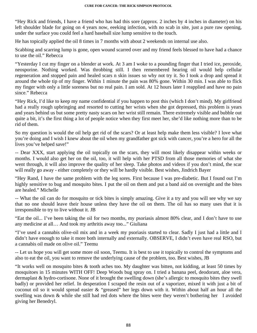"Hey Rick and friends, I have a friend who has had this sore (approx. 2 inches by 4 inches in diameter) on his left shoulder blade for going on 4 years now, eeeking infection, with no scab in site, just a pure raw opening, under the surface you could feel a hard baseball size lump sensitive to the touch.

He has topically applied the oil 8 times in 7 months with about 2 weekends on internal use also.

Scabbing and scarring lump is gone, open wound scarred over and my friend feels blessed to have had a chance to use the oil." Rebecca

"Yesterday I cut my finger on a blender at work. At 3 am I woke to a pounding finger that I tried ice, peroxide, neosporine. Nothing worked. Was throbbing still. I then remembered hearing oil would help cellular regeneration and stopped pain and healed scars n skin issues so why not try it. So I took a drop and spread it around the whole tip of my finger. Within 1 minute the pain was 80% gone. Within 30 min. I was able to flick my finger with only a little soreness but no real pain. I am sold. At 12 hours later I reapplied and have no pain since." Rebecca

"Hey Rick, I'd like to keep my name confidential if you happen to post this (which I don't mind). My girlfriend had a really rough upbringing and resorted to cutting her wrists when she got depressed, this problem is years and years behind us but some pretty nasty scars on her wrist still remain. There extremely visible and bubble out quite a bit, it's the first thing a lot of people notice when they first meet her, she'd like nothing more than to be rid of them.

So my question is would the oil help get rid of the scars? Or at least help make them less visible? I love what you're doing and I wish I knew about the oil when my grandfather got sick with cancer, you're a hero for all the lives you've helped save!"

-- Dear XXX, start applying the oil topically on the scars, they will most likely disappear within weeks or months. I would also get her on the oil, too, it will help with her PTSD from all those memories of what she went through, it will also improve the quality of her sleep. Take photos and videos if you don't mind, the scar will really go away - either completely or they will be hardly visible. Best wishes, Jindrich Bayer

"Hey Rand, I have the same problem with the leg sores. First because I was pre-diabetic. But I found out I'm highly sensitive to bug and mosquito bites. I put the oil on them and put a band aid on overnight and the bites are healed." Michelle

-- What the oil can do for mosquito or tick bites is simply amazing. Give it a try and you will see why we say that no one should leave their house unless they have the oil on them. The oil has so many uses that it is irresponsible to try to live without it. JB

"Eat the oil... I've been taking the oil for two months, my psoriasis almost 80% clear, and I don't have to use any medicine at all… And took my arthritis away too..." Giuliana

"I've used a cannabis olive-oil mix and in a week my psoriasis started to clear. Sadly I just had a little and I didn't have enough to take it more both internally and externally. OBSERVE, I didn't even have real RSO, but a cannabis oil made on olive oil." Teemu

-- Let us hope you will get some more oil soon, Teemu. It is best to use it topically to control the symptoms and also to eat the oil, you want to remove the underlying cause of the problem, too. Best wishes, JB

"It works well on mosquito bites & tooth aches too. My daughter was bitten, not kidding, at least 50 times by mosquitoes in 15 minutes WITH OFF! Deep Woods bug spray on. I tried a banana peel, deodorant, aloe vera, dermaplast & hydro-cortisone. None of it brought the swelling down (she's allergic to mosquito bites they swell badly) or provided her relief. In desperation I scraped the resin out of a vaporizer, mixed it with just a bit of coconut oil so it would spread easier & "greased" her legs down with it. Within about half an hour all the swelling was down & while she still had red dots where the bites were they weren't bothering her I avoided giving her Benedryl.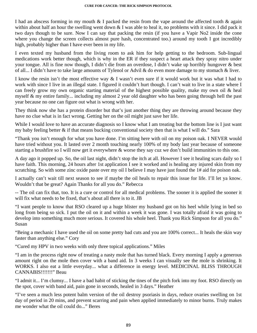I had an abscess forming in my mouth  $&$  I packed the resin from the vape around the affected tooth  $&$  again within about half an hour the swelling went down  $& 1$  was able to heal it, no problems with it since. I did pack it two days though to be sure. Now I can say that packing the resin (if you have a Vapir No2 inside the cone where you change the screen collects almost pure hash, concentrated too.) around my tooth I got incredibly high, probably higher than I have ever been in my life.

I even texted my husband from the living room to ask him for help getting to the bedroom. Sub-lingual medications work better though, which is why in the ER if they suspect a heart attack they spray nitro under your tongue. All is fine now though, I didn't die from an overdose, I didn't wake up horribly hungover & best of all... I didn't have to take large amounts of Tylenol or Advil & do even more damage to my stomach & liver.

I know the resin isn't the most effective way & I wasn't even sure if it would work but it was what I had to work with since I live in an illegal state. I figured it couldn't hurt though. I can't wait to live in a state where I can freely grow my own organic starting material of the highest possible quality, make my own oil & heal myself & my entire family... including my almost 2 year old daughter who has been going through hell the past year because no one can figure out what is wrong with her.

They think now she has a protein disorder but that's just another thing they are throwing around because they have no clue what is in fact wrong. Getting her on the oil might just save her life.

While I would love to have an accurate diagnosis so I know what I am treating but the bottom line is I just want my baby feeling better  $\&$  if that means bucking conventional society then that is what I will do." Sara

"Thank you isn't enough for what you have done. I'm sitting here with oil on my poison oak. I NEVER would have tried without you. It lasted over 2 month touching nearly 100% of my body last year because of someone starting a brushfire so I will now get it everywhere & worse they say cuz we don't build immunities to this one.

A day ago it popped up. So, the oil last night, didn't stop the itch at all. However I see it healing scars daily so I have faith. This morning, 24 hours after 1st application I see it worked and is healing any injured skin from my scratching. So with some zinc oxide paste over my oil I believe I may have just found the 1# aid for poison oak.

I actually can't wait till next season to see if maybe the oil heals to repair this issue for life. I'll let ya know. Wouldn't that be great? Again Thanks for all you do." Rebecca

-- The oil can fix that, too. It is a cure or control for all medical problems. The sooner it is applied the sooner it will fix what needs to be fixed, that's about all there is to it. JB

"I want people to know that RSO cleared up a huge blister my husband got on his heel while lying in bed so long from being so sick. I put the oil on it and within a week it was gone. I was totally afraid it was going to develop into something much more serious. It covered his whole heel. Thank you Rick Simpson for all you do." Susan

"Being a mechanic I have used the oil on some pretty bad cuts and you are 100% correct... It heals the skin way faster than anything else." Cory

"Cured my HPV in two weeks with only three topical applications." Miles

"I am in the process right now of treating a nasty mole that has turned black. Every morning I apply a generous amount right on the mole then cover with a band aid. In 3 weeks I can visually see the mole is shrinking. It WORKS. I also eat a little everyday... what a difference in energy level. MEDICINAL BLISS THROUGH CANNABIS!!!!!!!" Beau

"I admit it... I'm clumsy... I have a bad habit of sticking the tines of the pitch fork into my foot. RSO directly on the spot, cover with band aid, pain gone in seconds, healed in 3 days." Heather

"I've seen a much less potent balm version of the oil destroy psoriasis in days, reduce ovaries swelling on 1st day of period in 20 mins, and prevent scarring and pain when applied immediately to minor burns. Truly makes me wonder what the oil could do..." Beres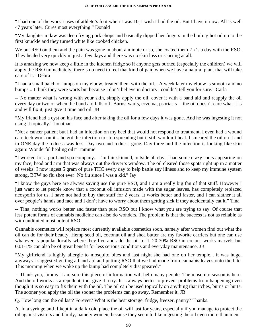"I had one of the worst cases of athlete's foot when I was 10, I wish I had the oil. But I have it now. All is well 47 years later. Cures most everything." Donald

"My daughter in law was deep frying pork chops and basically dipped her fingers in the boiling hot oil up to the first knuckle and they turned white like cooked chicken.

We put RSO on them and the pain was gone in about a minute or so, she coated them 2 x's a day with the RSO. They healed very quickly in just a few days and there was no skin loss or scarring at all.

It is amazing we now keep a little in the kitchen fridge so if anyone gets burned (especially the children) we will apply the RSO immediately, there's no need to feel that kind of pain when we have a natural plant that will take care of it." Debra

"I had a small batch of lumps on my elbow, treated them with the oil... A week later my elbow is smooth and no bumps... I think they were warts but because I don't believe in doctors I couldn't tell you for sure." Carla

-- No matter what is wrong with your skin, simply apply the oil, cover it with a band aid and reapply the oil every day or two or when the band aid falls off. Burns, warts, eczema, psoriasis -- the oil doesn't care what it is and will fix it, just give it time and oil. JB

"My friend had a cyst on his face and after taking the oil for a few days it was gone. And he was ingesting it not using it topically." Jonathan

"Not a cancer patient but I had an infection on my heel that would not respond to treatment. I even had a wound care tech work on it... he got the infection to stop spreading but it still wouldn't heal. I smeared the oil on it and in ONE day the redness was less. Day two and redness gone. Day three and the infection is looking like skin again! Wonderful healing oil!" Tammie

"I worked for a pool and spa company... I'm fair skinned, outside all day. I had some crazy spots appearing on my face, head and arm that was always out the driver's window. The oil cleared those spots right up in a matter of weeks! I now ingest.5 gram of pure THC every day to help battle any illness and to keep my immune system strong. BTW no flu shot ever! No flu since I was a kid." Jay

"I know the guys here are always saying use the pure RSO, and I am a really big fan of that stuff. However I just want to let people know that a coconut oil infusion made with the sugar leaves, has completely replaced neosporin for us, I have not had to buy that stuff for 2 years. It works better and faster, and I can slather it all over people's hands and face and I don't have to worry about them getting sick if they accidentally eat it." Tina

-- Tina, nothing works better and faster than pure RSO but I know what you are trying to say. Of course that less potent forms of cannabis medicine can also do wonders. The problem is that the success is not as reliable as with undiluted most potent RSO.

Cannabis cosmetics will replace most currently available cosmetics soon, namely after women find out what the oil can do for their beauty. Hemp seed oil, coconut oil and shea butter are my favorite carriers but one can use whatever is popular locally where they live and add the oil to it. 20-30% RSO in creams works marvels but 0,01-1% can also be of great benefit for less serious conditions and everyday maintenance. JB

"My girlfriend is highly allergic to mosquito bites and last night she had one on her temple... it was huge, anyways I suggested getting a band aid and putting RSO that we had made from cannabis leaves onto the bite. This morning when we woke up the bump had completely disappeared."

-- Thank you, Jimmy. I am sure this piece of information will help many people. The mosquito season is here. And the oil works as a repellent, too, give it a try. It is always better to prevent problems from happening even though it is so easy to fix them with the oil. The oil can be used topically on anything that itches, burns or hurts. The sooner you apply the oil the sooner the problems can go away. Remember it. JB

Q. How long can the oil last? Forever? What is the best storage, fridge, freezer, pantry? Thanks.

A. In a syringe and if kept in a dark cold place the oil will last for years, especially if you manage to protect the oil against visitors and family, namely women, because they seem to like ingesting the oil even more than men.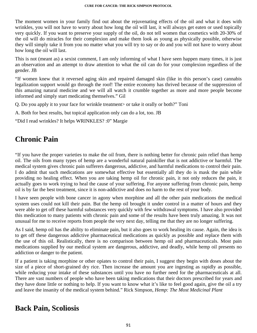The moment women in your family find out about the rejuvenating effects of the oil and what it does with wrinkles, you will not have to worry about how long the oil will last, it will always get eaten or used topically very quickly. If you want to preserve your supply of the oil, do not tell women that cosmetics with 20-30% of the oil will do miracles for their complexion and make them look as young as physically possible, otherwise they will simply take it from you no matter what you will try to say or do and you will not have to worry about how long the oil will last.

This is not (meant as) a sexist comment, I am only informing of what I have seen happen many times, it is just an observation and an attempt to draw attention to what the oil can do for your complexion regardless of the gender. JB

"If women knew that it reversed aging skin and repaired damaged skin (like in this person's case) cannabis legalization support would go through the roof! The entire economy has thrived because of the suppression of this amazing natural medicine and we will all watch it crumble together as more and more people become informed and simply start medicating themselves." Gil

Q. Do you apply it to your face for wrinkle treatment> or take it orally or both?" Toni

A. Both for best results, but topical application only can do a lot, too. JB

"Did I read wrinkles? It helps WRINKLES? :0" Margie

## **Chronic Pain**

"If you have the proper varieties to make the oil from, there is nothing better for chronic pain relief than hemp oil. The oils from many types of hemp are a wonderful natural painkiller that is not addictive or harmful. The medical system gives chronic pain sufferers dangerous, addictive, and harmful medications to control their pain. I do admit that such medications are somewhat effective but essentially all they do is mask the pain while providing no healing effect. When you are taking hemp oil for chronic pain, it not only reduces the pain, it actually goes to work trying to heal the cause of your suffering. For anyone suffering from chronic pain, hemp oil is by far the best treatment, since it is non-addictive and does no harm to the rest of your body.

I have seen people with bone cancer in agony when morphine and all the other pain medications the medical system uses could not kill their pain. But the hemp oil brought it under control in a matter of hours and they were able to get off these harmful substances very quickly with few withdrawal symptoms. I have also provided this medication to many patients with chronic pain and some of the results have been truly amazing. It was not unusual for me to receive reports from people the very next day, telling me that they are no longer suffering.

As I said, hemp oil has the ability to eliminate pain, but it also goes to work healing its cause. Again, the idea is to get off these dangerous addictive pharmaceutical medications as quickly as possible and replace them with the use of this oil. Realistically, there is no comparison between hemp oil and pharmaceuticals. Most pain medications supplied by our medical system are dangerous, addictive, and deadly, while hemp oil presents no addiction or danger to the patient.

If a patient is taking morphine or other opiates to control their pain, I suggest they begin with doses about the size of a piece of short-grained dry rice. Then increase the amount you are ingesting as rapidly as possible, while reducing your intake of these substances until you have no further need for the pharmaceuticals at all. There are vast numbers of people who have been taking medications that their doctors prescribed for years and they have done little or nothing to help. If you want to know what it's like to feel good again, give the oil a try and leave the insanity of the medical system behind." Rick Simpson, *Hemp: The Most Medicinal Plant*

### **Back Pain, Scoliosis**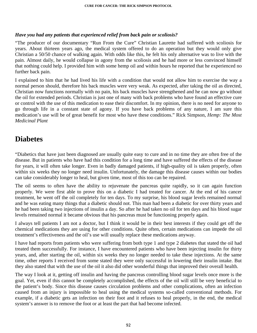#### *Have you had any patients that experienced relief from back pain or scoliosis?*

"The producer of our documentary "Run From the Cure" Christian Laurette had suffered with scoliosis for years. About thirteen years ago, the medical system offered to do an operation but they would only give Christian a 50/50 chance of walking again. With odds like this, he felt his only alternative was to live with the pain. Almost daily, he would collapse in agony from the scoliosis and he had more or less convinced himself that nothing could help. I provided him with some hemp oil and within hours he reported that he experienced no further back pain.

I explained to him that he had lived his life with a condition that would not allow him to exercise the way a normal person should, therefore his back muscles were very weak. As expected, after taking the oil as directed, Christian now functions normally with no pain, his back muscles have strengthened and he can now go without the oil for extended periods. Christian is just one of many with back problems who have found an effective cure or control with the use of this medication to ease their discomfort. In my opinion, there is no need for anyone to go through life in a constant state of agony. If you have back problems of any nature, I am sure this medication's use will be of great benefit for most who have these conditions." Rick Simpson, *Hemp: The Most Medicinal Plant*

### **Diabetes**

"Diabetics that have just been diagnosed are usually quite easy to cure and in no time they are often free of the disease. But in patients who have had this condition for a long time and have suffered the effects of the disease for years, it will often take longer. Even in badly damaged patients, if high-quality oil is taken properly, often within six weeks they no longer need insulin. Unfortunately, the damage this disease causes within our bodies can take considerably longer to heal, but given time, most of this too can be repaired.

The oil seems to often have the ability to rejuvenate the pancreas quite rapidly, so it can again function properly. We were first able to prove this on a diabetic I had treated for cancer. At the end of his cancer treatment, he went off the oil completely for ten days. To my surprise, his blood sugar levels remained normal and he was eating many things that a diabetic should not. This man had been a diabetic for over thirty years and he had been taking two injections of insulin a day. So after he had taken no oil for ten days and his blood sugar levels remained normal it became obvious that his pancreas must be functioning properly again.

I always tell patients I am not a doctor, but I think it would be in their best interests if they could get off the chemical medications they are using for other conditions. Quite often, certain medications can impede the oil treatment's effectiveness and the oil's use will usually replace these medications anyway.

I have had reports from patients who were suffering from both type 1 and type 2 diabetes that stated the oil had treated them successfully. For instance, I have encountered patients who have been injecting insulin for thirty years, and, after starting the oil, within six weeks they no longer needed to take these injections. At the same time, other reports I received from some stated they were only successful in lowering their insulin intake. But they also stated that with the use of the oil it also did other wonderful things that improved their overall health.

The way I look at it, getting off insulin and having the pancreas controlling blood sugar levels once more is the goal. Yet, even if this cannot be completely accomplished, the effects of the oil will still be very beneficial to the patient's body. Since this disease causes circulation problems and other complications, often an infection caused from an injury is impossible to heal using the medical systems so-called conventional methods. For example, if a diabetic gets an infection on their foot and it refuses to heal properly, in the end, the medical system's answer is to remove the foot or at least the part that had become infected.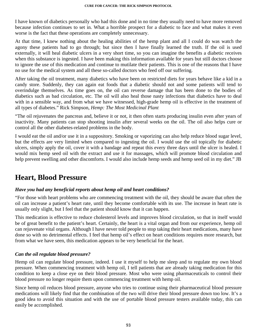I have known of diabetics personally who had this done and in no time they usually need to have more removed because infection continues to set in. What a horrible prospect for a diabetic to face and what makes it even worse is the fact that these operations are completely unnecessary.

At that time, I knew nothing about the healing abilities of the hemp plant and all I could do was watch the agony these patients had to go through; but since then I have finally learned the truth. If the oil is used externally, it will heal diabetic ulcers in a very short time, so you can imagine the benefits a diabetic receives when this substance is ingested. I have been making this information available for years but still doctors choose to ignore the use of this medication and continue to mutilate their patients. This is one of the reasons that I have no use for the medical system and all these so-called doctors who feed off our suffering.

After taking the oil treatment, many diabetics who have been on restricted diets for years behave like a kid in a candy store. Suddenly, they can again eat foods that a diabetic should not and some patients will tend to overindulge themselves. As time goes on, the oil can reverse damage that has been done to the bodies of diabetics such as bad circulation, etc. The oil will also heal those nasty infections that diabetics have to deal with in a sensible way, and from what we have witnessed, high-grade hemp oil is effective in the treatment of all types of diabetes." Rick Simpson, *Hemp: The Most Medicinal Plant*

"The oil rejuvenates the pancreas and, believe it or not, it then often starts producing insulin even after years of inactivity. Many patients can stop shooting insulin after several weeks on the oil. The oil also helps cure or control all the other diabetes-related problems in the body.

I would eat the oil and/or use it in a suppository. Smoking or vaporizing can also help reduce blood sugar level, but the effects are very limited when compared to ingesting the oil. I would use the oil topically for diabetic ulcers, simply apply the oil, cover it with a bandage and repeat this every three days until the ulcer is healed. I would mix hemp seed oil with the extract and use it for massages, which will promote blood circulation and help prevent swelling and other discomforts. I would also include hemp seeds and hemp seed oil in my diet." JB

## **Heart, Blood Pressure**

#### *Have you had any beneficial reports about hemp oil and heart conditions?*

"For those with heart problems who are commencing treatment with the oil, they should be aware that often the oil can increase a patient's heart rate, until they become comfortable with its use. The increase in heart rate is usually only slight, but I feel that the patient should know that it can happen.

This medication is effective to reduce cholesterol levels and improves blood circulation, so that in itself would be of great benefit to the patient's heart. Certainly, the heart is a vital organ and from our experience, hemp oil can rejuvenate vital organs. Although I have never told people to stop taking their heart medications, many have done so with no detrimental effects. I feel that hemp oil's effect on heart conditions requires more research, but from what we have seen, this medication appears to be very beneficial for the heart.

#### *Can the oil regulate blood pressure?*

Hemp oil can regulate blood pressure, indeed. I use it myself to help me sleep and to regulate my own blood pressure. When commencing treatment with hemp oil, I tell patients that are already taking medication for this condition to keep a close eye on their blood pressure. Most who were using pharmaceuticals to control their blood pressure no longer require them upon commencing treatment with hemp oil.

Since hemp oil reduces blood pressure, anyone who tries to continue using their pharmaceutical blood pressure medications will likely find that the combination of the two will drive their blood pressure down too low. It's a good idea to avoid this situation and with the use of portable blood pressure testers available today, this can easily be accomplished.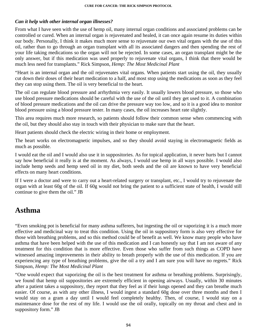#### *Can it help with other internal organ illnesses?*

From what I have seen with the use of hemp oil, many internal organ conditions and associated problems can be controlled or cured. When an internal organ is rejuvenated and healed, it can once again resume its duties within our body. Personally, I think it makes much more sense to rejuvenate our own vital organs with the use of this oil, rather than to go through an organ transplant with all its associated dangers and then spending the rest of your life taking medications so the organ will not be rejected. In some cases, an organ transplant might be the only answer, but if this medication was used properly to rejuvenate vital organs, I think that there would be much less need for transplants." Rick Simpson, *Hemp: The Most Medicinal Plant*

"Heart is an internal organ and the oil rejuvenates vital organs. When patients start using the oil, they usually cut down their doses of their heart medication to a half, and most stop using the medications as soon as they feel they can stop using them. The oil is very beneficial to the heart.

The oil can regulate blood pressure and arrhythmia very easily. It usually lowers blood pressure, so those who use blood pressure medications should be careful with the use of the oil until they get used to it. A combination of blood pressure medications and the oil can drive the pressure way too low, and so it is a good idea to monitor blood pressure using a blood pressure tester. In many cases, the oil increases heart rate slightly.

This area requires much more research, so patients should follow their common sense when commencing with the oil, but they should also stay in touch with their physician to make sure that the heart.

Heart patients should check the electric wiring in their home or employment.

The heart works on electromagnetic impulses, and so they should avoid staying in electromagnetic fields as much as possible.

I would eat the oil and I would also use it in suppositories. As for topical application, it never hurts but I cannot say how beneficial it really is at the moment. As always, I would use hemp in all ways possible. I would also include hemp seeds and hemp seed oil in my diet, both seeds and the oil are known to have very beneficial effects on many heart conditions.

If I were a doctor and were to carry out a heart-related surgery or transplant, etc., I would try to rejuvenate the organ with at least 60g of the oil. If 60g would not bring the patient to a sufficient state of health, I would still continue to give them the oil." JB

### **Asthma**

"Even smoking pot is beneficial for many asthma sufferers, but ingesting the oil or vaporizing it is a much more effective and medicinal way to treat this condition. Using the oil in suppository form is also very effective for those with breathing problems, and so this method could be of benefit as well. We know many people who have asthma that have been helped with the use of this medication and I can honestly say that I am not aware of any treatment for this condition that is more effective. Even those who suffer from such things as COPD have witnessed amazing improvements in their ability to breath properly with the use of this medication. If you are experiencing any type of breathing problems, give the oil a try and I am sure you will have no regrets." Rick Simpson, *Hemp: The Most Medicinal Plant*

"One would expect that vaporizing the oil is the best treatment for asthma or breathing problems. Surprisingly, we found that hemp oil suppositories are extremely efficient in opening airways. Usually, within 30 minutes after a patient takes a suppository, they report that they feel as if their lungs opened and they can breathe much easier. Of course, as with any other illness, I would ingest a standard 60g dose over three months and then I would stay on a gram a day until I would feel completely healthy. Then, of course, I would stay on a maintenance dose for the rest of my life. I would use the oil orally, topically on my throat and chest and in suppository form." JB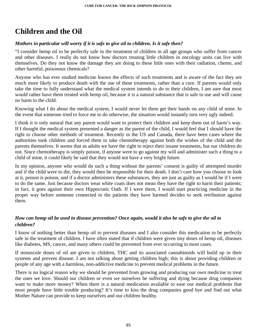# **Children and the Oil**

#### *Mothers in particular will worry if it is safe to give oil to children. Is it safe then?*

"I consider hemp oil to be perfectly safe in the treatment of children in all age groups who suffer from cancer and other diseases. I really do not know how doctors treating little children in oncology units can live with themselves. Do they not know the damage they are doing to these little ones with their radiation, chemo, and other harmful, poisonous chemicals?

Anyone who has ever studied medicine knows the effects of such treatments and is aware of the fact they are much more likely to produce death with the use of these treatments, rather than a cure. If parents would only take the time to fully understand what the medical system intends to do to their children, I am sure that most would rather have them treated with hemp oil, because it is a natural substance that is safe to use and will cause no harm to the child.

Knowing what I do about the medical system, I would never let them get their hands on any child of mine. In the event that someone tried to force me to do otherwise, the situation would instantly turn very ugly indeed.

I think it is only natural that any parent would want to protect their children and keep them out of harm's way. If I thought the medical system presented a danger as the parent of the child, I would feel that I should have the right to choose other methods of treatment. Recently in the US and Canada, there have been cases where the authorities took children and forced them to take chemotherapy against both the wishes of the child and the parents themselves. It seems that as adults we have the right to reject their insane treatments, but our children do not. Since chemotherapy is simply poison, if anyone were to go against my will and administer such a thing to a child of mine, it could likely be said that they would not have a very bright future.

In my opinion, anyone who would do such a thing without the parents' consent is guilty of attempted murder and if the child were to die, they would then be responsible for their death. I don't care how you choose to look at it, poison is poison, and if a doctor administers these substances, they are just as guilty as I would be if I were to do the same. Just because doctors wear white coats does not mean they have the right to harm their patients; in fact, it goes against their own Hippocratic Oath. If I were them, I would start practicing medicine in the proper way before someone connected to the patients they have harmed decides to seek retribution against them.

#### *How can hemp oil be used in disease prevention? Once again, would it also be safe to give the oil to children?*

I know of nothing better than hemp oil to prevent diseases and I also consider this medication to be perfectly safe in the treatment of children. I have often stated that if children were given tiny doses of hemp oil, diseases like diabetes, MS, cancer, and many others could be prevented from ever occurring in most cases.

If minuscule doses of oil are given to children, THC and its associated cannabinoids will build up in their systems and prevent disease. I am not talking about getting children high; this is about providing children or people of any age with a harmless, non-addictive medicine to prevent medical problems in the future.

There is no logical reason why we should be prevented from growing and producing our own medicine to treat the ones we love. Should our children or even we ourselves be suffering and dying because drug companies want to make more money? When there is a natural medication available to ease our medical problems that most people have little trouble producing? It's time to kiss the drug companies good bye and find out what Mother Nature can provide to keep ourselves and our children healthy.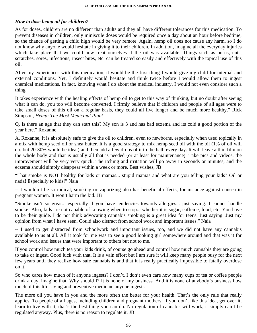#### *How to dose hemp oil for children?*

As for doses, children are no different than adults and they all have different tolerances for this medication. To prevent diseases in children, only miniscule doses would be required once a day about an hour before bedtime, so the chance of getting a child high would be very remote. Again, hemp oil does not cause any harm, so I do not know why anyone would hesitate in giving it to their children. In addition, imagine all the everyday injuries which take place that we could now treat ourselves if the oil was available. Things such as burns, cuts, scratches, sores, infections, insect bites, etc. can be treated so easily and effectively with the topical use of this oil.

After my experiences with this medication, it would be the first thing I would give my child for internal and external conditions. Yet, I definitely would hesitate and think twice before I would allow them to ingest chemical medications. In fact, knowing what I do about the medical industry, I would not even consider such a thing.

It takes experience with the healing effects of hemp oil to get to this way of thinking, but no doubt after seeing what it can do, you too will become converted. I firmly believe that if children and people of all ages were to take small doses of this oil on a regular basis, they could all live longer and be much more healthy." Rick Simpson, *Hemp: The Most Medicinal Plant*

Q. Is there an age that they can start this? My son is 3 and has bad eczema and its cold a good portion of the year here." Roxanne

A. Roxanne, it is absolutely safe to give the oil to children, even to newborns, especially when used topically in a mix with hemp seed oil or shea butter. It is a good strategy to mix hemp seed oil with the oil (1% of oil will do, but 20-30% would be ideal) and then add a few drops of it to the bath every day. It will leave a thin film on the whole body and that is usually all that is needed (or at least for maintenance). Take pics and videos, the improvement will be very very quick. The itching and irritation will go away in seconds or minutes, and the eczema should simply disappear within a week or more. Best wishes, JB

"That smoke is NOT healthy for kids or mamas... stupid mamas and what are you telling your kids? Oil or nada! Especially to kids!" Naia

-- I wouldn't be so radical, smoking or vaporizing also has beneficial effects, for instance against nausea in pregnant women. It won't harm the kid. JB

"Smoke isn't so great... especially if you have tendencies towards allergies... just saying. I cannot handle smoke! Also, kids are not capable of knowing when to stop... whether it is sugar, caffeine, food, etc. You have to be their guide. I do not think advocating cannabis smoking is a great idea for teens. Just saying. Just my opinion from what I have seen. Could also distract from school work and important issues." Naia

-- I used to get distracted from schoolwork and important issues, too, and we did not have any cannabis available to us at all. All it took for me was to see a good looking girl somewhere around and that was it for school work and issues that were important to others but not to me.

If you control how much tea your kids drink, of course go ahead and control how much cannabis they are going to take or ingest. Good luck with that. It is a vain effort but I am sure it will keep many people busy for the next few years until they realize how safe cannabis is and that it is really practically impossible to fatally overdose on it.

So who cares how much of it anyone ingests? I don't. I don't even care how many cups of tea or coffee people drink a day, imagine that. Why should I? It is none of my business. And it is none of anybody's business how much of this life saving and preventive medicine anyone ingests.

The more oil you have in you and the more often the better for your health. That's the only rule that really applies. To people of all ages, including children and pregnant mothers. If you don't like this idea, get over it, learn to live with it, that's the best thing you can do. No regulation of cannabis will work, it simply can't be regulated anyway. Plus, there is no reason to regulate it. JB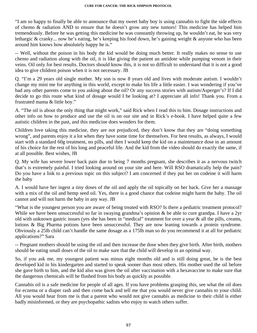"I am so happy to finally be able to announce that my sweet baby boy is using cannabis to fight the side effects of chemo & radiation AND to ensure that he doesn't grow any new tumors! This medicine has helped him tremendously. Before he was getting this medicine he was constantly throwing up, he wouldn't eat, he was very lethargic & cranky... now he's eating, he's keeping his food down, he's gaining weight & anyone who has been around him knows how absolutely happy he is."

-- Well, without the poison in his body the kid would be doing much better. It really makes no sense to use chemo and radiation along with the oil, it is like giving the patient an antidote while pumping venom in their veins. Oil only for best results. Doctors should know this, it is not so difficult to understand that it is not a good idea to give children poison when it is not necessary. JB

Q. "I'm a 29 years old single mother. My son is now 8 years old and lives with moderate autism. I wouldn't change my mini me for anything in this world, except to make his life a little easier. I was wondering if you've had any other parents come to you asking about the oil? Or any success stories with autism/Asperger's? If I did decide to go this route what kind of dosage would I be looking at? I appreciate all info! Thank you. From a frustrated mama & little boy."

A. "The oil is about the only thing that might work," said Rick when I read this to him. Dosage instructions and other info on how to produce and use the oil is on our site and in Rick's e-book. I have helped quite a few autistic children in the past, and this medicine does wonders for them.

Children love taking this medicine, they are not prejudiced, they don't know that they are "doing something wrong", and parents enjoy it a lot when they have some time for themselves. For best results, as always, I would start with a standard 60g treatment, no pills, and then I would keep the kid on a maintenance dose in an amount of his choice for the rest of his long and peaceful life. And the kid from the video should do exactly the same, if at all possible. Best wishes, JB

Q. My wife has severe lower back pain due to being 7 months pregnant, she describes it as a nervous twitch that's is extremely painful. I tried looking around on your site and here. Will RSO dramatically help the pain? Do you have a link to a previous topic on this subject? I am concerned if they put her on codeine it will harm the baby

A. I would have her ingest a tiny doses of the oil and apply the oil topically on her back. Give her a massage with a mix of the oil and hemp seed oil. Yes, there is a good chance that codeine might harm the baby. The oil cannot and will not harm the baby in any way. JB

"What is the youngest person you are aware of being treated with RSO? Is there a pediatric treatment protocol? While we have been unsuccessful so far in swaying grandma's opinion & be able to cure grandpa. I have a 2yr old with unknown gastric issues (yes she has been in "medical" treatment for over a year  $\&$  all the pills, creams, lotions & Big Pharma potions have been unsuccessful. They are now leaning towards a protein syndrome. Obviously a 25lb child can't handle the same dosage as a 175lb man so do you recommend it at all for pediatric applications?" Sara

-- Pregnant mothers should be using the oil and then increase the dose when they give birth. After birth, mothers should be eating small doses of the oil to make sure that the child will develop in an optimal way.

So, if you ask me, my youngest patient was minus eight months old and is still doing great, he is the best developed kid in his kindergarten and started to speak sooner than most others. His mother used the oil before she gave birth to him, and the kid also was given the oil after vaccination with a hexavaccine to make sure that the dangerous chemicals will be flushed from his body as quickly as possible.

Cannabis oil is a safe medicine for people of all ages. If you have problems grasping this, see what the oil does for eczema or a diaper rash and then come back and tell me that you would never give cannabis to your child. All you would hear from me is that a parent who would not give cannabis as medicine to their child is either badly misinformed, or they are psychopathic sadists who enjoy to watch others suffer.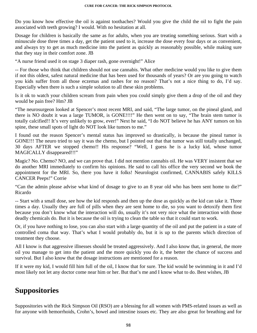Do you know how effective the oil is against toothaches? Would you give the child the oil to fight the pain associated with teeth growing? I would. With no hesitation at all.

Dosage for children is basically the same as for adults, when you are treating something serious. Start with a minuscule dose three times a day, get the patient used to it, increase the dose every four days or as convenient, and always try to get as much medicine into the patient as quickly as reasonably possible, while making sure that they stay in their comfort zone. JB

"A nurse friend used it on stage 3 diaper rash, gone overnight!" Alice

-- For those who think that children should not use cannabis. What other medicine would you like to give them if not this oldest, safest natural medicine that has been used for thousands of years? Or are you going to watch you kids suffer from all those eczemas and rashes for no reason? That's not a nice thing to do, I'd say. Especially when there is such a simple solution to all these skin problems.

Is it ok to watch your children scream from pain when you could simply give them a drop of the oil and they would be pain free? Hm? JB

"The neurosurgeon looked at Spencer's most recent MRI, and said, "The large tumor, on the pineal gland, and there is NO doubt it was a large TUMOR, is GONE!!!!" He then went on to say, "The brain stem tumor is totally calcified!! It's very unlikely to grow, ever!" Next he said, "I do NOT believe he has ANY tumors on his spine, these small spots of light do NOT look like tumors to me."

I found out the reason Spencer's mental status has improved so drastically, is because the pineal tumor is GONE!!! The neuro tried to say it was the chemo, but I pointed out that that tumor was still totally unchanged, 30 days AFTER we stopped chemo!! His response? "Well, I guess he is a lucky kid, whose tumor MAGICALLY disappeared!!!"

Magic? No. Chemo? NO, and we can prove that. I did not mention cannabis oil. He was VERY insistent that we do another MRI immediately to confirm his opinions. He said to call his office the very second we book the appointment for the MRI. So, there you have it folks! Neurologist confirmed, CANNABIS safely KILLS CANCER Peeps!" Corrie

"Can the admin please advise what kind of dosage to give to an 8 year old who has been sent home to die?" Ricardo

-- Start with a small dose, see how the kid responds and then up the dose as quickly as the kid can take it. Three times a day. Usually they are full of pills when they are sent home to die, so you want to detoxify them first because you don't know what the interaction will do, usually it's not very nice what the interaction with those deadly chemicals do. But it is because the oil is trying to clean the table so that it could start to work.

Or, if you have nothing to lose, you can also start with a large quantity of the oil and put the patient in a state of controlled coma that way. That's what I would probably do, but it is up to the parents which direction of treatment they choose.

All I know is that aggressive illnesses should be treated aggressively. And I also know that, in general, the more oil you manage to get into the patient and the more quickly you do it, the better the chance of success and survival. But I also know that the dosage instructions are mentioned for a reason.

If it were my kid, I would fill him full of the oil, I know that for sure. The kid would be swimming in it and I'd most likely not let any doctor come near him or her. But that's me and I know what to do. Best wishes, JB

# **Suppositories**

Suppositories with the Rick Simpson Oil (RSO) are a blessing for all women with PMS-related issues as well as for anyone with hemorrhoids, Crohn's, bowel and intestine issues etc. They are also great for breathing and for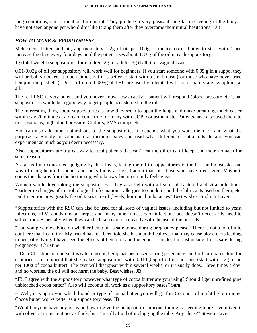lung conditions, not to mention flu control. They produce a very pleasant long-lasting feeling in the body. I have not seen anyone yet who didn't like taking them after they overcame their initial hesitations." JB

#### *HOW TO MAKE SUPPOSITORIES?*

Melt cocoa butter, add oil, approximately 1-2g of oil per 100g of melted cocoa butter to start with. Then increase the dose every four days until the patient uses about 0.33 g of the oil in each suppository.

1g (total weight) suppositories for children, 2g for adults, 3g (balls) for vaginal issues.

 $0.01$ -0.02g of oil per suppository will work well for beginners. If you start someone with 0.05 g in a suppo, they will probably not feel it much either, but it is better to start with a small dose (for those who have never tried hemp in the past etc.). Doses of up to 0.005g of THC are usually tolerated with no or hardly any symptoms at all.

The real RSO is very potent and you never know how exactly a patient will respond (blood pressure etc.), but suppositories would be a good way to get people accustomed to the oil.

The interesting thing about suppositories is how they seem to open the lungs and make breathing much easier within say 20 minutes - a dream come true for many with COPD or asthma etc. Patients have also used them to treat psoriasis, high blood pressure, Crohn's, PMS cramps etc.

You can also add other natural oils to the suppositories, it depends what you want them for and what the purpose is. Simply to some natural medicine sites and read what different essential oils do and you can experiment as much as you deem necessary.

Also, suppositories are a great way to treat patients that can't eat the oil or can't keep it in their stomach for some reason.

As far as I am concerned, judging by the effects, taking the oil in suppositories is the best and most pleasant way of using hemp. It sounds and looks funny at first, I admit that, but those who have tried agree. Maybe it opens the chakras from the bottom up, who knows, but it certainly feels great.

Women would love taking the suppositories - they also help with all sorts of bacterial and viral infections, "partner exchanges of microbiological information", allergies to condoms and the lubricants used on them, etc. Did I mention how greatly the oil takes care of (levels) hormonal imbalances? Best wishes, Jindrich Bayer

"Suppositories with the RSO can also be used for all sorts of vaginal issues, including but not limited to yeast infections, HPV, condylomata, herpes and many other illnesses or infections one doesn't necessarily need to suffer from. Especially when they can be taken care of so easily with the use of the oil." JB

"Can you give me advice on whether hemp oil is safe to use during pregnancy please? There is not a lot of info out there that I can find. My friend has just been told she has a umbilical cyst that may cause blood clots leading to her baby dying. I have seen the effects of hemp oil and the good it can do, I'm just unsure if it is safe during pregnancy." Christine

-- Dear Christine, of course it is safe to use it, hemp has been used during pregnancy and for labor pains, too, for centuries. I recommend that she makes suppositories with 0,01-0,06g of oil in each one (start with 1-2g of oil per 100g of cocoa butter). The cyst will disappear within several weeks, or it usually does. Three times a day, and no worries, the oil will not harm the baby. Best wishes, JB

"JB, I agree with the suppository however what type of cocoa butter are you using? Should I get unrefined pure unbleached cocoa butter? Also will coconut oil work as a suppository base?" Sara

-- Well, it is up to you which brand or type of cocoa butter you will go for. Coconut oil might be too runny. Cocoa butter works better as a suppository base. JB

"Would anyone have any ideas on how to give the hemp oil to someone through a feeding tube? I've mixed it with olive oil to make it not as thick, but I'm still afraid of it clogging the tube. Any ideas?" Steven Havre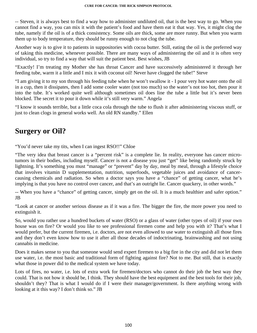-- Steven, it is always best to find a way how to administer undiluted oil, that is the best way to go. When you cannot find a way, you can mix it with the patient's food and have them eat it that way. Yes, it might clog the tube, namely if the oil is of a thick consistency. Some oils are thick, some are more runny. But when you warm them up to body temperature, they should be runny enough to not clog the tube.

Another way is to give it to patients in suppositories with cocoa butter. Still, eating the oil is the preferred way of taking this medicine, whenever possible. There are many ways of administering the oil and it is often very individual, so try to find a way that will suit the patient best. Best wishes, JB

"Exactly! I'm treating my Mother she has throat Cancer and have successively administered it through her feeding tube, warm it a little and I mix it with coconut oil! Never have clogged the tube!" Steve

"I am giving it to my son through his feeding tube when he won't swallow it - I pour very hot water onto the oil in a cup, then it dissipates, then I add some cooler water (not too much) so the water's not too hot, then pour it into the tube. It's worked quite well although sometimes oil does line the tube a little but it's never been blocked. The secret it to pour it down while it's still very warm." Angela

"I know it sounds terrible, but a little coca cola through the tube to flush it after administering viscous stuff, or just to clean clogs in general works well. An old RN standby." Ellen

## **Surgery or Oil?**

"You'd never take my tits, when I can ingest RSO!!" Chloe

"The very idea that breast cancer is a "percent risk" is a complete lie. In reality, everyone has cancer microtumors in their bodies, including myself. Cancer is not a disease you just "get" like being randomly struck by lightning. It's something you must "manage" or "prevent" day by day, meal by meal, through a lifestyle choice that involves vitamin D supplementation, nutrition, superfoods, vegetable juices and avoidance of cancercausing chemicals and radiation. So when a doctor says you have a "chance" of getting cancer, what he's implying is that you have no control over cancer, and that's an outright lie. Cancer quackery, in other words."

-- When you have a "chance" of getting cancer, simply get on the oil. It is a much healthier and safer option." JB

"Look at cancer or another serious disease as if it was a fire. The bigger the fire, the more power you need to extinguish it.

So, would you rather use a hundred buckets of water (RSO) or a glass of water (other types of oil) if your own house was on fire? Or would you like to see professional firemen come and help you with it? That's what I would prefer, but the current firemen, i.e. doctors, are not even allowed to use water to extinguish all those fires and they don't even know how to use it after all those decades of indoctrinating, brainwashing and not using cannabis in medicine.

Does it makes sense to you that someone would send expert firemen to a big fire in the city and did not let them use water, i.e. the most basic and traditional form of fighting against fire? Not to me. But still, that is exactly what those in power did to the medical system we have today.

Lots of fires, no water, i.e. lots of extra work for firemen/doctors who cannot do their job the best way they could. That is not how it should be, I think. They should have the best equipment and the best tools for their job, shouldn't they? That is what I would do if I were their manager/government. Is there anything wrong with looking at it this way? I don't think so." JB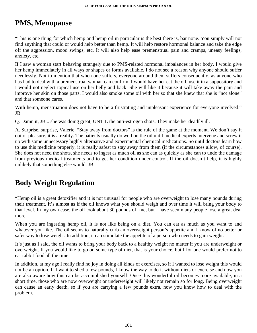## **PMS, Menopause**

"This is one thing for which hemp and hemp oil in particular is the best there is, bar none. You simply will not find anything that could or would help better than hemp. It will help restore hormonal balance and take the edge off the aggression, mood swings, etc. It will also help ease premenstrual pain and cramps, uneasy feelings, anxiety, etc.

If I saw a woman start behaving strangely due to PMS-related hormonal imbalances in her body, I would give her hemp immediately in all ways or shapes or forms available. I do not see a reason why anyone should suffer needlessly. Not to mention that when one suffers, everyone around them suffers consequently, as anyone who has had to deal with a premenstrual woman can confirm. I would have her eat the oil, use it in a suppository and I would not neglect topical use on her belly and back. She will like it because it will take away the pain and improve her skin on those parts. I would also smoke some oil with her so that she knew that she is "not alone" and that someone cares.

With hemp, menstruation does not have to be a frustrating and unpleasant experience for everyone involved." JB

Q. Damn it, JB... she was doing great, UNTIL the anti-estrogen shots. They make her deathly ill.

A. Surprise, surprise, Valerie. "Stay away from doctors" is the rule of the game at the moment. We don't say it out of pleasure, it is a reality. The patients usually do well on the oil until medical experts intervene and screw it up with some unnecessary highly alternative and experimental chemical medications. So until doctors learn how to use this medicine properly, it is really safest to stay away from them (if the circumstances allow, of course). She does not need the shots, she needs to ingest as much oil as she can as quickly as she can to undo the damage from previous medical treatments and to get her condition under control. If the oil doesn't help, it is highly unlikely that something else would. JB

## **Body Weight Regulation**

"Hemp oil is a great detoxifier and it is not unusual for people who are overweight to lose many pounds during their treatment. It's almost as if the oil knows what you should weigh and over time it will bring your body to that level. In my own case, the oil took about 30 pounds off me, but I have seen many people lose a great deal more.

When you are ingesting hemp oil, it is not like being on a diet. You can eat as much as you want to and whatever you like. The oil seems to naturally curb an overweight person's appetite and I know of no better or safer way to lose weight. In addition, it can stimulate the appetite of a person who needs to gain weight.

It's just as I said, the oil wants to bring your body back to a healthy weight no matter if you are underweight or overweight. If you would like to go on some type of diet, that is your choice, but I for one would prefer not to eat rabbit food all the time.

In addition, at my age I really find no joy in doing all kinds of exercises, so if I wanted to lose weight this would not be an option. If I want to shed a few pounds, I know the way to do it without diets or exercise and now you are also aware how this can be accomplished yourself. Once this wonderful oil becomes more available, in a short time, those who are now overweight or underweight will likely not remain so for long. Being overweight can cause an early death, so if you are carrying a few pounds extra, now you know how to deal with the problem.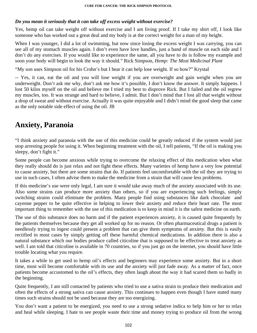#### *Do you mean it seriously that it can take off excess weight without exercise?*

Yes, hemp oil can take weight off without exercise and I am living proof. If I take my shirt off, I look like someone who has worked out a great deal and my body is at the correct weight for a man of my height.

When I was younger, I did a lot of swimming, but now since losing the excess weight I was carrying, you can see all of my stomach muscles again. I don't even have love handles, just a band of muscle on each side and I don't do any exercises. If you would like to experience the same, all you have to do is follow my example and soon your body will begin to look the way it should." Rick Simpson, *Hemp: The Most Medicinal Plant*

"My son uses Simpson oil for his Crohn's but I hear it can help lose weight. If so how?" Krystal

-- Yes, it can, eat the oil and you will lose weight if you are overweight and gain weight when you are underweight. Don't ask me why, don't ask me how it's possible, I don't know the answer. It simply happens. I lost 50 kilos myself on the oil and believe me I tried my best to disprove Rick. But I failed and the oil regrew my muscles, too. It was strange and hard to believe, I admit. But I don't mind that I lost all that weight without a drop of sweat and without exercise. Actually it was quite enjoyable and I didn't mind the good sleep that came as the only notable side effect of using the oil. JB

## **Anxiety, Paranoia**

"I think anxiety and paranoia with the use of this medicine could be greatly reduced if the system would just stop arresting people for using it. When beginning treatment with the oil, I tell patients, "If the oil is making you sleepy, don't fight it."

Some people can become anxious while trying to overcome the relaxing effect of this medication when what they really should do is just relax and not fight these effects. Many varieties of hemp have a very low potential to cause anxiety, but there are some strains that do. If patients feel uncomfortable with the oil they are trying to use in such cases, I often advise them to make the medicine from a strain that will cause less problems.

If this medicine's use were only legal, I am sure it would take away much of the anxiety associated with its use. Also some strains can produce more anxiety than others, so if you are experiencing such feelings, simply switching strains could eliminate the problem. Many people find using substances like dark chocolate and cayenne pepper to be quite effective in helping to lower their anxiety and reduce their heart rate. The most important thing to remember with the use of this medication is to keep in mind it is the safest medicine on earth.

The use of this substance does no harm and if the patient experiences anxiety, it is caused quite frequently by the patients themselves because they get all worked up for no reason. Or often pharmaceutical drugs a patient is needlessly trying to ingest could present a problem that can give them symptoms of anxiety. But this is easily rectified in most cases by simply getting off these harmful chemical medications. In addition there is also a natural substance which our bodies produce called citicoline that is supposed to be effective to treat anxiety as well. I am told that citicoline is available in 70 countries, so if you just go on the internet, you should have little trouble locating what you require.

It takes a while to get used to hemp oil's effects and beginners may experience some anxiety. But in a short time, most will become comfortable with its use and the anxiety will just fade away. As a matter of fact, once patients become accustomed to the oil's effects, they often laugh about the way it had scared them so badly in the beginning.

Quite frequently, I am still contacted by patients who tried to use a sativa strain to produce their medication and often the effects of a strong sativa can cause anxiety. This continues to happen even though I have stated many times such strains should not be used because they are too energizing.

You don't want a patient to be energized, you need to use a strong sedative indica to help him or her to relax and heal while sleeping. I hate to see people waste their time and money trying to produce oil from the wrong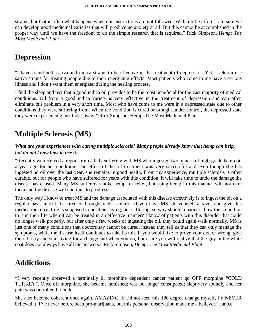strains, but that is often what happens when our instructions are not followed. With a little effort, I am sure we can develop good medicinal varieties that will produce no anxiety at all. But this cannot be accomplished in the proper way until we have the freedom to do the simple research that is required." Rick Simpson, *Hemp: The Most Medicinal Plant*

## **Depression**

"I have found both sativa and indica strains to be effective in the treatment of depression. Yet, I seldom use sativa strains for treating people due to their energizing effects. Most patients who come to me have a serious illness and I don't want them energized during the healing process.

I find the sleep and rest that a good indica oil provides to be the most beneficial for the vast majority of medical conditions. Oil from a good indica variety is very effective in the treatment of depression and can often eliminate this problem in a very short time. Most who have come to me were in a depressed state due to other conditions they were suffering from. When the condition is cured or brought under control, the depressed state they were experiencing just fades away." Rick Simpson, Hemp: The Most Medicinal Plant

## **Multiple Sclerosis (MS)**

#### *What are your experiences with curing multiple sclerosis? Many people already know that hemp can help, but do not know how to use it.*

"Recently we received a report from a lady suffering with MS who ingested two ounces of high-grade hemp oil a year ago for her condition. The effect of the oil treatment was very successful and even though she has ingested no oil over the last year, she remains in good health. From my experience, multiple sclerosis is often curable, but for people who have suffered for years with this condition, it will take time to undo the damage the disease has caused. Many MS sufferers smoke hemp for relief, but using hemp in this manner will not cure them and the disease will continue to progress.

The only way I know to treat MS and the damage associated with this disease effectively is to ingest the oil on a regular basis until it is cured or brought under control. If you have MS, do yourself a favor and give this medication a try. Life is supposed to be about living, not suffering, so why should a patient allow this condition to ruin their life when it can be treated in an effective manner? I know of patients with this disorder that could no longer walk properly, but after only a few weeks of ingesting the oil, they could again walk normally. MS is just one of many conditions that doctors say cannot be cured, instead they tell us that they can only manage the symptoms, while the disease itself continues to take its toll. If you would like to prove your doctor wrong, give the oil a try and start living for a change and when you do, I am sure you will realize that the guy in the white coat does not always have all the answers." Rick Simpson, *Hemp: The Most Medicinal Plant*

# **Addictions**

"I very recently observed a terminally ill morphine dependent cancer patient go OFF morphine "COLD TURKEY". Once off morphine, she became famished; was no longer constipated; slept very soundly and her pain was controlled far better.

She also become coherent once again. AMAZING. If I'd not seen this 180 degree change myself, I'd NEVER believed it. I've never before been pro-marijuana, but this personal observation made me a believer." Janice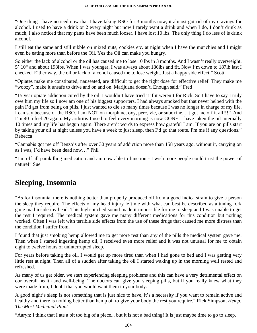"One thing I have noticed now that I have taking RSO for 3 months now, it almost got rid of my cravings for alcohol. I used to have a drink or 2 every night but now I rarely want a drink and when I do, I don't drink as much, I also noticed that my pants have been much looser. I have lost 10 lbs. The only thing I do less of is drink alcohol.

I still eat the same and still nibble on mixed nuts, cookies etc. at night when I have the munchies and I might even be eating more than before the Oil. Yes the Oil can make you hungry.

So either the lack of alcohol or the oil has caused me to lose 10 lbs in 3 months. And I wasn't really overweight, 5' 10" and about 198lbs. When I was younger, I was always about 186lbs and fit. Now I'm down to 187lb last I checked. Either way, the oil or lack of alcohol caused me to lose weight. Just a happy side effect." Scott

"Opiates make me constipated, nauseated, are difficult to get the right dose for effective relief. They make me "woozy", make it unsafe to drive and on and on. Marijuana doesn't. Enough said." Fred

"15 year opiate addiction cured by the oil. I wouldn't have tried it if it weren't for Rick. So I have to say I truly owe him my life so I now am one of his biggest supporters. I had always smoked but that never helped with the pain I'd get from being on pills. I just wanted to die so many times because I was no longer in charge of my life. I can say because of the RSO. I am NOT on morphine, oxy, perc, vic, or suboxine... it got me off it all!!!!! And I'm 40 n feel 20 again. My arthritis I used to feel every morning is now GONE. I have taken the oil internally 10 times and my life has begun again. There aren't words to express how grateful I am. If you are on pills start by taking your oil at night unless you have a week to just sleep, then I'd go that route. Pm me if any questions." Rebecca

"Cannabis got me off Benzo's after over 30 years of addiction more than 158 years ago, without it, carrying on as I was, I'd have been dead now…" Phil

"I'm off all painkilling medication and am now able to function - I wish more people could trust the power of nature!" Sue

## **Sleeping, Insomnia**

"As for insomnia, there is nothing better than properly produced oil from a good indica strain to give a person the sleep they require. The effects of my head injury left me with what can best be described as a tuning fork gone mad inside my head. This high-pitched sound made it impossible for me to sleep and I was unable to get the rest I required. The medical system gave me many different medications for this condition but nothing worked. Often I was left with terrible side effects from the use of these drugs that caused me more distress than the condition I suffer from.

I found that just smoking hemp allowed me to get more rest than any of the pills the medical system gave me. Then when I started ingesting hemp oil, I received even more relief and it was not unusual for me to obtain eight to twelve hours of uninterrupted sleep.

For years before taking the oil, I would get up more tired than when I had gone to bed and I was getting very little rest at night. Then all of a sudden after taking the oil I started waking up in the morning well rested and refreshed.

As many of us get older, we start experiencing sleeping problems and this can have a very detrimental effect on our overall health and well-being. The doctors can give you sleeping pills, but if you really knew what they were made from, I doubt that you would want them in your body.

A good night's sleep is not something that is just nice to have, it's a necessity if you want to remain active and healthy and there is nothing better than hemp oil to give your body the rest you require." Rick Simpson, *Hemp*: *The Most Medicinal Plant*

"Aaryn: I think that I ate a bit too big of a piece... but it is not a bad thing! It is just maybe time to go to sleep.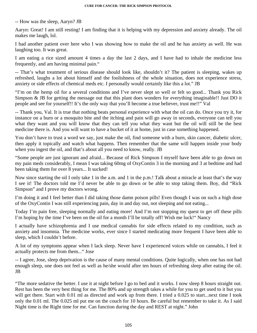-- How was the sleep, Aaryn? JB

Aaryn: Great! I am still resting! I am finding that it is helping with my depression and anxiety already. The oil makes me laugh, lol.

I had another patient over here who I was showing how to make the oil and he has anxiety as well. He was laughing too. It was great.

I am eating a rice sized amount 4 times a day the last 2 days, and I have had to inhale the medicine less frequently, and am having minimal pain."

-- That's what treatment of serious disease should look like, shouldn't it? The patient is sleeping, wakes up refreshed, laughs a lot about himself and the foolishness of the whole situation, does not experience stress, anxiety or side effects of chemical meds etc. I personally would certainly like this a lot." JB

"I'm on the hemp oil for a several conditions and I've never slept so well or felt so good... Thank you Rick Simpson & JB for getting the message out that this plant does wonders for everything imaginable!! Just DO it people and see for yourself!! It's the only way that you'll become a true believer, trust me!!" Val

-- Thank you, Val. It is true that nothing beats personal experience with what the oil can do. Once you try it, for instance on a burn or a mosquito bite and the itching and pain will go away in seconds, everyone can tell you what they want and you will know that they can tell you what they want but the oil will still be the best medicine there is. And you will want to have a bucket of it at home, just in case something happened.

You don't have to trust a word we say, just make the oil, find someone with a burn, skin cancer, diabetic ulcer, then apply it topically and watch what happens. Then remember that the same will happen inside your body when you ingest the oil, and that's about all you need to know, really. JB

"Some people are just ignorant and afraid... Because of Rick Simpson I myself have been able to go down on my pain meds considerably, I mean I was taking 60mg of OxyContin 3 in the morning and 3 at bedtime and had been taking them for over 8 years... It sucked!

Now since starting the oil I only take 1 in the a.m. and 1 in the p.m.! Talk about a miracle at least that's the way I see it! The doctors told me I'd never be able to go down or be able to stop taking them. Boy, did "Rick Simpson" and I prove my doctors wrong.

I'm doing it and I feel better than I did taking those damn poison pills! Even though I was on such a high dose of the OxyContin I was still experiencing pain, day in and day out, not sleeping and not eating...

Today I'm pain free, sleeping normally and eating more! And I'm not stopping my quest to get off these pills I'm hoping by the time I've been on the oil for a month I'll be totally off! Wish me luck!" Nancy

I actually have schizophrenia and I use medical cannabis for side effects related to my condition, such as anxiety and insomnia. The medicine works, ever since I started medicating more frequent I have been able to sleep, which I couldn't before.

A lot of my symptoms appear when I lack sleep. Never have I experienced voices while on cannabis, I feel it actually protects me from them..." Jose

-- I agree, Jose, sleep deprivation is the cause of many mental conditions. Quite logically, when one has not had enough sleep, one does not feel as well as he/she would after ten hours of refreshing sleep after eating the oil. JB

"The more sedative the better. I use it at night before I go to bed and it works. I now sleep 8 hours straight out. Rest has been the very best thing for me. The 80% and up strength takes a while for you to get used to it but you will get there. Start with 0.01 ml as directed and work up from there. I tried a 0.025 to start...next time I took only the 0.01 ml. The 0.025 ml put me on the couch for 10 hours. Be careful but remember to take it. As I said Night time is the Right time for me. Can function during the day and REST at night." John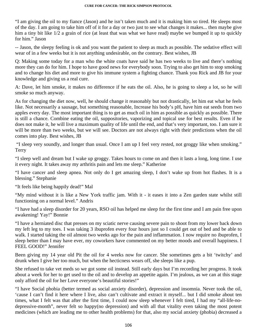"I am giving the oil to my fiance (Jason) and he isn't taken much and it is making him so tired. He sleeps most of the day. I am going to take him off of it for a day or two just to see what changes it makes... then maybe give him a tiny bit like 1/2 a grain of rice (at least that was what we have read) maybe we bumped it up to quickly for him." Jason

-- Jason, the sleepy feeling is ok and you want the patient to sleep as much as possible. The sedative effect will wear of in a few weeks but it is not anything undesirable, on the contrary. Best wishes, JB

Q: Making some today for a man who the white coats have said he has two weeks to live and there's nothing more they can do for him. I hope to have good news for everybody soon. Trying to also get him to stop smoking and to change his diet and more to give his immune system a fighting chance. Thank you Rick and JB for your knowledge and giving us a real cure.

A: Dave, let him smoke, it makes no difference if he eats the oil. Also, he is going to sleep a lot, so he will smoke so much anyway.

As for changing the diet now, well, he should change it reasonably but not drastically, let him eat what he feels like. Not necessarily a sausage, but something reasonable, Increase his body's pH, have him eat seeds from two apples every day. The most important thing is to get as much oil in him as possible as quickly as possible. There is still a chance. Combine eating the oil, suppositories, vaporizing and topical use for best results. Even if he does not make it, he will live a maximum quality of life until the end, and that's very important, too. I am sure it will be more than two weeks, but we will see. Doctors are not always right with their predictions when the oil comes into play. Best wishes, JB

 "I sleep very soundly, and longer than usual. Once I am up I feel very rested, not groggy like when smoking." Terry

"I sleep well and dream but I wake up groggy. Takes hours to come on and then it lasts a long, long time. I use it every night. It takes away my arthritis pain and lets me sleep." Katherine

"I have cancer and sleep apnea. Not only do I get amazing sleep, I don't wake up from hot flashes. It is a blessing." Stephanie

"It feels like being happily dead!" Mal

"My mind without it is like a New York traffic jam. With it - it eases it into a Zen garden state whilst still functioning on a normal level." Andris

"I have had a sleep disorder for 20 years, RSO oil has helped me sleep for the first time and I am pain free upon awakening! Yay!" Bonnie

"I have a herniated disc that presses on my sciatic nerve causing severe pain to shoot from my lower back down my left leg to my toes. I was taking 3 ibuprofen every four hours just so I could get out of bed and be able to walk. I started taking the oil almost two weeks ago for the pain and inflammation. I now require no ibuprofen, I sleep better than I may have ever, my coworkers have commented on my better moods and overall happiness. I FEEL GOOD!" Jennifer

Been giving my 14 year old Pit the oil for 4 weeks now for cancer. She sometimes gets a bit 'twitchy' and drunk when I give her too much, but when the hecticness wears off, she sleeps like a pup.

She refused to take vet meds so we got some oil instead. Still early days but I'm recording her progress. It took about a week for her to get used to the oil and to develop an appetite again. I'm jealous, as we can at this stage only afford the oil for her Love everyone's beautiful stories!"

"I have Social phobia (better termed as social anxiety disorder), depression and insomnia. Never took the oil, 'cause I can't find it here where I live, also can't cultivate and extract it myself... but I did smoke about ten times, what I felt was that after the first time, I could now sleep whenever I felt tired, I had my "all-life-nodepressive-month", never felt so happy(no depression) and with all that vitality even taking the most potent medicines (which are leading me to other health problems) for that, also my social anxiety (phobia) decreased a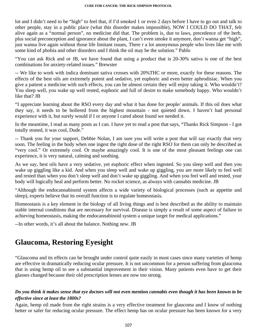lot and I didn't need to be "high" to feel that, if I'd smoked 1 or even 2 days before I have to go out and talk to other people, stay in a public place (what this disorder makes impossible), NOW I COULD DO THAT, felt alive again as a "normal person", no medicine did that. The problem is, due to laws, precedence of the herb, plus social preconception and ignorance about the plant, I can't even smoke it anymore, don't wanna get "high", just wanna live again without those life limitant issues, There r a lot anonymous people who lives like me with some kind of phobia and other disorders and I think the oil may be the solution." Pablo

"You can ask Rick and or JB, we have found that using a product that is 20-30% sativa is one of the best combinations for anxiety-related issues." Brewster

-- We like to work with indica dominant sativa crosses with 20%THC or more, exactly for these reasons. The effects of the best oils are extremely potent and sedative, yet euphoric and even better aphrodisiac. When you give a patient a medicine with such effects, you can be almost certain they will enjoy taking it. Who wouldn't? You sleep well, you wake up well rested, euphoric and full of desire to make somebody happy. Who wouldn't like that? JB

"I appreciate learning about the RSO every day and what it has done for people/ animals. If this oil does what they say, it needs to be hollered from the highest mountain - not quieted down. I haven't had personal experience with it, but surely would if I or anyone I cared about found we needed it.

In the meantime, I read as many posts as I can. I have yet to read a post that says, "Thanks Rick Simpson - I got totally stoned, it was cool, Dude."

-- Thank you for your support, Debbie Nolan, I am sure you will write a post that will say exactly that very soon. The feeling in the body when one ingest the right dose of the right RSO for them can only be described as "very cool." Or extremely cool. Or maybe amazingly cool. It is one of the most pleasant feelings one can experience, it is very natural, calming and soothing.

As we say, best oils have a very sedative, yet euphoric effect when ingested. So you sleep well and then you wake up giggling like a kid. And when you sleep well and wake up giggling, you are more likely to feel well and rested than when you don't sleep well and don't wake up giggling. And when you feel well and rested, your body will logically heal and perform better. No rocket science, as always with cannabis medicine. JB

"Although the endocannabinoid system affects a wide variety of biological processes (such as appetite and sleep), experts believe that its overall function is to regulate homeostasis.

Homeostasis is a key element in the biology of all living things and is best described as the ability to maintain stable internal conditions that are necessary for survival. Disease is simply a result of some aspect of failure in achieving homeostasis, making the endocannabinoid system a unique target for medical applications."

--In other words, it's all about the balance. Nothing new. JB

# **Glaucoma, Restoring Eyesight**

"Glaucoma and its effects can be brought under control quite easily in most cases since many varieties of hemp are effective in dramatically reducing ocular pressure. It is not uncommon for a person suffering from glaucoma that is using hemp oil to see a substantial improvement in their vision. Many patients even have to get their glasses changed because their old prescription lenses are now too strong.

#### *Do you think it makes sense that eye doctors will not even mention cannabis even though it has been known to be effective since at least the 1800s?*

Again, hemp oil made from the right strains is a very effective treatment for glaucoma and I know of nothing better or safer for reducing ocular pressure. The effect hemp has on ocular pressure has been known for a very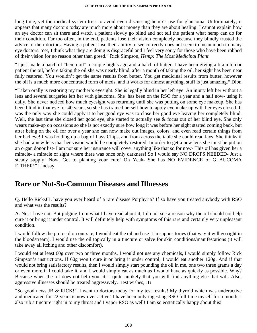long time, yet the medical system tries to avoid even discussing hemp's use for glaucoma. Unfortunately, it appears that many doctors today are much more about money than they are about healing. I cannot explain how an eye doctor can sit there and watch a patient slowly go blind and not tell the patient what hemp can do for their condition. Far too often, in the end, patients lose their vision completely because they blindly trusted the advice of their doctors. Having a patient lose their ability to see correctly does not seem to mean much to many eye doctors. Yet, I think what they are doing is disgraceful and I feel very sorry for those who have been robbed of their vision for no reason other than greed." Rick Simpson, *Hemp: The Most Medicinal Plant*

"I just made a batch of "hemp oil" a couple nights ago and a batch of butter. I have been giving a brain tumor patient the oil, before taking the oil she was nearly blind, after a month of taking the oil, her sight has been near fully restored. You wouldn't get the same results from butter. You get medicinal results from butter, however the oil is a much more concentrated form of meds, and it works for almost anything, stuff is just amazing." Dion

"Taken orally is restoring my mother's eyesight. She is legally blind in her left eye. An injury left her without a lens and several surgeries left her with glaucoma. She has been on the RSO for a year and a half now- using it daily. She never noticed how much eyesight was returning until she was putting on some eye makeup. She has been blind in that eye for 40 years, so she has trained herself how to apply eye make-up with her eyes closed. It was the only way she could apply it to her good eye was to close her good eye leaving her completely blind. Well, the last time she closed her good eye, she started to actually see & focus out of her blind eye. She only wears make-up on occasions so she is not exactly sure how long it was before her sight started coming back, but after being on the oil for over a year she can now make out images, colors, and even read certain things from her bad eye! I was holding up a bag of Lays Chips, and from across the table she could read lays. She thinks if she had a new lens that her vision would be completely restored. In order to get a new lens she must be put on an organ donor list- I am not sure her insurance will cover anything like that so for now- This oil has given her a miracle- a miracle of sight where there was once only darkness! So I would say NO DROPS NEEDED- Just a steady supply! Now, Get to planting your cure! Oh Yeah- She has NO EVIDENCE of GLAUCOMA EITHER!" Lindsay

## **Rare or Not-So-Common Diseases and Illnesses**

Q. Hello Rick/JB, have you ever heard of a rare disease Porphyria? If so have you treated anybody with RSO and what was the results?

A. No, I have not. But judging from what I have read about it, I do not see a reason why the oil should not help cure it or bring it under control. It will definitely help with symptoms of this rare and certainly very unpleasant condition.

I would follow the protocol on our site, I would eat the oil and use it in suppositories (that way it will go right in the bloodstream). I would use the oil topically in a tincture or salve for skin conditions/manifestations (it will take away all itching and other discomfort).

I would eat at least 60g over two or three months, I would not use any chemicals, I would simply follow Rick Simpson's instructions. If 60g won't cure it or bring it under control, I would eat another 120g. And if that would not bring satisfactory results, then I would simply start pounding the oil in me, one two three grams a day or even more if I could take it, and I would simply eat as much as I would have as quickly as possible. Why? Because when the oil does not help you, it is quite unlikely that you will find anything else that will. Also, aggressive illnesses should be treated aggressively. Best wishes, JB

"So good news JB & RICK!!! I went to doctors today for my test results! My thyroid which was underactive and medicated for 22 years is now over active! I have been only ingesting RSO full time myself for a month, I also rub a tincture right in to my throat and I vapor RSO as well! I am so ecstatically happy about this!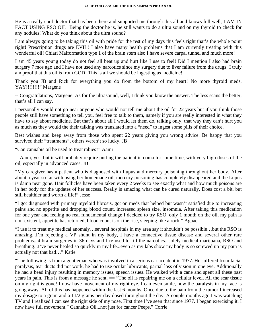He is a really cool doctor that has been there and supported me through this all and knows full well, I AM IN FACT USING RSO OIL! Being the doctor he is, he still wants to do a ultra sound on my thyroid to check for any nodules! What do you think about the ultra sound?

I am always going to be taking this oil with pride for the rest of my days this feels right that's the whole point right! Prescription drugs are EVIL! I also have many health problems that I am currently treating with this wonderful oil! Chiari Malformation type 1 of the brain stem also I have severe carpal tunnel and much more!

I am 45 years young today do not feel all beat up and hurt like I use to feel! Did I mention I also had brain surgery 7 mos ago and I have not used any narcotics since my surgery due to liver failure from the drugs! I truly am proof that this oil is from GOD! This is all we should be ingesting as medicine!

Thank you JB and Rick for everything you do from the bottom of my heart! No more thyroid meds, YAY!!!!!!!!!" Margene

-- Congratulations, Margene. As for the ultrasound, well, I think you know the answer. The less scans the better, that's all I can say.

I personally would not go near anyone who would not tell me about the oil for 22 years but if you think those people still have something to tell you, feel free to talk to them, namely if you are really interested in what they have to say about medicine. But that's about all I would let them do, talking only, that way they can't hurt you as much as they would the their talking was translated into a "need" to ingest some pills of their choice.

Best wishes and keep away from those who spent 22 years giving you wrong advice. Be happy that you survived their "treatments", others weren't so lucky. JB

"Can cannabis oil be used to treat rabies?" Aami

-- Aami, yes, but it will probably require putting the patient in coma for some time, with very high doses of the oil, especially in advanced cases. JB

"My caregiver has a patient who is diagnosed with Lupus and mercury poisoning throughout her body. After about a year so far with using her homemade oil, mercury poisoning has completely disappeared and the Lupus is damn near gone. Hair follicles have been taken every 2 weeks to see exactly what and how much poisons are in her body for the updates of her success. Really is amazing what can be cured naturally. Does cost a bit, but still healthier and worth a life!" Jesse

"I got diagnosed with primary myeloid fibrosis, got on meds that helped but wasn't satisfied due to increasing pains and no appetite and dropping blood count, increased spleen size, insomnia. After taking this medication for one year and feeling no real fundamental change I decided to try RSO, only 1 month on the oil, my pain is non-existent, appetite has returned, blood count is on the rise, sleeping like a rock." Aguae

"I use it to treat my medical anomaly…several hospitals in my area say it shouldn't be possible…but the RSO is amazing...I'm rejecting a VP shunt in my body, I have a connective tissue disease and several other rare problems...4 brain surgeries in 36 days and I refused to fill the narcotics...solely medical marijuana, RSO and breathing...I've never healed so quickly in my life...even as my labs show my body is so screwed up my pain is actually not that bad…" Katie

"The following is from a gentleman who was involved in a serious car accident in 1977. He suffered from facial paralysis, tear ducts did not work, he had to use ocular lubricants, partial loss of vision in one eye. Additionally he had a head injury resulting in memory issues, speech issues. He walked with a cane and spent all these past years in pain. This is from a message he sent.  $=$  "The oil is repairing me on a cellular level. All the scar tissue on my right is gone! I now have movement of my right eye. I can even smile, now the paralysis in my face is going away. All of this has happened within the last 6 months. Once due to the pain from the tumor I increased my dosage to a gram and a 11/2 grams per day dosed throughout the day. A couple months ago I was watching TV and I realized I can see the right side of my nose. First time I've seen that since 1977. I began exercising it. I now have full movement." Cannabis Oil...not just for cancer Peeps." Corrie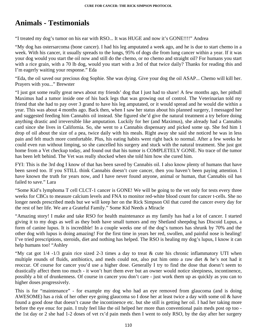# **Animals - Testimonials**

"I treated my dog's tumor on his ear with RSO... It was HUGE and now it's GONE!!!!" Andrea

"My dog has ostersarcoma (bone cancer). I had his leg amputated a week ago, and he is due to start chemo in a week. With his cancer, it usually spreads to the lungs, 95% of dogs die from lung cancer within a year. If it was your dog would you start the oil now and still do the chemo, or no chemo and straight oil? For humans you start with a rice grain, with a 70 lb dog, would you start with a 3rd of that twice daily? Thanks for reading this and I'm eagerly waiting your response." Eda

"Eda, the oil saved our precious dog Sophie. She was dying. Give your dog the oil ASAP... Chemo will kill her. Prayers with you..." Brewster

"I just got some really great news about my friends' dog that I just had to share! A few months ago, her pitbull Maximus had a tumor inside one of his back legs that was growing out of control. The Veterinarian told my friend that she had to pay over 3 grand to have his leg amputated, or it would spread and he would die within a year. This was about 4 months ago. Back then, when I saw her status about his planned surgery, I messaged her and suggested feeding him Cannabis oil instead. She figured she'd give the natural treatment a try before doing anything drastic and irreversible like amputation. Luckily for her (and Maximus), she already had a Cannabis card since she lives in California. So, she went to a Cannabis dispensary and picked some up. She fed him 1 drop of oil about the size of a pea, twice daily with his meals. Right away she said she noticed he was in less pain and felt much more comfortable. Plus, his eating habits went right back to normal. After a few weeks he could even run without limping, so she cancelled his surgery and stuck with the natural treatment. She just got home from a Vet checkup today, and found out that his tumor is COMPLETELY GONE. No trace of the tumor has been left behind. The Vet was really shocked when she told him how she cured him.

FYI: This is the 3rd dog I know of that has been saved by Cannabis oil. I also know plenty of humans that have been saved too. If you STILL think Cannabis doesn't cure cancer, then you haven't been paying attention. I have known the truth for years now, and I have never found anyone, animal or human, that Cannabis oil has failed to save." Lara

"Some Kid's lymphoma T cell CLCT-1 cancer is GONE! We will be going to the vet only for tests every three weeks for CBCs to measure calcium levels and FNA to monitor red-white blood count for cancer t-cells. She no longer needs prescribed meds but we will keep her on the Rick Simpson Oil that cured the cancer every day for the rest of her life. We are a Grateful Family." Some Kid Needs a Miracle

"Amazing story! I make and take RSO for health maintenance as my family has had a lot of cancer. I started giving it to my dogs as well as they both have small tumors and my Shetland sheepdog has Discoid Lupus, a form of canine lupus. It is incredible! In a couple weeks one of the dog's tumors has shrunk by 70% and the other dog with lupus is doing amazing! For the first time in years her red, swollen, and painful nose is healing! I've tried prescriptions, steroids, diet and nothing has helped. The RSO is healing my dog's lupus, I know it can help humans too! "Ashley

"My cat got 1/4 -1/3 grain rice sized 2-3 times a day to treat & cute his chronic inflammatory UTI when multiple rounds of fluids, antibiotics, and meds could not, also put him onto a raw diet & he's not had it reoccur. Of course for cancer you'd use a higher dose. Generally I try to find the dose that doesn't seem to drastically affect them too much - it won't hurt them ever but an owner would notice sleepiness, incontinence, possibly a bit of drunkenness. Of course in cancer you don't care - just work them up as quickly as you can to higher doses progressively.

This is for "maintenance" - for example my dog who had an eye removed from glaucoma (and is doing AWESOME) has a risk of her other eye going glaucoma so I dose her at least twice a day with some oil & have found a good dose that doesn't cause the incontinence etc. but she still is getting her oil. I had her taking more before the eye enuc for pain. I truly feel like the oil helped her more than conventional pain meds post op too the 1st day or 2 she had 1-2 doses of vet rx'd pain meds then I went to only RSO, by the day after her surgery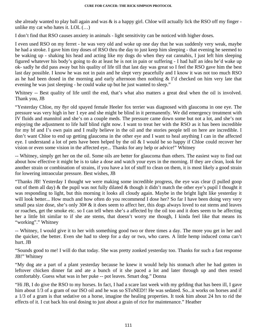she already wanted to play ball again and was  $\&$  is a happy girl. Chloe will actually lick the RSO off my finger unlike my cat who hates it. LOL (…)

I don't find that RSO causes anxiety in animals - light sensitivity can be noticed with higher doses.

I even used RSO on my ferret - he was very old and woke up one day that he was suddenly very weak, maybe he had a stroke. I gave him tiny doses of RSO thru the day to just keep him sleeping - that evening he seemed to be waking up - shaking his head and acting like my dogs do when they eat cannabis, I just left him sleeping figured whatever his body's going to do at least he is not in pain or suffering - I had half an idea he'd wake up ok- sadly he did pass away but his quality of life till that last day was great so I feel the RSO gave him the best last day possible. I know he was not in pain and he slept very peacefully and I know it was not too much RSO as he had been dosed in the morning and early afternoon then nothing & I'd checked on him very late that evening he was just sleeping - he could wake up but he just wanted to sleep."

Whitney -- Best quality of life until the end, that's what also matters a great deal when the oil is involved. Thank you, JB

"Yesterday Chloe, my 8yr old spayed female Heeler fox terrier was diagnosed with glaucoma in one eye. The pressure was very high in her 1 eye and she might be blind in it permanently. We did emergency treatment with IV fluids and mannitol and she's on a couple meds. The pressure came down some but not a lot, and she's not enjoying the adjustment to life half blind right now. I want to treat her with the RSO as it has been incredible for my bf and I's own pain and I really believe in the oil and the stories people tell on here are incredible. I don't want Chloe to end up getting glaucoma in the other eye and I want to heal anything I can in the affected eye. I understand a lot of pets have been helped by the oil & I would be so happy if Chloe could recover her vision or even some vision in the affected eye... Thanks for any help or advice!" Whitney

-- Whitney, simply get her on the oil. Some oils are better for glaucoma than others. The easiest way to find out about how effective it might be is to take a dose and watch your eyes in the morning. If they are clean, look for another strain or combination of strains, if you have a lot of stuff to clean on them, it is most likely a good strain for lowering intraocular pressure. Best wishes, JB

"Thanks JB! Yesterday I thought we were making some incredible progress, the eye was clear (I pulled goop out of them all day) & the pupil was not fully dilated & though it didn't match the other eye's pupil I thought it was responding to light, but this morning it looks all cloudy again. Maybe in the bright light like yesterday it will look better... How much and how often do you recommend I dose her? So far I have been doing very very small pea size dose, she's only  $30# \&$  it does seem to affect her, this dogs always loved to eat stems and leaves or roaches, get the smoke etc. so I can tell when she's a affected by the oil too and it does seem to be affecting her a little bit similar to if she ate stems, that doesn't worry me though, I kinda feel like that means its "working"." Whitney

-- Whitney, I would give it to her with something good two or three times a day. The more you get in her and the quicker, the better. Even she had to sleep for a day or two, who cares. A little hemp induced coma can't hurt. JB

"Sounds good to me! I will do that today. She was pretty zonked yesterday too. Thanks for such a fast response JB!" Whitney

"My dog ate a part of a plant yesterday because he knew it would help his stomach after he had gotten in leftover chicken dinner fat and ate a bunch of it she paced a lot and later through up and then rested comfortably. Guess what was in her puke -- pot leaves. Smart dog." Donna

"Hi JB, I do give the RSO to my horses. In fact, I had a scare last week with my gelding that has been ill, I gave him about  $1/3$  of a gram of our ISO oil and he was so SToNED!! He was sedated. So...it works on horses and if a 1/3 of a gram is that sedative on a horse, imagine the healing properties. It took him about 24 hrs to rid the effects of it. I cut back his oral dosing to just about a grain of rice for maintenance." Heather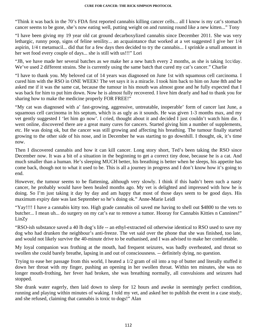"Think it was back in the 70's FDA first reported cannabis killing cancer cells... all I know is my cat's stomach cancer seems to be gone, she's now eating well, putting weight on and running round like a new kitten..." Tony

"I have been giving my 19 year old cat ground decarboxylized cannabis since December 2011. She was very lethargic, runny poop, signs of feline senility... an acquaintance that worked at a vet suggested I give her 1/4 aspirin, 1/4 t metamucil... did that for a few days then decided to try the cannabis... I sprinkle a small amount in her wet food every couple of days... she is still with us!!!" Lori

"JB, we have made her several batches as we make her a new batch every 2 months, as she is taking 1cc/day. We've used 2 different strains. She is currently using the same batch that cured my cat's cancer." Charlie

"I have to thank you. My beloved cat of 14 years was diagnosed on June 1st with squamous cell carcinoma. I cured him with the RSO in ONE WEEK! The vet says it is a miracle. I took him back to him on June 8th and he asked me if it was the same cat, because the tumour in his mouth was almost gone and he fully expected that I was back for him to put him down. Now he is almost fully recovered. I love him dearly and had to thank you for sharing how to make the medicine properly FOR FREE!"

"My cat was diagnosed with a' fast-growing, aggressive, untreatable, inoperable' form of cancer last June, a squamous cell carcinoma in his septum, which is as ugly as it sounds. He was given 1-3 months max, and my vet gently suggested I 'let him go now'. I cried, thought about it and decided I just couldn't watch him die. I went online, discovered there are a great many cures for cancers. Started giving him a number of supplements, etc. He was doing ok, but the cancer was still growing and affecting his breathing. The tumour finally started growing to the other side of his nose, and in December he was starting to go downhill. I thought, ok, it's time now.

Then I discovered cannabis and how it can kill cancer. Long story short, Ted's been taking the RSO since December now. It was a bit of a situation in the beginning to get a correct tiny dose, because he is a cat. And much smaller than a human. He's sleeping MUCH better, his breathing is better when he sleeps, his appetite has come back, though not to what it used to be. This is all a journey in progress and I don't know how it's going to end.

However, the tumour seems to be flattening, although very slowly. I think if this hadn't been such a nasty cancer, he probably would have been healed months ago. My vet is delighted and impressed with how he is doing. So I'm just taking it day by day and am happy that most of those days seem to be good days. His maximum expiry date was last September so he's doing ok." Anne-Marie Leidl

"Yay!!!! I have a cannabis kitty too. High grade cannabis oil saved me having to shell out \$4800 to the vets to butcher... I mean uh... do surgery on my cat's ear to remove a tumor. Hooray for Cannabis Kitties n Cannines!" LinZy

"RSO-ish substance saved a 40 lb dog's life -- an ethyl-extracted oil otherwise identical to RSO used to save my dog who had drunken the neighbour's anti-freeze. The vet said over the phone that she was finished, too late, and would not likely survive the 40-minute drive to be euthanised, and I was advised to make her comfortable.

My loyal companion was frothing at the mouth, had frequent seizures, was badly overheated, and throat so swollen she could barely breathe, lapsing in and out of consciousness. -- definitely dying, no question.

Trying to ease her passage from this world, I heated a 1/2 gram of oil into a tsp of butter and literally stuffed it down her throat with my finger, pushing an opening in her swollen throat. Within ten minutes, she was no longer mouth-frothing, her fever had broken, she was breathing normally, all convulsions and seizures had stopped.

She drank water eagerly, then laid down to sleep for 12 hours and awoke in seemingly perfect condition, running and playing within minutes of waking. I told my vet, and asked her to publish the event in a case study, and she refused, claiming that cannabis is toxic to dogs!" Alan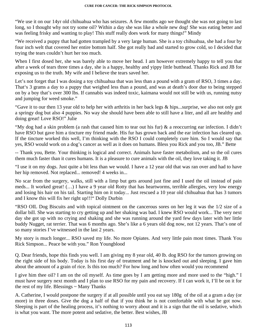"We use it on our 14yr old chihuahua who has seizures. A few months ago we thought she was not going to last long, so I thought why not try some oil? Within a day she was like a whole new dog! She was eating better and was feeling frisky and wanting to play! This stuff really does work for many things!" Mindy

"We received a puppy that had gotten trampled by a very large human. She is a toy chihuahua, she had a four by four inch welt that covered her entire bottom half. She got really bad and started to grow cold, so I decided that trying the tears couldn't hurt her too much.

When I first dosed her, she was barely able to move her head. I am however extremely happy to tell you that after a week of tears three times a day, she is a happy, healthy and yippy little butthead. Thanks Rick and JB for exposing us to the truth. My wife and I believe the tears saved her.

Let's not forget that I was dosing a toy chihuahua that was less than a pound with a gram of RSO, 3 times a day. That's 3 grams a day to a puppy that weighed less than a pound, and was at death's door due to being stepped on by a boy that's over 300 lbs. If cannabis was indeed toxic, kaimana would not still be with us, running nutsy and jumping for weed smoke."

"Gave it to our then 13 year old to help her with arthritis in her back legs & hips...surprise, we also not only got a springy dog but also 4 puppies. No way she should have been able to still have a liter, and all are healthy and doing great! Love RSO!" Julie

"My dog had a skin problem (a rash that caused him to tear out his fur) & a reoccurring ear infection. I didn't have RSO but gave him a tincture my friend made. His fur has grown back and the ear infection has cleared up. If the tincture worked this well, I'm thinking with the RSO I could completely cure him. So I would say that yes, RSO would work on a dog's cancer as well as it does on humans. Bless you Rick and you too, JB." Bette

-- Thank you, Bette. Your thinking is logical and correct. Animals have faster metabolism, and so the oil cures them much faster than it cures humans. It is a pleasure to cure animals with the oil, they love taking it. JB

"I use it on my dogs. Just quite a bit less than we would. I have a 12 year old that was ran over and had to have her hip removed. Not replaced... removed! 4 weeks in...

No scar from the surgery, walks, still with a limp but gets around just fine and I used the oil instead of pain meds... It worked great! (…) I have a 9 year old Rotty that has heartworms, terrible allergies, very low energy and losing his hair on his tail. Starting him on it today... Just rescued a 10 year old chihuahua that has 3 tumors and I know this will fix her right up!!!" Dolly Durbin

"RSO OIL Dog Biscuits and with topical ointment on the cancerous sores on her leg it was the 1/2 size of a dollar bill. She was starting to cry getting up and her shaking was bad. I knew RSO would work... The very next day she got up with no crying and shaking and she was running around the yard few days later with her little buddy Nugget, rat terrier. That was 6 months ago. She's like a 6 years old dog now, not 12 years. That's one of so many stories I've witnessed in the last 2 years.

My story is much longer... RSO saved my life. No more Opiates. And very little pain most times. Thank You Rick Simpson... Peace be with you." Ron Youngblood

Q. Dear friends, hope this finds you well. I am giving my 8 year old, 40 lb. dog RSO for the tumors growing on the right side of his body. Today is his first day of treatment and he is knocked out and sleeping. I gave him about the amount of a grain of rice. Is this too much? For how long and how often would you recommend

I give him thee oil? I am on the oil myself. As time goes by I am getting more and more used to the "high." I must have surgery next month and I plan to use RSO for my pain and recovery. If I can work it, I'll be on it for the rest of my life. Blessings  $\sim$  Many Thanks

A. Catherine, I would postpone the surgery if at all possible until you eat say 180g of the oil at a gram a day (or more) in three doses. Give the dog a half of that if you think he is not comfortable with what he got now. Sleeping is part of the healing process, it's nothing to worry about and it is a sign that the oil is sedative, which is what you want. The more potent and sedative, the better. Best wishes, JB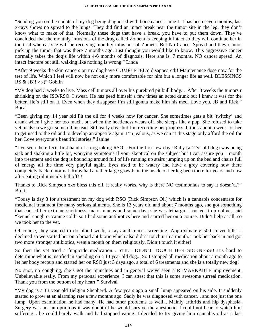"Sending you on the update of my dog being diagnosed with bone cancer. June 1 it has been seven months, last x-rays shows no spread to the lungs. They did find an intact break near the tumor site in the leg, they don't know what to make of that. Normally these dogs that have a break, you have to put them down. They've concluded that the monthly infusions of the drug called Zometa is keeping it intact so they will continue her in the trial whereas she will be receiving monthly infusions of Zometa. But No Cancer Spread and they cannot pick up the tumor that was there 7 months ago. Just thought you would like to know. This aggressive cancer normally takes the dog's life within 4-6 months of diagnosis. Here she is, 7 months, NO cancer spread. An intact fracture but still walking like nothing is wrong." Linda

"After 9 weeks the skin cancers on my dog have COMPLETELY disappeared!! Maintenance dose now for the test of life. Which I feel will now be not only more comfortable for him but a longer life as well. BLESSINGS RS & JB!! >:-)" Goblin

"My dog had 3 weeks to live. Mass cell tumors all over his purebred pit bull body... After 3 weeks the tumors r shrinking on the ISO/RSO. I swear. He has peed himself a few times an acted drunk but I knew it was for the better. He's still on it. Even when they disappear I'm still gonna make him his med. Love you, JB and Rick." Bocaj

"Been giving my 14 year old Pit the oil for 4 weeks now for cancer. She sometimes gets a bit 'twitchy' and drunk when I give her too much, but when the hecticness wears off, she sleeps like a pup. She refused to take vet meds so we got some oil instead. Still early days but I'm recording her progress. It took about a week for her to get used to the oil and to develop an appetite again. I'm jealous, as we can at this stage only afford the oil for her. Love everyone's beautiful stories!" Janine

"I've seen the effects first hand of a dog taking RSO... For the first few days Ruby (a 12yr old dog) was being sick and shaking a little bit, worrying symptoms if your skeptical on the subject but I can assure you 1 month into treatment and the dog is bouncing around full of life running up stairs jumping up on the bed and chairs full of energy all the time very playful again. Eyes used to be watery and have a grey covering now there completely back to normal. Ruby had a rather large growth on the inside of her leg been there for years and now after eating oil it nearly fell off!!!

Thanks to Rick Simpson xxx bless this oil, it really works, why is there NO testimonials to say it doesn't..?" Brett

"Today is day 3 for a treatment on my dog with RSO (Rick Simpson Oil) which is a cannabis concentrate for medicinal treatment for many serious ailments. She is 13 years old and about 7 months ago, she got something that caused her extreme snottiness, major mucus and some days she was lethargic. Looked it up online, said "kennel cough or canine cold" so I had some antibiotics here and started her on a course. Didn't help at all, so we took her to the vet.

Of course, they wanted to do blood work, x-rays and mucus screening. Approximately 500 in vet bills, I declined so we started her on a broad antibiotic which also didn't touch it in a month. Took her back in and got two more stronger antibiotics, went a month on them religiously. Didn't touch it either!

So then the vet tried a fungicide medication... STILL DIDN'T TOUCH HER SICKNESS!! It's hard to determine what is justified in spending on a 13 year old dog... So I stopped all medication about a month ago to let her body recoup and started her on RSO just 3 days ago, a total of 6 treatments and she is a totally new dog!

No snot, no coughing, she's got the munchies and in general we've seen a REMARKABLE improvement. Unbelievable really. From my personal experience, I can attest that this is some awesome surreal medication. Thank you from the bottom of my heart!" Survival

"My dog is a 13 year old Belgian Shepherd. A few years ago a small lump appeared on his side. It suddenly started to grow at an alarming rate a few months ago. Sadly he was diagnosed with cancer... and not just the one lump. Upon examination he had many. He had other problems as well... Mainly arthritis and hip dysphasia. Surgery was not an option as it was doubtful he would survive the anesthetic. I could not bear to watch him suffering... he could barely walk and had stopped eating. I decided to try giving him cannabis oil as a last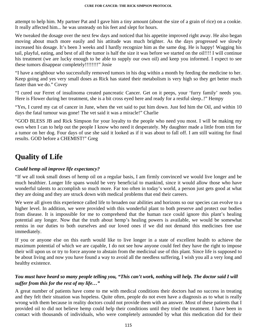attempt to help him. My partner Pat and I gave him a tiny amount (about the size of a grain of rice) on a cookie. It really affected him... he was unsteady on his feet and slept for hours.

We tweaked the dosage over the next few days and noticed that his appetite improved right away. He also began moving about much more easily and his attitude was much brighter. As the days progressed we slowly increased his dosage. It's been 3 weeks and I hardly recognize him as the same dog. He is happy! Wagging his tail, playful, eating, and best of all the tumor is half the size it was before we started on the oil!!!! I will continue his treatment (we are lucky enough to be able to supply our own oil) and keep you informed. I expect to see these tumors disappear completely!!!!!!!!" Josie

"I have a neighbour who successfully removed tumors in his dog within a month by feeding the medicine to her. Keep going and yes very small doses as Rick has stated their metabolism is very high so they get better much faster than we do." Covey

"I cured our Ferret of insulinoma created pancreatic Cancer. Get on it peeps, your 'furry family' needs you. Here is Flower during her treatment, she is a bit cross eyed here and ready for a restful sleep..!" Hempy

"Yes, I cured my cat of cancer in June, when the vet said to put him down. Just fed him the Oil, and within 10 days the fatal tumour was gone! The vet said it was a miracle!" Charlie

"GOD BLESS JB and Rick Simpson for your loyalty to the people who need you most. I will be making my own when I can to help out the people I know who need it desperately. My daughter made a little from trim for a tumor on her dog. Four days of use she said it looked as if it was about to fall off. I am still waiting for final results. GOD before a CHEMIST!" Greg

# **Quality of Life**

## *Could hemp oil improve life expectancy?*

"If we all took small doses of hemp oil on a regular basis, I am firmly convinced we would live longer and be much healthier. Longer life spans would be very beneficial to mankind, since it would allow those who have wonderful talents to accomplish so much more. Far too often in today's world, a person just gets good at what they are doing and they are struck down with medical problems that end their careers.

We were all given this experience called life to broaden our abilities and horizons so our species can evolve to a higher level. In addition, we were provided with this wonderful plant to both preserve and protect our bodies from disease. It is impossible for me to comprehend that the human race could ignore this plant's healing potential any longer. Now that the truth about hemp's healing powers is available, we would be somewhat remiss in our duties to both ourselves and our loved ones if we did not demand this medicines free use immediately.

If you or anyone else on this earth would like to live longer in a state of excellent health to achieve the maximum potential of which we are capable, I do not see how anyone could feel they have the right to impose their will upon us or try to force anyone to abstain from the medicinal use of this plant. Since life is supposed to be about living and now you have found a way to avoid all the needless suffering, I wish you all a very long and healthy existence.

## *You must have heard so many people telling you, "This can't work, nothing will help. The doctor said I will suffer from this for the rest of my life…"*

A great number of patients have come to me with medical conditions their doctors had no success in treating and they felt their situation was hopeless. Quite often, people do not even have a diagnosis as to what is really wrong with them because in reality doctors could not provide them with an answer. Most of these patients that I provided oil to did not believe hemp could help their conditions until they tried the treatment. I have been in contact with thousands of individuals, who were completely astounded by what this medication did for their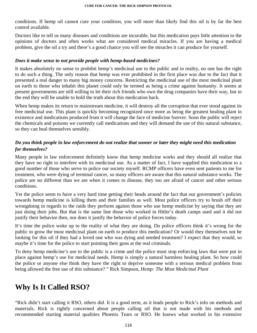conditions. If hemp oil cannot cure your condition, you will more than likely find this oil is by far the best control available.

Doctors like to tell us many diseases and conditions are incurable, but this medication pays little attention to the opinions of doctors and often works what are considered medical miracles. If you are having a medical problem, give the oil a try and there's a good chance you will see the miracles it can produce for yourself.

#### *Does it make sense to not provide people with hemp-based medicines?*

It makes absolutely no sense to prohibit hemp's medicinal use to the public and in reality, no one has the right to do such a thing. The only reason that hemp was ever prohibited in the first place was due to the fact that it presented a real danger to many big money concerns. Restricting the medicinal use of the most medicinal plant on earth to those who inhabit this planet could only be termed as being a crime against humanity. It seems at present governments are still willing to let their rich friends who own the drug companies have their way, but in the end they will be unable to hold the truth about this medication back.

When hemp makes its return to mainstream medicine, it will destroy all the corruption that ever stood against its free medicinal use. This plant is quickly becoming recognized once more as being the greatest healing plant in existence and medications produced from it will change the face of medicine forever. Soon the public will reject the chemicals and poisons we currently call medications and they will demand the use of this natural substance, so they can heal themselves sensibly.

### *Do you think people in law enforcement do not realize that sooner or later they might need this medication for themselves?*

Many people in law enforcement definitely know that hemp medicine works and they should all realize that they have no right to interfere with its medicinal use. As a matter of fact, I have supplied this medication to a good number of those who serve to police our society myself. RCMP officers have even sent patients to me for treatment, who were dying of terminal cancer, so many officers are aware that this natural substance works. The police are no different than we are when it comes to disease, they too are afraid of cancer and other serious conditions.

Yet the police seem to have a very hard time getting their heads around the fact that our government's policies towards hemp medicine is killing them and their families as well. Most police officers try to brush off their wrongdoing in regards to the raids they perform against those who use hemp medicine by saying that they are just doing their jobs. But that is the same line those who worked in Hitler's death camps used and it did not justify their behavior then, nor does it justify the behavior of police forces today.

It's time the police woke up to the reality of what they are doing. Do police officers think it's wrong for the public to grow the most medicinal plant on earth to produce this medication? Or would they themselves not be looking for this oil if they had a loved one who was dying and needed treatment? I expect that they would, so maybe it's time for the police to start pointing their guns at the real criminals.

To deny hemp medicine's use to the public is a crime and the police must stop enforcing laws that were put in place against hemp's use for medicinal needs. Hemp is simply a natural harmless healing plant. So how could the police or anyone else think they have the right to deprive someone with a serious medical problem from being allowed the free use of this substance? " Rick Simpson, *Hemp: The Most Medicinal Plant*

## **Why Is It Called RSO?**

"Rick didn't start calling it RSO, others did. It is a good term, as it leads people to Rick's info on methods and materials. Rick is rightly concerned about people calling oil that is not made with his methods and recommended starting material qualities Phoenix Tears or RSO. He knows what worked in his extensive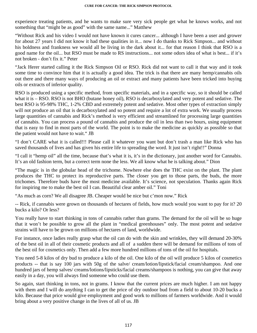experience treating patients, and he wants to make sure very sick people get what he knows works, and not something that "might be as good" with the same name..." Matthew

"Without Rick and his video I would not have known it cures cancer... although I have been a user and grower for about 27 years I did not know it had these qualities in it... now I do thanks to Rick Simpson... and without his boldness and frankness we would all be living in the dark about it... for that reason I think that RSO is a good name for the oil... but RSO must be made to RS instructions... not some odors idea of what is best... if it's not broken - don't fix it." Peter

"Jack Herer started calling it the Rick Simpson Oil or RSO. Rick did not want to call it that way and it took some time to convince him that it is actually a good idea. The trick is that there are many hemp/cannabis oils out there and there many ways of producing an oil or extract and many patients have been tricked into buying oils or extracts of inferior quality.

RSO is produced using a specific method, from specific materials, and in a specific way, so it should be called what it is – RSO. RSO is not BHO (butane honey oil), RSO is decarboxylated and very potent and sedative. The best RSO is 95-98% THC, 1-2% CBD and extremely potent and sedative. Most other types of extraction simply will not produce an oil that is decarboxylated and so potent and require a lot of extra work. We usually process large quantities of cannabis and Rick's method is very efficient and streamlined for processing large quantities of cannabis. You can process a pound of cannabis and produce the oil in less than two hours, using equipment that is easy to find in most parts of the world. The point is to make the medicine as quickly as possible so that the patient would not have to wait." JB

"I don't CARE what it is called!!! Please call it whatever you want but don't trash a man like Rick who has saved thousands of lives and has given his entire life to spreading the word. It just isn't right!!" Donna

"I call it "hemp oil" all the time, because that's what it is, it's in the dictionary, just another word for Cannabis. It's an old fashion term, but a correct term none the less. We all know what he is talking about." Dion

"The magic is in the globular head of the trichome. Nowhere else does the THC exist on the plant. The plant produces the THC to protect its reproductive parts. The closer you get to those parts, the buds, the more trichomes. Therefore buds have the most medicine available. It's science, not speculation. Thanks again Rick for inspiring me to make the best oil I can. Beautiful clear amber oil." Toni

"As much as corn? We all disagree JB. Cheaper would be nice but c'mon now." Rick

-- Rick, if cannabis were grown on thousands of hectares of fields, how much would you want to pay for it? 20 bucks a kilo? Or less?

You really have to start thinking in tons of cannabis rather than grams. The demand for the oil will be so huge that it won't be possible to grow all the plant in "medical greenhouses" only. The most potent and sedative strains will have to be grown on millions of hectares of land, worldwide.

For instance, once ladies really grasp what the oil can do with the skin and wrinkles, they will demand 20-30% of the best oil in all of their cosmetic products and all of a sudden there will be demand for millions of tons of the best oil for cosmetics only. Then add a few more hundred millions of tons of the oil for hospitals.

You need 5-8 kilos of dry bud to produce a kilo of the oil. One kilo of the oil will produce 5 kilos of cosmetics products -- that is say 100 jars with 50g of the salve/ cream/lotion/lipstick/facial cream/shampoo. And one hundred jars of hemp salves/ creams/lotions/lipsticks/facial creams/shampoos is nothing, you can give that away easily in a day, you will always find someone who could use them.

So again, start thinking in tons, not in grams. I know that the current prices are much higher. I am not happy with them and I will do anything I can to get the price of dry outdoor bud from a field to about 10-20 bucks a kilo. Because that price would give employment and good work to millions of farmers worldwide. And it would bring about a very positive change in the lives of all of us. JB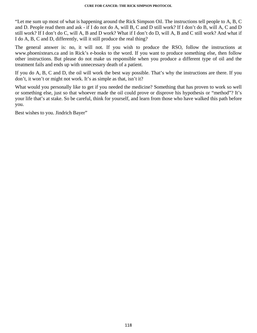"Let me sum up most of what is happening around the Rick Simpson Oil. The instructions tell people to A, B, C and D. People read them and ask - if I do not do A, will B, C and D still work? If I don't do B, will A, C and D still work? If I don't do C, will A, B and D work? What if I don't do D, will A, B and C still work? And what if I do A, B, C and D, differently, will it still produce the real thing?

The general answer is: no, it will not. If you wish to produce the RSO, follow the instructions at www.phoenixtears.ca and in Rick's e-books to the word. If you want to produce something else, then follow other instructions. But please do not make us responsible when you produce a different type of oil and the treatment fails and ends up with unnecessary death of a patient.

If you do A, B, C and D, the oil will work the best way possible. That's why the instructions are there. If you don't, it won't or might not work. It's as simple as that, isn't it?

What would you personally like to get if you needed the medicine? Something that has proven to work so well or something else, just so that whoever made the oil could prove or disprove his hypothesis or "method"? It's your life that's at stake. So be careful, think for yourself, and learn from those who have walked this path before you.

Best wishes to you. Jindrich Bayer"